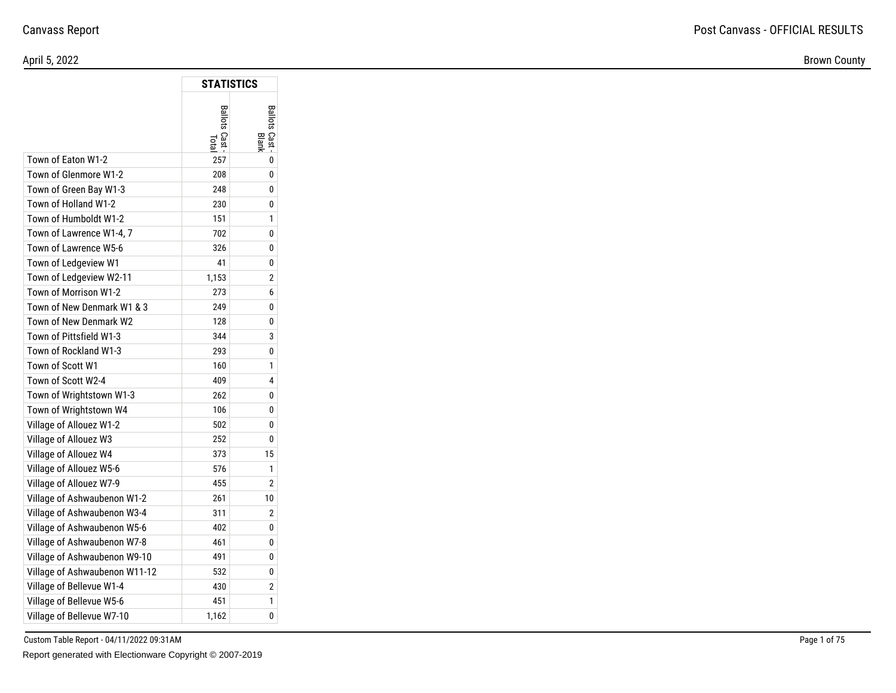Brown County

|                               | <b>STATISTICS</b>   |                              |
|-------------------------------|---------------------|------------------------------|
|                               | <b>Ballots Cast</b> | <b>Ballots Cast</b><br>Blank |
| Town of Eaton W1-2            | 257                 | 0                            |
| Town of Glenmore W1-2         | 208                 | 0                            |
| Town of Green Bay W1-3        | 248                 | 0                            |
| Town of Holland W1-2          | 230                 | 0                            |
| Town of Humboldt W1-2         | 151                 | 1                            |
| Town of Lawrence W1-4, 7      | 702                 | 0                            |
| Town of Lawrence W5-6         | 326                 | 0                            |
| Town of Ledgeview W1          | 41                  | 0                            |
| Town of Ledgeview W2-11       | 1,153               | $\overline{2}$               |
| Town of Morrison W1-2         | 273                 | 6                            |
| Town of New Denmark W1 & 3    | 249                 | 0                            |
| Town of New Denmark W2        | 128                 | 0                            |
| Town of Pittsfield W1-3       | 344                 | 3                            |
| Town of Rockland W1-3         | 293                 | 0                            |
| Town of Scott W1              | 160                 | 1                            |
| Town of Scott W2-4            | 409                 | 4                            |
| Town of Wrightstown W1-3      | 262                 | 0                            |
| Town of Wrightstown W4        | 106                 | 0                            |
| Village of Allouez W1-2       | 502                 | 0                            |
| Village of Allouez W3         | 252                 | 0                            |
| Village of Allouez W4         | 373                 | 15                           |
| Village of Allouez W5-6       | 576                 | 1                            |
| Village of Allouez W7-9       | 455                 | $\overline{2}$               |
| Village of Ashwaubenon W1-2   | 261                 | 10                           |
| Village of Ashwaubenon W3-4   | 311                 | 2                            |
| Village of Ashwaubenon W5-6   | 402                 | 0                            |
| Village of Ashwaubenon W7-8   | 461                 | 0                            |
| Village of Ashwaubenon W9-10  | 491                 | 0                            |
| Village of Ashwaubenon W11-12 | 532                 | 0                            |
| Village of Bellevue W1-4      | 430                 | $\overline{2}$               |
| Village of Bellevue W5-6      | 451                 | 1                            |
| Village of Bellevue W7-10     | 1,162               | 0                            |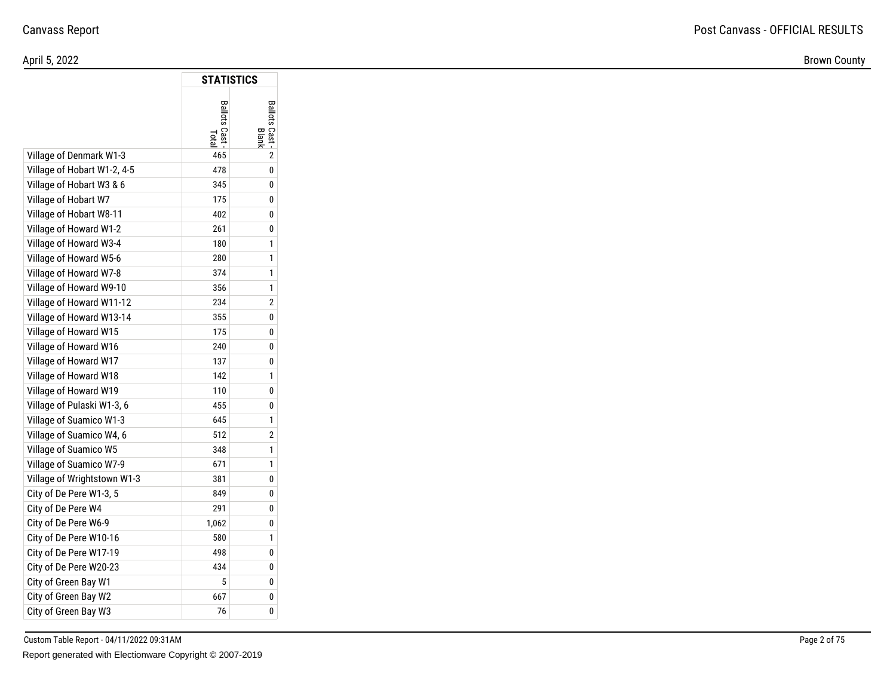Brown County

|                             | STATISTICS                         |                         |
|-----------------------------|------------------------------------|-------------------------|
|                             | <b>Ballots Cast</b><br><b>Tota</b> | Ballots Cast -<br>Blank |
| Village of Denmark W1-3     | 465                                | $\overline{2}$          |
| Village of Hobart W1-2, 4-5 | 478                                | 0                       |
| Village of Hobart W3 & 6    | 345                                | 0                       |
| Village of Hobart W7        | 175                                | 0                       |
| Village of Hobart W8-11     | 402                                | 0                       |
| Village of Howard W1-2      | 261                                | 0                       |
| Village of Howard W3-4      | 180                                | 1                       |
| Village of Howard W5-6      | 280                                | 1                       |
| Village of Howard W7-8      | 374                                | 1                       |
| Village of Howard W9-10     | 356                                | 1                       |
| Village of Howard W11-12    | 234                                | 2                       |
| Village of Howard W13-14    | 355                                | 0                       |
| Village of Howard W15       | 175                                | 0                       |
| Village of Howard W16       | 240                                | 0                       |
| Village of Howard W17       | 137                                | 0                       |
| Village of Howard W18       | 142                                | 1                       |
| Village of Howard W19       | 110                                | 0                       |
| Village of Pulaski W1-3, 6  | 455                                | 0                       |
| Village of Suamico W1-3     | 645                                | 1                       |
| Village of Suamico W4, 6    | 512                                | 2                       |
| Village of Suamico W5       | 348                                | 1                       |
| Village of Suamico W7-9     | 671                                | 1                       |
| Village of Wrightstown W1-3 | 381                                | 0                       |
| City of De Pere W1-3, 5     | 849                                | 0                       |
| City of De Pere W4          | 291                                | 0                       |
| City of De Pere W6-9        | 1,062                              | 0                       |
| City of De Pere W10-16      | 580                                | 1                       |
| City of De Pere W17-19      | 498                                | 0                       |
| City of De Pere W20-23      | 434                                | 0                       |
| City of Green Bay W1        | 5                                  | 0                       |
| City of Green Bay W2        | 667                                | 0                       |
| City of Green Bay W3        | 76                                 | 0                       |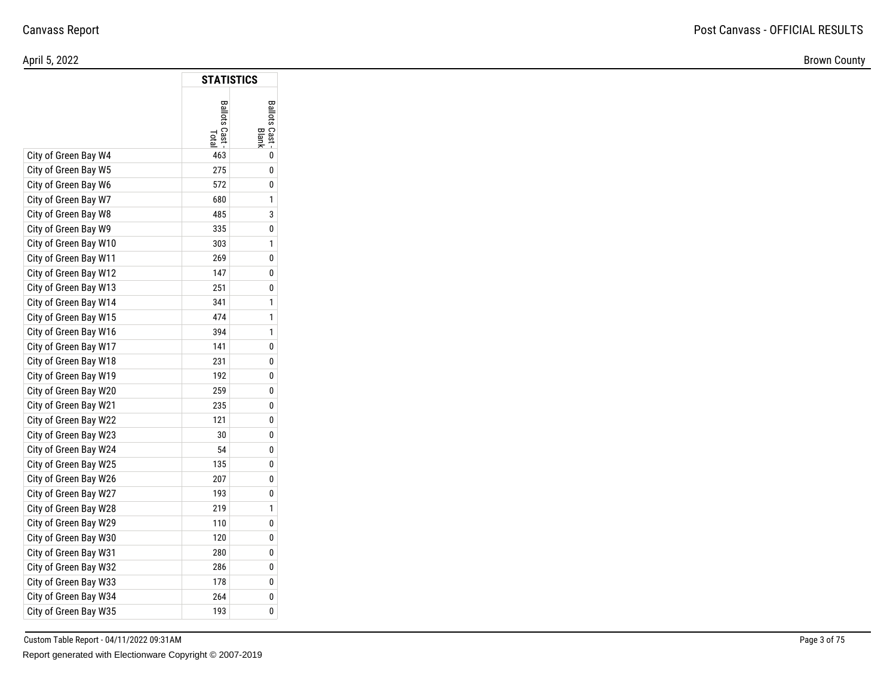Brown County

|                       | <b>STATISTICS</b> |                         |
|-----------------------|-------------------|-------------------------|
|                       | Ballots Cast      | Ballots Cast -<br>Blank |
| City of Green Bay W4  | 463               | 0                       |
| City of Green Bay W5  | 275               | 0                       |
| City of Green Bay W6  | 572               | 0                       |
| City of Green Bay W7  | 680               | 1                       |
| City of Green Bay W8  | 485               | 3                       |
| City of Green Bay W9  | 335               | 0                       |
| City of Green Bay W10 | 303               | 1                       |
| City of Green Bay W11 | 269               | 0                       |
| City of Green Bay W12 | 147               | 0                       |
| City of Green Bay W13 | 251               | 0                       |
| City of Green Bay W14 | 341               | 1                       |
| City of Green Bay W15 | 474               | 1                       |
| City of Green Bay W16 | 394               | 1                       |
| City of Green Bay W17 | 141               | 0                       |
| City of Green Bay W18 | 231               | 0                       |
| City of Green Bay W19 | 192               | 0                       |
| City of Green Bay W20 | 259               | 0                       |
| City of Green Bay W21 | 235               | 0                       |
| City of Green Bay W22 | 121               | 0                       |
| City of Green Bay W23 | 30                | 0                       |
| City of Green Bay W24 | 54                | 0                       |
| City of Green Bay W25 | 135               | 0                       |
| City of Green Bay W26 | 207               | 0                       |
| City of Green Bay W27 | 193               | 0                       |
| City of Green Bay W28 | 219               | 1                       |
| City of Green Bay W29 | 110               | 0                       |
| City of Green Bay W30 | 120               | 0                       |
| City of Green Bay W31 | 280               | 0                       |
| City of Green Bay W32 | 286               | 0                       |
| City of Green Bay W33 | 178               | 0                       |
| City of Green Bay W34 | 264               | 0                       |
| City of Green Bay W35 | 193               | 0                       |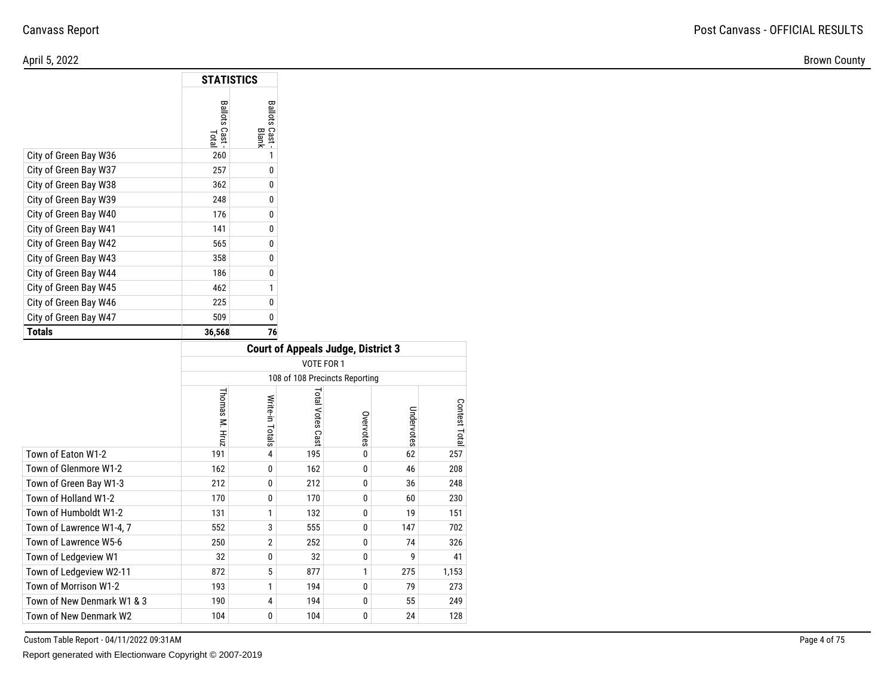Brown County

|                       | <b>STATISTICS</b>       |                                       |
|-----------------------|-------------------------|---------------------------------------|
|                       | Ballots<br>Cast<br>Tota | Ballots<br>Cast <sup>1</sup><br>Blank |
| City of Green Bay W36 | 260                     | 1                                     |
| City of Green Bay W37 | 257                     | 0                                     |
| City of Green Bay W38 | 362                     | 0                                     |
| City of Green Bay W39 | 248                     | 0                                     |
| City of Green Bay W40 | 176                     | 0                                     |
| City of Green Bay W41 | 141                     | 0                                     |
| City of Green Bay W42 | 565                     | 0                                     |
| City of Green Bay W43 | 358                     | 0                                     |
| City of Green Bay W44 | 186                     | 0                                     |
| City of Green Bay W45 | 462                     | 1                                     |
| City of Green Bay W46 | 225                     | 0                                     |
| City of Green Bay W47 | 509                     | 0                                     |
| <b>Totals</b>         | 36,568                  | 76                                    |

|                            |                |                 | <b>Court of Appeals Judge, District 3</b> |           |            |               |
|----------------------------|----------------|-----------------|-------------------------------------------|-----------|------------|---------------|
|                            |                |                 | VOTE FOR 1                                |           |            |               |
|                            |                |                 | 108 of 108 Precincts Reporting            |           |            |               |
|                            | Thomas M. Hruz | Write-in Totals | <b>Total Votes</b><br>Cast                | Overvotes | Undervotes | Contest Total |
| Town of Eaton W1-2         | 191            | 4               | 195                                       | 0         | 62         | 257           |
| Town of Glenmore W1-2      | 162            | 0               | 162                                       | 0         | 46         | 208           |
| Town of Green Bay W1-3     | 212            | 0               | 212                                       | 0         | 36         | 248           |
| Town of Holland W1-2       | 170            | 0               | 170                                       | 0         | 60         | 230           |
| Town of Humboldt W1-2      | 131            | 1               | 132                                       | 0         | 19         | 151           |
| Town of Lawrence W1-4, 7   | 552            | 3               | 555                                       | 0         | 147        | 702           |
| Town of Lawrence W5-6      | 250            | $\overline{2}$  | 252                                       | 0         | 74         | 326           |
| Town of Ledgeview W1       | 32             | 0               | 32                                        | 0         | g          | 41            |
| Town of Ledgeview W2-11    | 872            | 5               | 877                                       | 1         | 275        | 1,153         |
| Town of Morrison W1-2      | 193            | 1               | 194                                       | 0         | 79         | 273           |
| Town of New Denmark W1 & 3 | 190            | 4               | 194                                       | 0         | 55         | 249           |
| Town of New Denmark W2     | 104            | 0               | 104                                       | 0         | 24         | 128           |

Custom Table Report - 04/11/2022 09:31AM

Report generated with Electionware Copyright © 2007-2019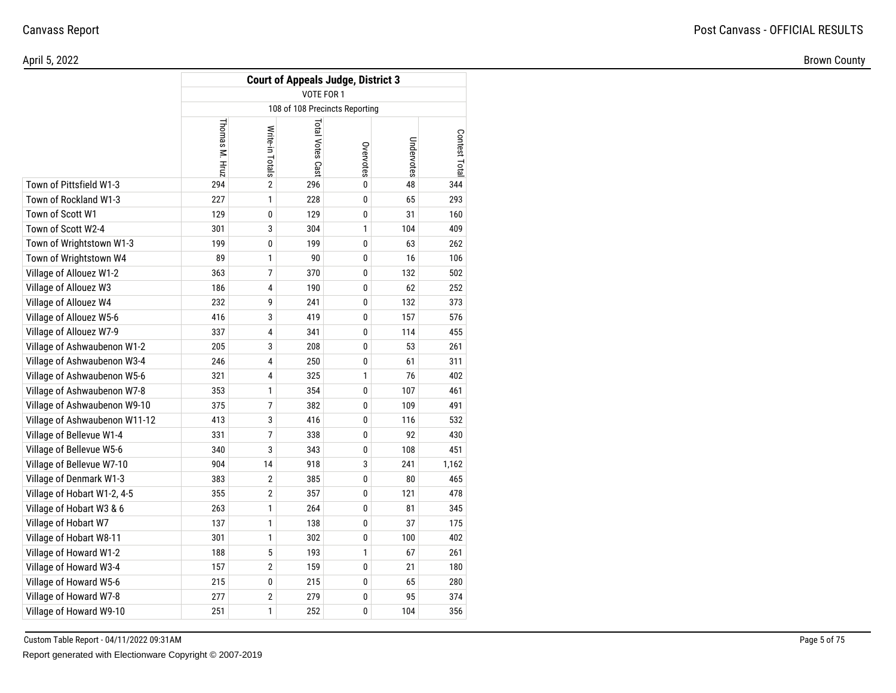|                               |                |                 | <b>Court of Appeals Judge, District 3</b> |              |            |               |
|-------------------------------|----------------|-----------------|-------------------------------------------|--------------|------------|---------------|
|                               |                |                 | VOTE FOR 1                                |              |            |               |
|                               |                |                 | 108 of 108 Precincts Reporting            |              |            |               |
|                               | Thomas M. Hruz | Write-in Totals | Total Votes Cast                          | Overvotes    | Undervotes | Contest Total |
| Town of Pittsfield W1-3       | 294            | 2               | 296                                       | 0            | 48         | 344           |
| Town of Rockland W1-3         | 227            | $\mathbf{1}$    | 228                                       | $\mathbf{0}$ | 65         | 293           |
| Town of Scott W1              | 129            | 0               | 129                                       | 0            | 31         | 160           |
| Town of Scott W2-4            | 301            | 3               | 304                                       | $\mathbf{1}$ | 104        | 409           |
| Town of Wrightstown W1-3      | 199            | 0               | 199                                       | 0            | 63         | 262           |
| Town of Wrightstown W4        | 89             | 1               | 90                                        | $\bf{0}$     | 16         | 106           |
| Village of Allouez W1-2       | 363            | 7               | 370                                       | 0            | 132        | 502           |
| Village of Allouez W3         | 186            | 4               | 190                                       | $\bf{0}$     | 62         | 252           |
| Village of Allouez W4         | 232            | 9               | 241                                       | $\bf{0}$     | 132        | 373           |
| Village of Allouez W5-6       | 416            | 3               | 419                                       | $\bf{0}$     | 157        | 576           |
| Village of Allouez W7-9       | 337            | 4               | 341                                       | $\mathbf{0}$ | 114        | 455           |
| Village of Ashwaubenon W1-2   | 205            | 3               | 208                                       | 0            | 53         | 261           |
| Village of Ashwaubenon W3-4   | 246            | 4               | 250                                       | 0            | 61         | 311           |
| Village of Ashwaubenon W5-6   | 321            | 4               | 325                                       | $\mathbf{1}$ | 76         | 402           |
| Village of Ashwaubenon W7-8   | 353            | 1               | 354                                       | $\mathbf{0}$ | 107        | 461           |
| Village of Ashwaubenon W9-10  | 375            | 7               | 382                                       | 0            | 109        | 491           |
| Village of Ashwaubenon W11-12 | 413            | 3               | 416                                       | $\bf{0}$     | 116        | 532           |
| Village of Bellevue W1-4      | 331            | 7               | 338                                       | 0            | 92         | 430           |
| Village of Bellevue W5-6      | 340            | 3               | 343                                       | $\bf{0}$     | 108        | 451           |
| Village of Bellevue W7-10     | 904            | 14              | 918                                       | 3            | 241        | 1,162         |
| Village of Denmark W1-3       | 383            | $\overline{2}$  | 385                                       | $\mathbf{0}$ | 80         | 465           |
| Village of Hobart W1-2, 4-5   | 355            | $\overline{2}$  | 357                                       | $\bf{0}$     | 121        | 478           |
| Village of Hobart W3 & 6      | 263            | 1               | 264                                       | 0            | 81         | 345           |
| Village of Hobart W7          | 137            | 1               | 138                                       | $\mathbf{0}$ | 37         | 175           |
| Village of Hobart W8-11       | 301            | 1               | 302                                       | $\mathbf{0}$ | 100        | 402           |
| Village of Howard W1-2        | 188            | 5               | 193                                       | $\mathbf{1}$ | 67         | 261           |
| Village of Howard W3-4        | 157            | $\overline{2}$  | 159                                       | $\mathbf{0}$ | 21         | 180           |
| Village of Howard W5-6        | 215            | 0               | 215                                       | $\mathbf{0}$ | 65         | 280           |
| Village of Howard W7-8        | 277            | $\overline{2}$  | 279                                       | 0            | 95         | 374           |
| Village of Howard W9-10       | 251            | 1               | 252                                       | $\bf{0}$     | 104        | 356           |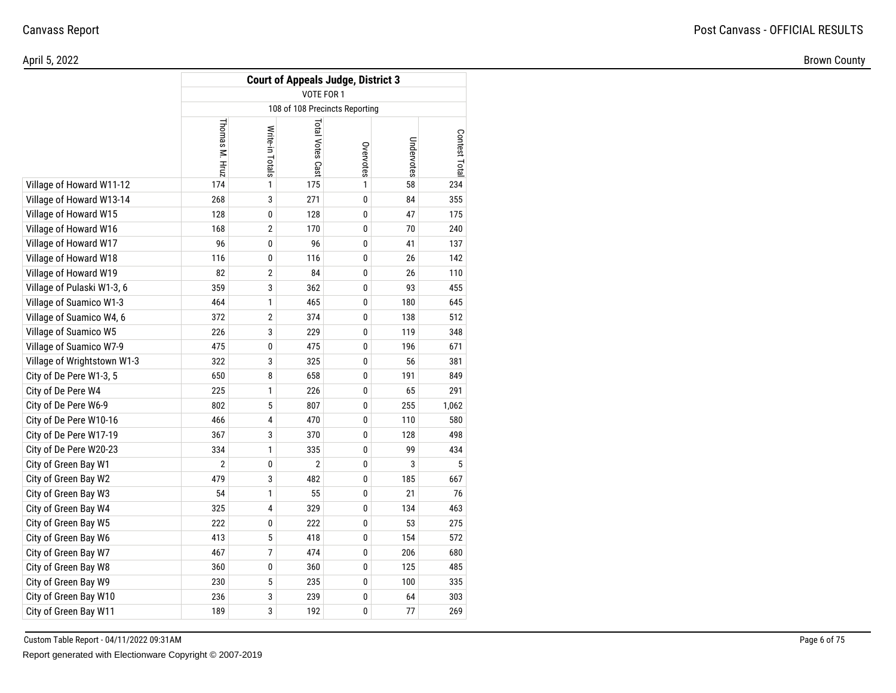|                             |                |                 |                  | <b>Court of Appeals Judge, District 3</b> |            |               |
|-----------------------------|----------------|-----------------|------------------|-------------------------------------------|------------|---------------|
|                             |                |                 | VOTE FOR 1       |                                           |            |               |
|                             |                |                 |                  | 108 of 108 Precincts Reporting            |            |               |
|                             | Thomas M. Hruz | Write-in Totals | Total Votes Cast | Overvotes                                 | Undervotes | Contest Total |
| Village of Howard W11-12    | 174            | 1               | 175              | 1                                         | 58         | 234           |
| Village of Howard W13-14    | 268            | 3               | 271              | 0                                         | 84         | 355           |
| Village of Howard W15       | 128            | 0               | 128              | 0                                         | 47         | 175           |
| Village of Howard W16       | 168            | 2               | 170              | 0                                         | 70         | 240           |
| Village of Howard W17       | 96             | 0               | 96               | 0                                         | 41         | 137           |
| Village of Howard W18       | 116            | 0               | 116              | 0                                         | 26         | 142           |
| Village of Howard W19       | 82             | 2               | 84               | 0                                         | 26         | 110           |
| Village of Pulaski W1-3, 6  | 359            | 3               | 362              | 0                                         | 93         | 455           |
| Village of Suamico W1-3     | 464            | 1               | 465              | 0                                         | 180        | 645           |
| Village of Suamico W4, 6    | 372            | 2               | 374              | 0                                         | 138        | 512           |
| Village of Suamico W5       | 226            | 3               | 229              | 0                                         | 119        | 348           |
| Village of Suamico W7-9     | 475            | 0               | 475              | 0                                         | 196        | 671           |
| Village of Wrightstown W1-3 | 322            | 3               | 325              | 0                                         | 56         | 381           |
| City of De Pere W1-3, 5     | 650            | 8               | 658              | 0                                         | 191        | 849           |
| City of De Pere W4          | 225            | 1               | 226              | 0                                         | 65         | 291           |
| City of De Pere W6-9        | 802            | 5               | 807              | 0                                         | 255        | 1,062         |
| City of De Pere W10-16      | 466            | 4               | 470              | 0                                         | 110        | 580           |
| City of De Pere W17-19      | 367            | 3               | 370              | 0                                         | 128        | 498           |
| City of De Pere W20-23      | 334            | 1               | 335              | 0                                         | 99         | 434           |
| City of Green Bay W1        | $\overline{2}$ | 0               | $\overline{2}$   | 0                                         | 3          | 5             |
| City of Green Bay W2        | 479            | 3               | 482              | 0                                         | 185        | 667           |
| City of Green Bay W3        | 54             | 1               | 55               | 0                                         | 21         | 76            |
| City of Green Bay W4        | 325            | 4               | 329              | 0                                         | 134        | 463           |
| City of Green Bay W5        | 222            | 0               | 222              | 0                                         | 53         | 275           |
| City of Green Bay W6        | 413            | 5               | 418              | 0                                         | 154        | 572           |
| City of Green Bay W7        | 467            | 7               | 474              | 0                                         | 206        | 680           |
| City of Green Bay W8        | 360            | 0               | 360              | 0                                         | 125        | 485           |
| City of Green Bay W9        | 230            | 5               | 235              | 0                                         | 100        | 335           |
| City of Green Bay W10       | 236            | 3               | 239              | 0                                         | 64         | 303           |
| City of Green Bay W11       | 189            | 3               | 192              | 0                                         | 77         | 269           |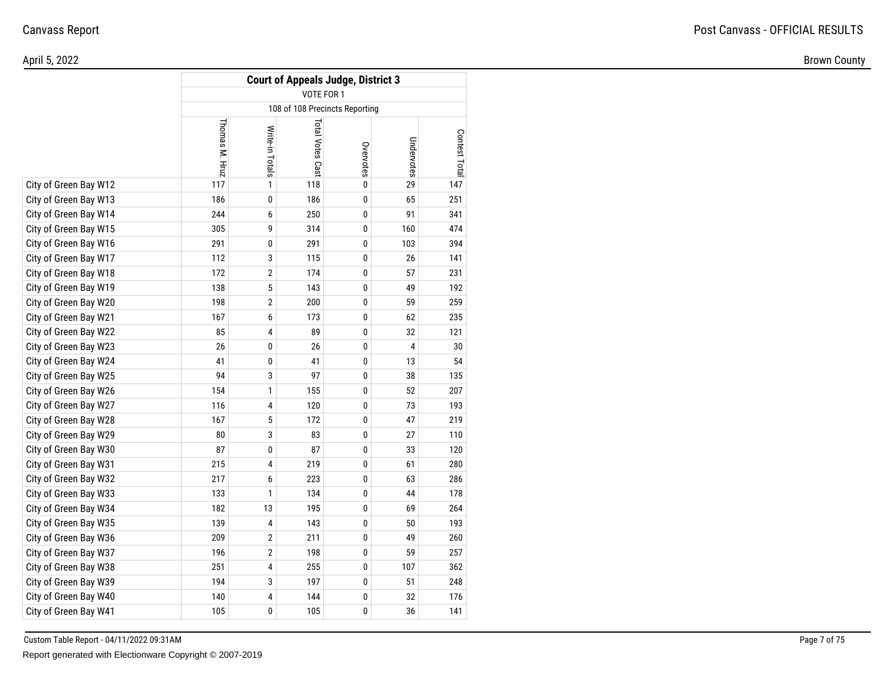#### April 5, 2022Brown County

|                       |                |                 | <b>Court of Appeals Judge, District 3</b> |           |            |               |
|-----------------------|----------------|-----------------|-------------------------------------------|-----------|------------|---------------|
|                       |                |                 | VOTE FOR 1                                |           |            |               |
|                       |                |                 | 108 of 108 Precincts Reporting            |           |            |               |
|                       | Thomas M. Hruz | Write-in Totals | Total Votes Cast                          | Overvotes | Undervotes | Contest Total |
| City of Green Bay W12 | 117            | 1               | 118                                       | 0         | 29         | 147           |
| City of Green Bay W13 | 186            | 0               | 186                                       | 0         | 65         | 251           |
| City of Green Bay W14 | 244            | 6               | 250                                       | 0         | 91         | 341           |
| City of Green Bay W15 | 305            | 9               | 314                                       | 0         | 160        | 474           |
| City of Green Bay W16 | 291            | 0               | 291                                       | 0         | 103        | 394           |
| City of Green Bay W17 | 112            | 3               | 115                                       | 0         | 26         | 141           |
| City of Green Bay W18 | 172            | $\sqrt{2}$      | 174                                       | 0         | 57         | 231           |
| City of Green Bay W19 | 138            | 5               | 143                                       | 0         | 49         | 192           |
| City of Green Bay W20 | 198            | $\mathbf{2}$    | 200                                       | 0         | 59         | 259           |
| City of Green Bay W21 | 167            | 6               | 173                                       | 0         | 62         | 235           |
| City of Green Bay W22 | 85             | 4               | 89                                        | 0         | 32         | 121           |
| City of Green Bay W23 | 26             | 0               | 26                                        | 0         | 4          | 30            |
| City of Green Bay W24 | 41             | 0               | 41                                        | 0         | 13         | 54            |
| City of Green Bay W25 | 94             | 3               | 97                                        | 0         | 38         | 135           |
| City of Green Bay W26 | 154            | 1               | 155                                       | 0         | 52         | 207           |
| City of Green Bay W27 | 116            | 4               | 120                                       | 0         | 73         | 193           |
| City of Green Bay W28 | 167            | 5               | 172                                       | 0         | 47         | 219           |
| City of Green Bay W29 | 80             | 3               | 83                                        | 0         | 27         | 110           |
| City of Green Bay W30 | 87             | 0               | 87                                        | 0         | 33         | 120           |
| City of Green Bay W31 | 215            | 4               | 219                                       | 0         | 61         | 280           |
| City of Green Bay W32 | 217            | 6               | 223                                       | 0         | 63         | 286           |
| City of Green Bay W33 | 133            | 1               | 134                                       | 0         | 44         | 178           |
| City of Green Bay W34 | 182            | 13              | 195                                       | 0         | 69         | 264           |
| City of Green Bay W35 | 139            | 4               | 143                                       | 0         | 50         | 193           |
| City of Green Bay W36 | 209            | $\overline{2}$  | 211                                       | 0         | 49         | 260           |
| City of Green Bay W37 | 196            | $\overline{2}$  | 198                                       | 0         | 59         | 257           |
| City of Green Bay W38 | 251            | 4               | 255                                       | 0         | 107        | 362           |
| City of Green Bay W39 | 194            | 3               | 197                                       | 0         | 51         | 248           |
| City of Green Bay W40 | 140            | 4               | 144                                       | 0         | 32         | 176           |
| City of Green Bay W41 | 105            | 0               | 105                                       | 0         | 36         | 141           |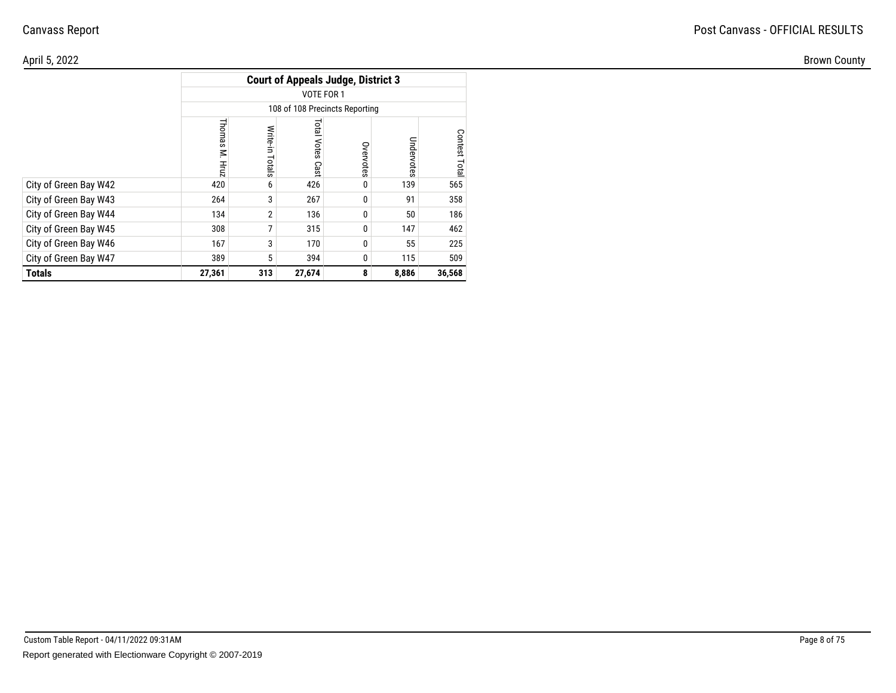| April 5, 2022         |             |                |                               |                                           |            |                     |  |  |
|-----------------------|-------------|----------------|-------------------------------|-------------------------------------------|------------|---------------------|--|--|
|                       |             |                |                               | <b>Court of Appeals Judge, District 3</b> |            |                     |  |  |
|                       |             |                | VOTE FOR 1                    |                                           |            |                     |  |  |
|                       |             |                |                               | 108 of 108 Precincts Reporting            |            |                     |  |  |
|                       | <b>Inon</b> | Write<br>otals | <b>Total</b><br>Votes<br>Cast | 5<br>votes                                | Undervotes | Cont<br>ష<br>₽<br>உ |  |  |
| City of Green Bay W42 | 420         | 6              | 426                           | $\bf{0}$                                  | 139        | 565                 |  |  |
| City of Green Bay W43 | 264         | 3              | 267                           | 0                                         | 91         | 358                 |  |  |
| City of Green Bay W44 | 134         | 2 <sup>1</sup> | 136                           | 0                                         | 50         | 186                 |  |  |
| City of Green Bay W45 | 308         |                | 315                           | $\bf{0}$                                  | 147        | 462                 |  |  |
| City of Green Bay W46 | 167         | 3 <sup>1</sup> | 170                           | 0                                         | 55         | 225                 |  |  |
| City of Green Bay W47 | 389         | 5 <sup>1</sup> | 394                           | 0                                         | 115        | 509                 |  |  |
| <b>Totals</b>         | 27,361      | 313            | 27,674                        | 8 <sup>1</sup>                            | 8,886      | 36,568              |  |  |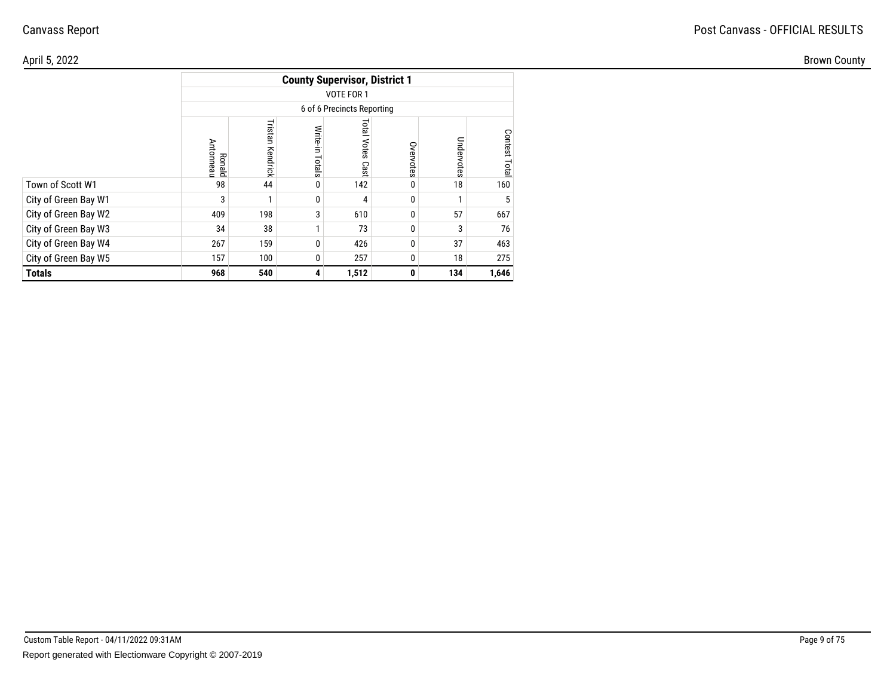| \pril 5, 2022        |                            |          |                |                                      |              |            |                                           |
|----------------------|----------------------------|----------|----------------|--------------------------------------|--------------|------------|-------------------------------------------|
|                      |                            |          |                | <b>County Supervisor, District 1</b> |              |            |                                           |
|                      |                            |          |                | VOTE FOR 1                           |              |            |                                           |
|                      |                            |          |                | 6 of 6 Precincts Reporting           |              |            |                                           |
|                      | <b>Ronald</b><br>Antonneau | Kendrick | Write<br>otals | lsic<br>Votes<br>Cast                | Overvotes    | Undervotes | Cont<br>$\mathbf{S}$<br>$\mathbf{a}$<br>ഇ |
| Town of Scott W1     | 98                         | 44       |                | 142                                  | $\mathbf{0}$ | 18         | 160                                       |
| City of Green Bay W1 |                            |          |                |                                      | 0            |            |                                           |
| City of Green Bay W2 | 409                        | 198      | 3              | 610                                  | $\mathbf 0$  | 57         | 667                                       |
| City of Green Bay W3 | 34                         | 38       |                | 73                                   | $\mathbf{0}$ | 3          | 76                                        |
| City of Green Bay W4 | 267                        | 159      | $\Omega$       | 426                                  | $\mathbf 0$  | 37         | 463                                       |
| City of Green Bay W5 | 157                        | 100      | $\Omega$       | 257                                  | 0            | 18         | 275                                       |
| <b>Totals</b>        | 968                        | 540      |                | 1,512                                | $\mathbf{0}$ | 134        | 1,646                                     |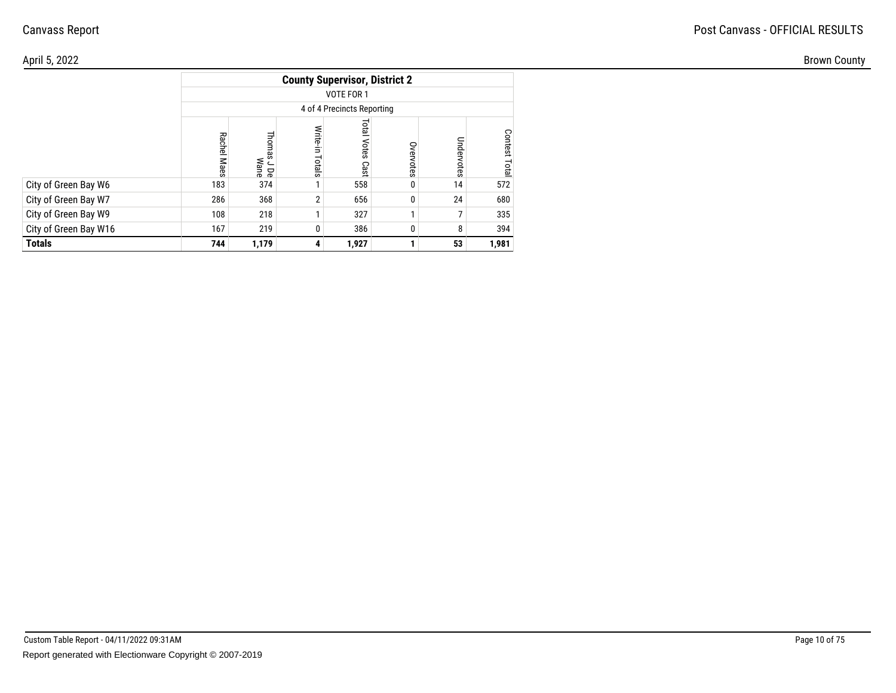| April 5, 2022         |             |                           |                 |                                      |                     |              |           |
|-----------------------|-------------|---------------------------|-----------------|--------------------------------------|---------------------|--------------|-----------|
|                       |             |                           |                 | <b>County Supervisor, District 2</b> |                     |              |           |
|                       |             |                           |                 | VOTE FOR 1                           |                     |              |           |
|                       |             |                           |                 | 4 of 4 Precincts Reporting           |                     |              |           |
|                       | Rachel Maes | $\circ$<br>s J De<br>Wane | Write<br>Totals | <b>Total Votes Cast</b>              | Š<br><b>ervotes</b> | Unde<br>otes | ငွ<br>era |
| City of Green Bay W6  | 183         | 374                       |                 | 558                                  | 0                   | 14           | 572       |
| City of Green Bay W7  | 286         | 368                       | 2 <sub>1</sub>  | 656                                  |                     | 24           | 680       |
| City of Green Bay W9  | 108         | 218                       |                 | 327                                  |                     |              | 335       |
| City of Green Bay W16 | 167         | 219                       |                 | 386                                  |                     |              | 394       |
| <b>Totals</b>         | 744         | 1,179                     | 4               | 1,927                                |                     | 53           | 1,981     |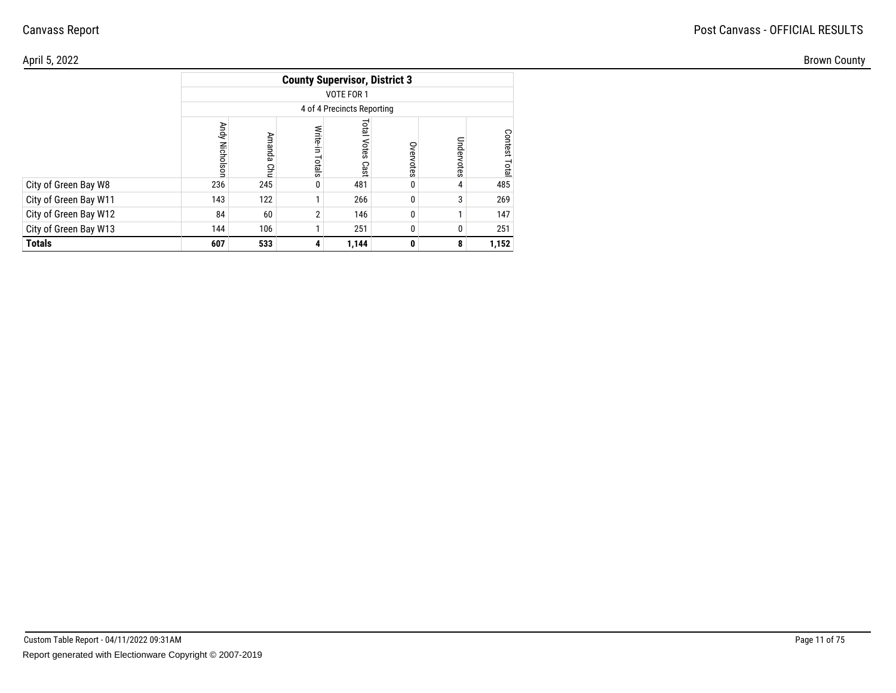| April 5, 2022         |                          |                                    |                      |                                      |                     |             |           |
|-----------------------|--------------------------|------------------------------------|----------------------|--------------------------------------|---------------------|-------------|-----------|
|                       |                          |                                    |                      | <b>County Supervisor, District 3</b> |                     |             |           |
|                       |                          |                                    |                      | VOTE FOR 1                           |                     |             |           |
|                       |                          |                                    |                      | 4 of 4 Precincts Reporting           |                     |             |           |
|                       | Andy<br><b>Nicholson</b> | È<br>$\overline{a}$<br>₹<br>൭<br>요 | Write<br>÷.<br>slals | <b>Total Votes Cast</b>              | Š<br><b>ervotes</b> | Ρmd<br>otes | ငွ<br>era |
| City of Green Bay W8  | 236                      | 245                                | $\mathbf 0$          | 481                                  | 0                   |             | 485       |
| City of Green Bay W11 | 143                      | 122                                |                      | 266                                  | 0                   |             | 269       |
| City of Green Bay W12 | 84                       | 60                                 | $\overline{2}$       | 146                                  | 0                   |             | 147       |
| City of Green Bay W13 | 144                      | 106                                |                      | 251                                  |                     |             | 251       |
| <b>Totals</b>         | 607                      | 533                                | 4                    | 1,144                                | $\mathbf{0}$        | 8           | 1,152     |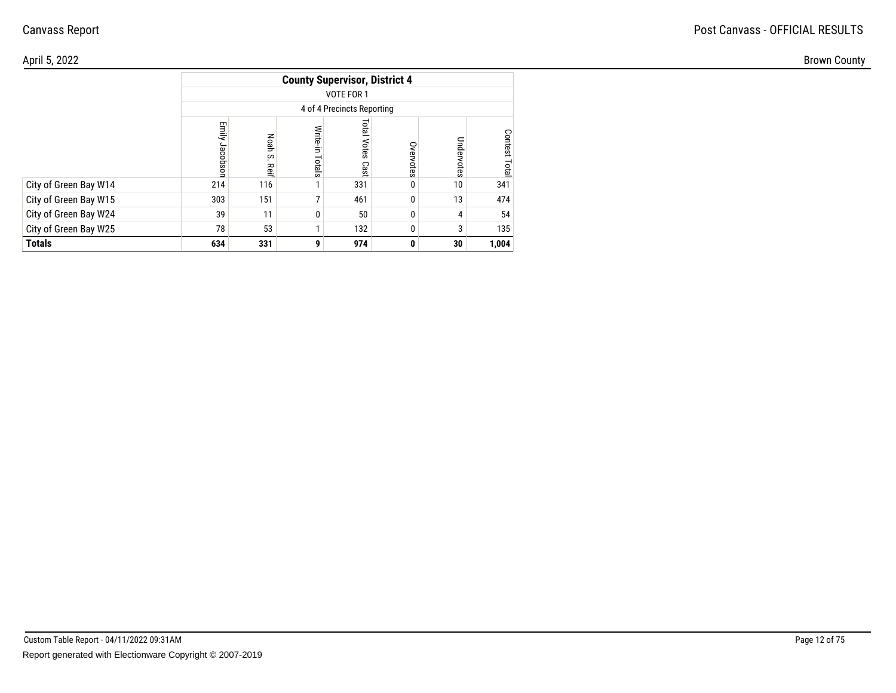| April 5, 2022         |                                      |                     |                      |                         |                     |                 |           |  |  |  |  |  |
|-----------------------|--------------------------------------|---------------------|----------------------|-------------------------|---------------------|-----------------|-----------|--|--|--|--|--|
|                       | <b>County Supervisor, District 4</b> |                     |                      |                         |                     |                 |           |  |  |  |  |  |
|                       | VOTE FOR 1                           |                     |                      |                         |                     |                 |           |  |  |  |  |  |
|                       | 4 of 4 Precincts Reporting           |                     |                      |                         |                     |                 |           |  |  |  |  |  |
|                       | Emily<br>Jacobson                    | Noah<br>ပ္ပ<br>Reif | Write<br>÷.<br>otals | <b>Total Votes Cast</b> | Š<br><b>ervotes</b> | Ξ<br>otes       | ငွ<br>era |  |  |  |  |  |
| City of Green Bay W14 | 214                                  | 116                 |                      | 331                     | 0                   | 10              | 341       |  |  |  |  |  |
| City of Green Bay W15 | 303                                  | 151                 |                      | 461                     |                     | 13              | 474       |  |  |  |  |  |
| City of Green Bay W24 | 39                                   | 11                  |                      | 50                      |                     |                 | 54        |  |  |  |  |  |
| City of Green Bay W25 | 78                                   | 53                  |                      | 132                     |                     |                 | 135       |  |  |  |  |  |
| <b>Totals</b>         | 634                                  | 331                 | 9                    | 974                     | 0                   | 30 <sup>1</sup> | 1,004     |  |  |  |  |  |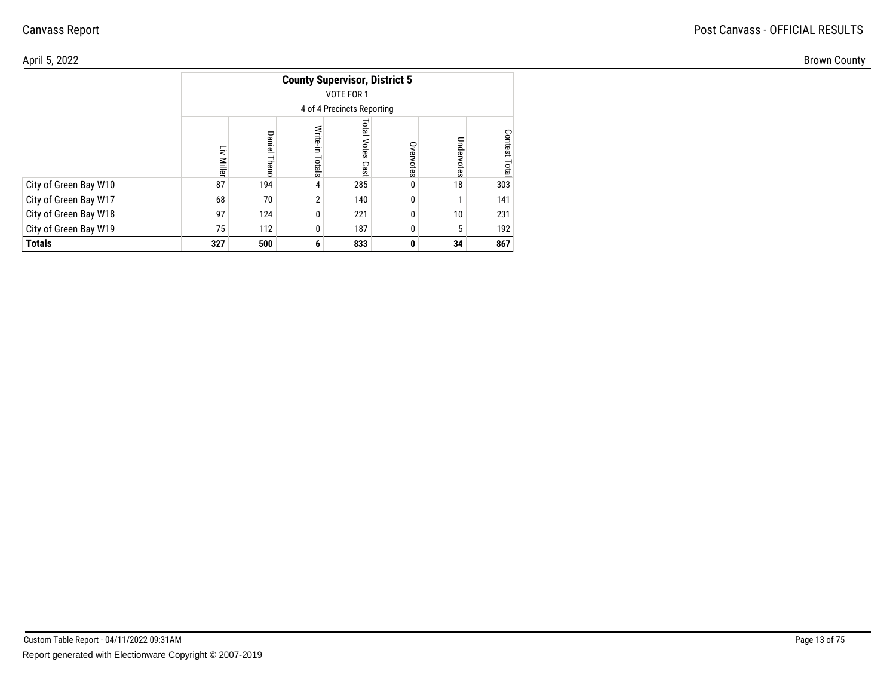| April 5, 2022         |                                      |                          |                 |                         |                     |           |         |  |  |  |  |  |
|-----------------------|--------------------------------------|--------------------------|-----------------|-------------------------|---------------------|-----------|---------|--|--|--|--|--|
|                       | <b>County Supervisor, District 5</b> |                          |                 |                         |                     |           |         |  |  |  |  |  |
|                       | VOTE FOR 1                           |                          |                 |                         |                     |           |         |  |  |  |  |  |
|                       | 4 of 4 Precincts Reporting           |                          |                 |                         |                     |           |         |  |  |  |  |  |
|                       | ΕĒ<br><b>Miller</b>                  | Daniel<br>ന<br>$\bigcap$ | Write<br>Totals | <b>Total Votes Cast</b> | Š<br><b>ervotes</b> | Ξ<br>otes | ဒ<br>ga |  |  |  |  |  |
| City of Green Bay W10 | 87                                   | 194                      | 4               | 285                     | 0                   | 18        | 303     |  |  |  |  |  |
| City of Green Bay W17 | 68                                   | 70                       | 2 <sub>1</sub>  | 140                     |                     |           | 141     |  |  |  |  |  |
| City of Green Bay W18 | 97                                   | 124                      | 0               | 221                     | 0                   | 10        | 231     |  |  |  |  |  |
| City of Green Bay W19 | 75                                   | 112                      |                 | 187                     |                     |           | 192     |  |  |  |  |  |
| <b>Totals</b>         | 327                                  | 500                      | 6               | 833                     | 0                   | 34        | 867     |  |  |  |  |  |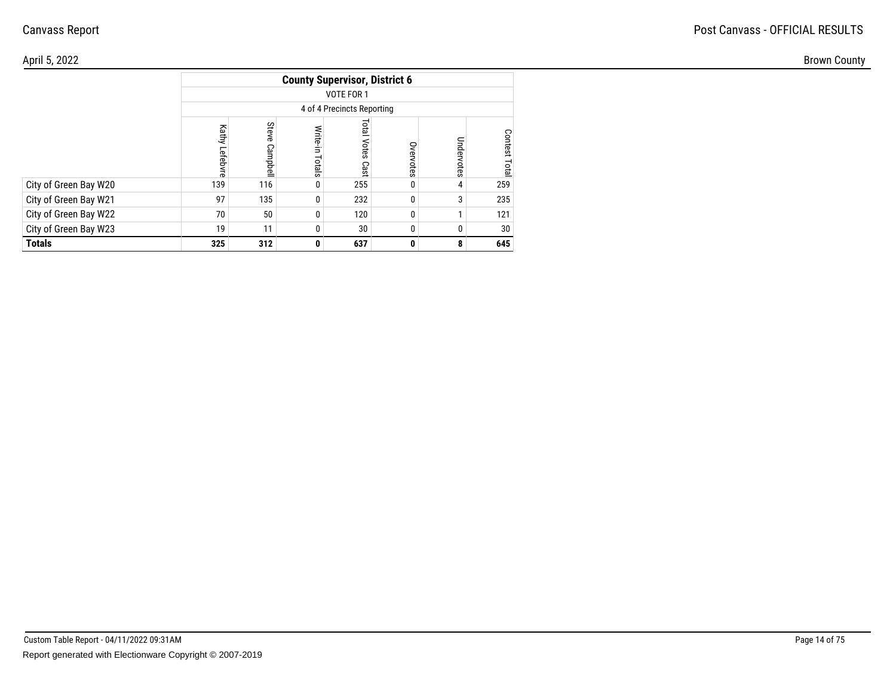| April 5, 2022         |                                      |                                 |                |                         |                     |           |         |  |  |  |  |  |
|-----------------------|--------------------------------------|---------------------------------|----------------|-------------------------|---------------------|-----------|---------|--|--|--|--|--|
|                       | <b>County Supervisor, District 6</b> |                                 |                |                         |                     |           |         |  |  |  |  |  |
|                       | VOTE FOR 1                           |                                 |                |                         |                     |           |         |  |  |  |  |  |
|                       | 4 of 4 Precincts Reporting           |                                 |                |                         |                     |           |         |  |  |  |  |  |
|                       | Kathy<br>Lefeb                       | Stev<br>◠<br>മ<br><b>Impdel</b> | Write<br>otals | <b>Total Votes Cast</b> | Š<br><b>ervotes</b> | Ξ<br>otes | ဒ<br>ga |  |  |  |  |  |
| City of Green Bay W20 | 139                                  | 116                             | $\mathbf 0$    | 255                     | 0                   |           | 259     |  |  |  |  |  |
| City of Green Bay W21 | 97                                   | 135                             | 0              | 232                     |                     |           | 235     |  |  |  |  |  |
| City of Green Bay W22 | 70                                   | 50                              | 0              | 120                     |                     |           | 121     |  |  |  |  |  |
| City of Green Bay W23 | 19                                   | 11                              |                | 30                      |                     |           | 30      |  |  |  |  |  |
| <b>Totals</b>         | 325                                  | 312                             | $\mathbf{0}$   | 637                     | 0                   | 8.        | 645     |  |  |  |  |  |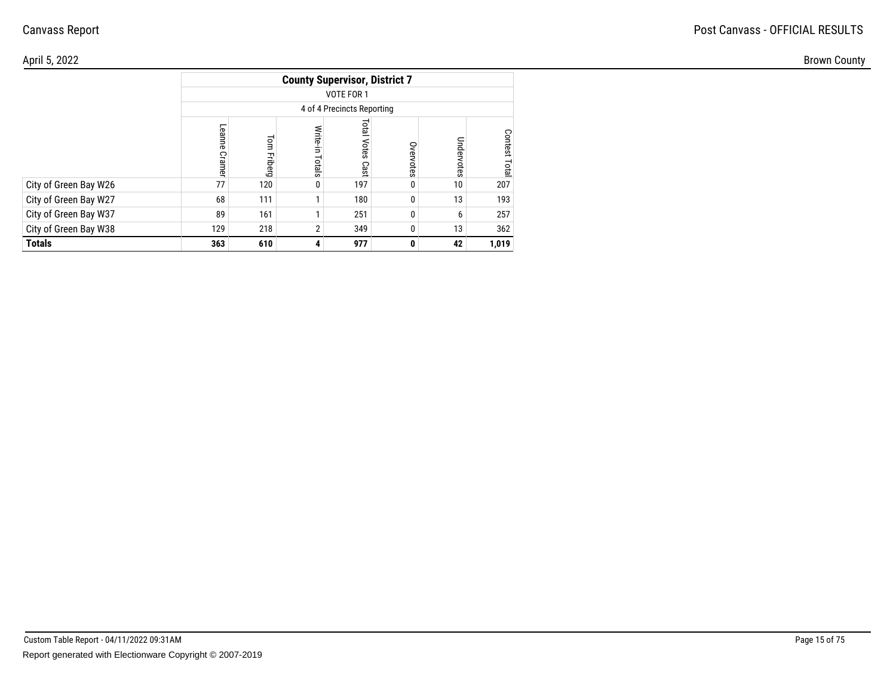| April 5, 2022         |                                      |                    |                      |                         |                     |             |           |  |  |  |  |  |
|-----------------------|--------------------------------------|--------------------|----------------------|-------------------------|---------------------|-------------|-----------|--|--|--|--|--|
|                       | <b>County Supervisor, District 7</b> |                    |                      |                         |                     |             |           |  |  |  |  |  |
|                       | VOTE FOR 1                           |                    |                      |                         |                     |             |           |  |  |  |  |  |
|                       | 4 of 4 Precincts Reporting           |                    |                      |                         |                     |             |           |  |  |  |  |  |
|                       | Leanne<br>Ğ                          | $\circ$<br>끌<br>نت | Write<br>÷<br>Totals | <b>Total Votes Cast</b> | Š<br><b>ervotes</b> | Ρmd<br>otes | ငွ<br>era |  |  |  |  |  |
| City of Green Bay W26 | 77                                   | 120                | $\mathbf 0$          | 197                     | 0                   | 10          | 207       |  |  |  |  |  |
| City of Green Bay W27 | 68                                   | 111                |                      | 180                     |                     | 13          | 193       |  |  |  |  |  |
| City of Green Bay W37 | 89                                   | 161                |                      | 251                     |                     |             | 257       |  |  |  |  |  |
| City of Green Bay W38 | 129                                  | 218                |                      | 349                     |                     | 13          | 362       |  |  |  |  |  |
| <b>Totals</b>         | 363                                  | 610                |                      | 977                     | 0                   | 42          | 1,019     |  |  |  |  |  |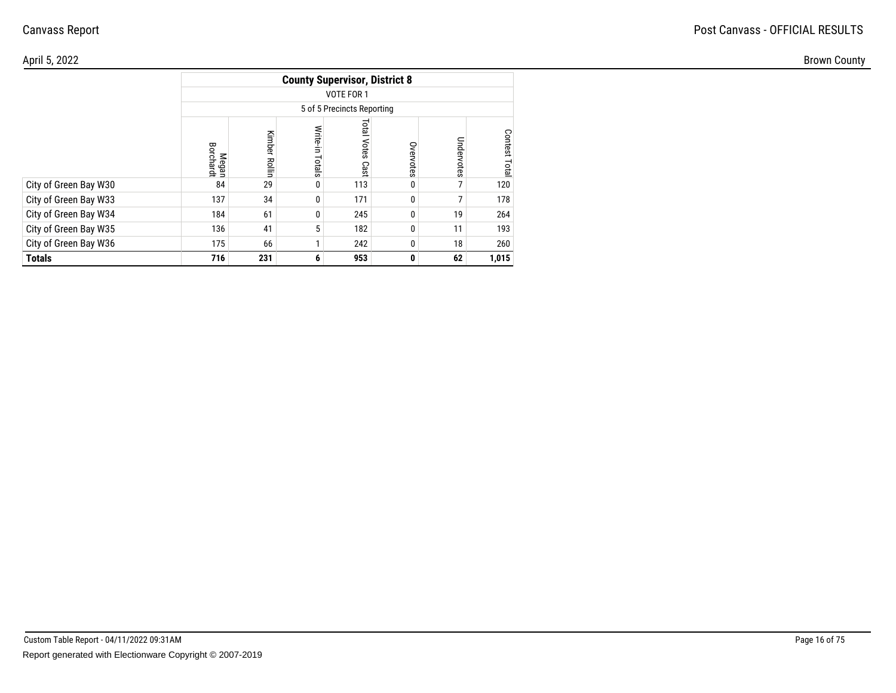| \pril 5, 2022         |                    |                    |                 |                                      |              |                |                 |
|-----------------------|--------------------|--------------------|-----------------|--------------------------------------|--------------|----------------|-----------------|
|                       |                    |                    |                 | <b>County Supervisor, District 8</b> |              |                |                 |
|                       |                    |                    |                 | VOTE FOR 1                           |              |                |                 |
|                       |                    |                    |                 | 5 of 5 Precincts Reporting           |              |                |                 |
|                       | Megan<br>Borchardt | 즢<br><b>Rollin</b> | Write<br>Totals | lero<br>Votes<br>Cast                | Overvotes    | Undel<br>votes | ငွ<br>ëst<br>نە |
| City of Green Bay W30 | 84                 | 29                 |                 | 113                                  | 0            |                | 120             |
| City of Green Bay W33 | 137                | 34                 | O               | 171                                  | 0            |                | 178             |
| City of Green Bay W34 | 184                | 61                 |                 | 245                                  | 0            | 19             | 264             |
| City of Green Bay W35 | 136                | 41                 |                 | 182                                  | 0            | 11             | 193             |
| City of Green Bay W36 | 175                | 66                 |                 | 242                                  | 0            | 18             | 260             |
| Totals                | 716                | 231                | 6               | 953                                  | $\mathbf{0}$ | 62             | 1,015           |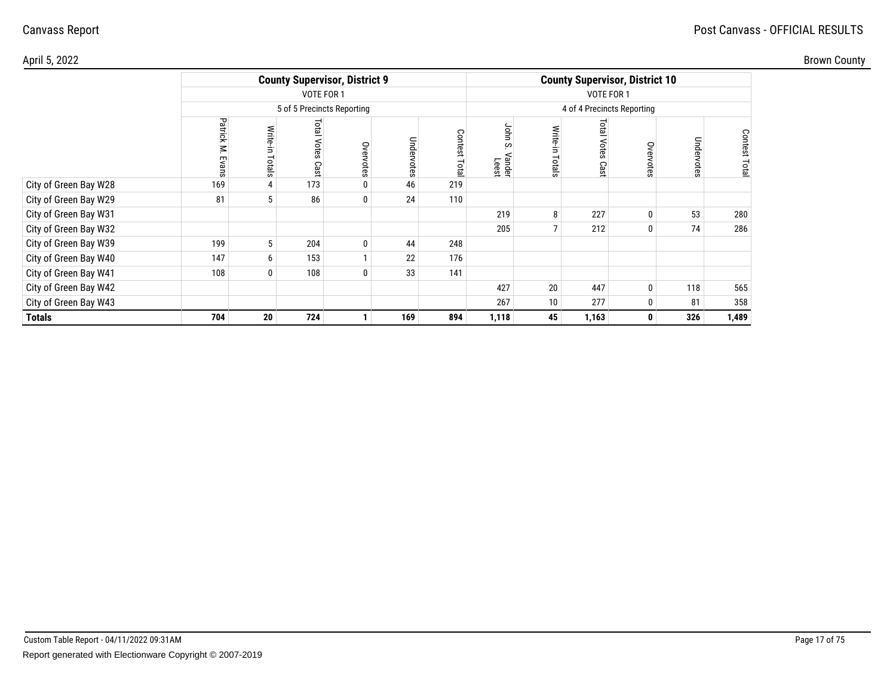| Brown County |
|--------------|
|--------------|

| April 5, 2022         |                            |                        |                        |                                      |            |                  |                              |                                       |                             |             |            |                 | <b>Brown County</b> |
|-----------------------|----------------------------|------------------------|------------------------|--------------------------------------|------------|------------------|------------------------------|---------------------------------------|-----------------------------|-------------|------------|-----------------|---------------------|
|                       |                            |                        |                        | <b>County Supervisor, District 9</b> |            |                  |                              | <b>County Supervisor, District 10</b> |                             |             |            |                 |                     |
|                       |                            |                        | VOTE FOR 1             |                                      |            |                  |                              |                                       |                             |             |            |                 |                     |
|                       | 5 of 5 Precincts Reporting |                        |                        |                                      |            |                  |                              | 4 of 4 Precincts Reporting            |                             |             |            |                 |                     |
|                       | Patrick M.<br>Eva          | <b>Write-</b><br>otals | Total<br>Votes<br>Cast | Overvotes                            | Undervotes | Contest<br>Total | John<br>S<br>/ander<br>Leest | otals                                 | <b>Lota</b><br>Votes<br>Cas | Overvote    | Undervotes | Contest<br>Tota |                     |
| City of Green Bay W28 | 169                        |                        | 173                    |                                      | 46         | 219              |                              |                                       |                             |             |            |                 |                     |
| City of Green Bay W29 | 81                         |                        | 86                     | $\mathbf 0$                          | 24         | 110              |                              |                                       |                             |             |            |                 |                     |
| City of Green Bay W31 |                            |                        |                        |                                      |            |                  | 219                          | 8                                     | 227                         |             | 53         | 280             |                     |
| City of Green Bay W32 |                            |                        |                        |                                      |            |                  | 205                          |                                       | 212                         |             | 74         | 286             |                     |
| City of Green Bay W39 | 199                        | 5                      | 204                    | 0                                    | 44         | 248              |                              |                                       |                             |             |            |                 |                     |
| City of Green Bay W40 | 147                        | 6                      | 153                    |                                      | 22         | 176              |                              |                                       |                             |             |            |                 |                     |
| City of Green Bay W41 | 108                        | $\mathbf{0}$           | 108                    |                                      | 33         | 141              |                              |                                       |                             |             |            |                 |                     |
| City of Green Bay W42 |                            |                        |                        |                                      |            |                  | 427                          | 20                                    | 447                         |             | 118        | 565             |                     |
| City of Green Bay W43 |                            |                        |                        |                                      |            |                  | 267                          | 10                                    | 277                         |             | 81         | 358             |                     |
| <b>Totals</b>         | 704                        | 20                     | 724                    | $\mathbf{1}$                         | 169        | 894              | 1,118                        | 45                                    | 1,163                       | $\mathbf 0$ | 326        | 1,489           |                     |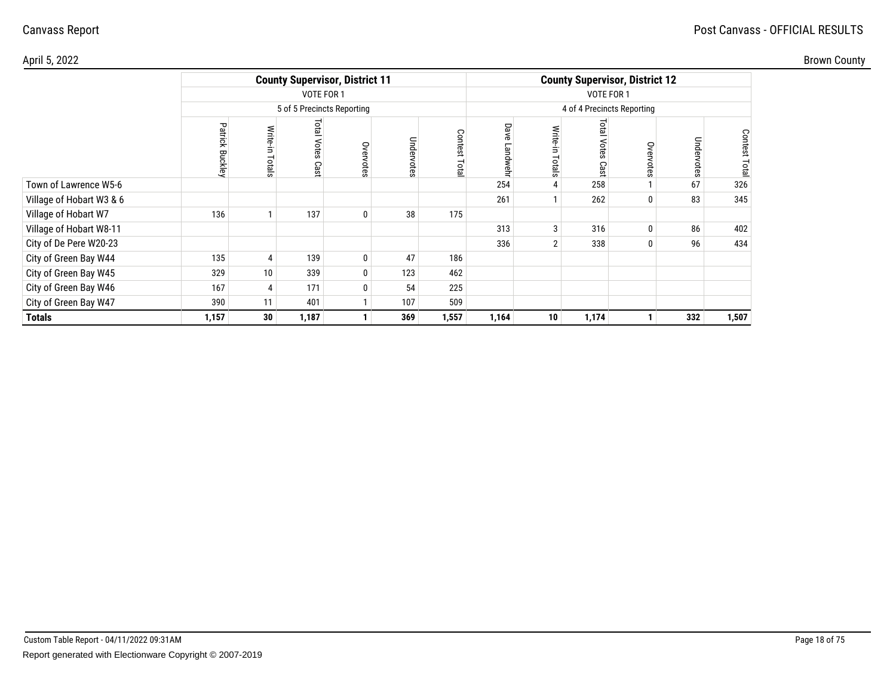|  | Brown County |
|--|--------------|
|--|--------------|

| April 5, 2022            |                           |                    |                               |                                       |            |                   |           |                                       |                          |              |            |                         | <b>Brown County</b> |
|--------------------------|---------------------------|--------------------|-------------------------------|---------------------------------------|------------|-------------------|-----------|---------------------------------------|--------------------------|--------------|------------|-------------------------|---------------------|
|                          |                           |                    |                               | <b>County Supervisor, District 11</b> |            |                   |           | <b>County Supervisor, District 12</b> |                          |              |            |                         |                     |
|                          |                           |                    | VOTE FOR 1                    |                                       |            |                   |           |                                       |                          |              |            |                         |                     |
|                          |                           |                    |                               | 5 of 5 Precincts Reporting            |            |                   |           | 4 of 4 Precincts Reporting            |                          |              |            |                         |                     |
|                          | Patrick<br><b>Buckley</b> | Write-in<br>Totals | Total<br><b>Votes</b><br>Cast | Overvotes                             | Undervotes | Conte<br>Ä<br>ota | Dave<br>₹ | 9ig<br>능                              | ier<br>E<br>Votes<br>Cas | Overvote     | Undervotes | Contest<br><b>Total</b> |                     |
| Town of Lawrence W5-6    |                           |                    |                               |                                       |            |                   | 254       |                                       | 258                      |              | 67         | 326                     |                     |
| Village of Hobart W3 & 6 |                           |                    |                               |                                       |            |                   | 261       |                                       | 262                      | 0            | 83         | 345                     |                     |
| Village of Hobart W7     | 136                       |                    | 137                           | $\bf{0}$                              | 38         | 175               |           |                                       |                          |              |            |                         |                     |
| Village of Hobart W8-11  |                           |                    |                               |                                       |            |                   | 313       | 3                                     | 316                      | $\mathbf{0}$ | 86         | 402                     |                     |
| City of De Pere W20-23   |                           |                    |                               |                                       |            |                   | 336       |                                       | 338                      |              | 96         | 434                     |                     |
| City of Green Bay W44    | 135                       | 4                  | 139                           | $\bf{0}$                              | 47         | 186               |           |                                       |                          |              |            |                         |                     |
| City of Green Bay W45    | 329                       | 10                 | 339                           | $\bf{0}$                              | 123        | 462               |           |                                       |                          |              |            |                         |                     |
| City of Green Bay W46    | 167                       | 4                  | 171                           | 0                                     | 54         | 225               |           |                                       |                          |              |            |                         |                     |
| City of Green Bay W47    | 390                       | 11                 | 401                           | $\mathbf{I}$                          | 107        | 509               |           |                                       |                          |              |            |                         |                     |
| <b>Totals</b>            | 1,157                     | 30                 | 1,187                         |                                       | 369        | 1,557             | 1,164     | 10                                    | 1,174                    |              | 332        | 1,507                   |                     |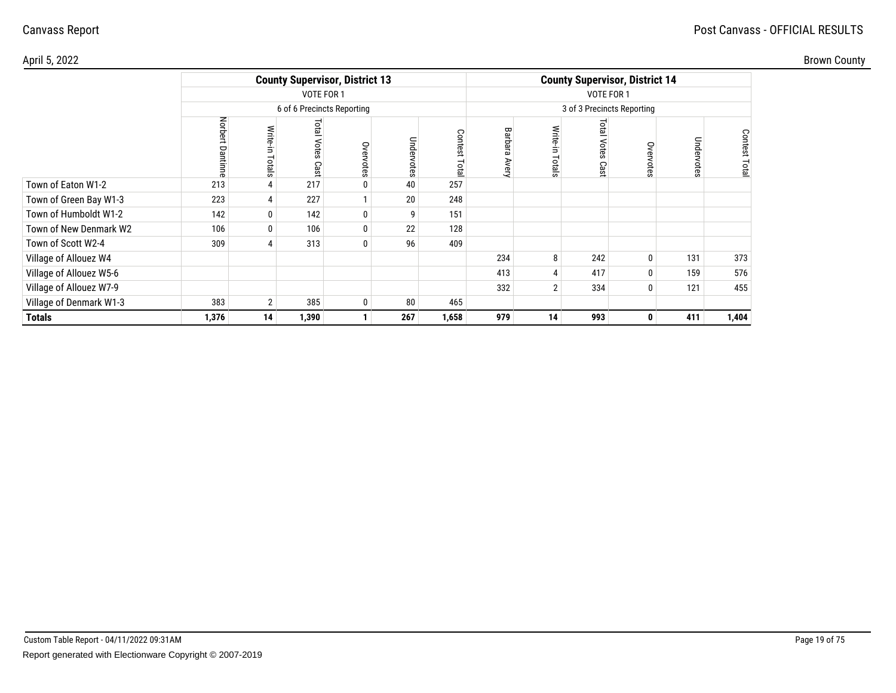| April 5, 2022           |                     |                   |                                       |              |            |                   |                        |                                       |                       |              |            |                        | <b>Brown County</b> |
|-------------------------|---------------------|-------------------|---------------------------------------|--------------|------------|-------------------|------------------------|---------------------------------------|-----------------------|--------------|------------|------------------------|---------------------|
|                         |                     |                   | <b>County Supervisor, District 13</b> |              |            |                   |                        | <b>County Supervisor, District 14</b> |                       |              |            |                        |                     |
|                         |                     |                   | VOTE FOR 1                            |              |            |                   |                        |                                       |                       |              |            |                        |                     |
|                         |                     |                   | 6 of 6 Precincts Reporting            |              |            |                   |                        | 3 of 3 Precincts Reporting            |                       |              |            |                        |                     |
|                         | Norbert<br>۵ã<br>目目 | Write-in<br>otals | <b>Lotal</b><br>Votes<br>Cast         | Overvotes    | Undervotes | Conte<br>ష<br>ota | Bar<br>ನ<br>긂<br>Avery | otals                                 | Total<br>Votes<br>Cas | Overvote     | Undervotes | Contest<br><b>Lota</b> |                     |
| Town of Eaton W1-2      | 213                 |                   | 217                                   | 0            | 40         | 257               |                        |                                       |                       |              |            |                        |                     |
| Town of Green Bay W1-3  | 223                 | 4                 | 227                                   |              | 20         | 248               |                        |                                       |                       |              |            |                        |                     |
| Town of Humboldt W1-2   | 142                 | $\overline{0}$    | 142                                   | $\bf{0}$     | 9          | 151               |                        |                                       |                       |              |            |                        |                     |
| Town of New Denmark W2  | 106                 | $\mathbf{0}$      | 106                                   | $\bf{0}$     | 22         | 128               |                        |                                       |                       |              |            |                        |                     |
| Town of Scott W2-4      | 309                 |                   | 313                                   | 0            | 96         | 409               |                        |                                       |                       |              |            |                        |                     |
| Village of Allouez W4   |                     |                   |                                       |              |            |                   | 234                    | 8                                     | 242                   | 0            | 131        | 373                    |                     |
| Village of Allouez W5-6 |                     |                   |                                       |              |            |                   | 413                    |                                       | 417                   |              | 159        | 576                    |                     |
| Village of Allouez W7-9 |                     |                   |                                       |              |            |                   | 332                    | っ                                     | 334                   | $\Omega$     | 121        | 455                    |                     |
| Village of Denmark W1-3 | 383                 | 2 <sup>1</sup>    | 385                                   | 0            | 80         | 465               |                        |                                       |                       |              |            |                        |                     |
| <b>Totals</b>           | 1,376               | 14                | 1,390                                 | $\mathbf{1}$ | 267        | 1,658             | 979                    | 14                                    | 993                   | $\mathbf{0}$ | 411        | 1,404                  |                     |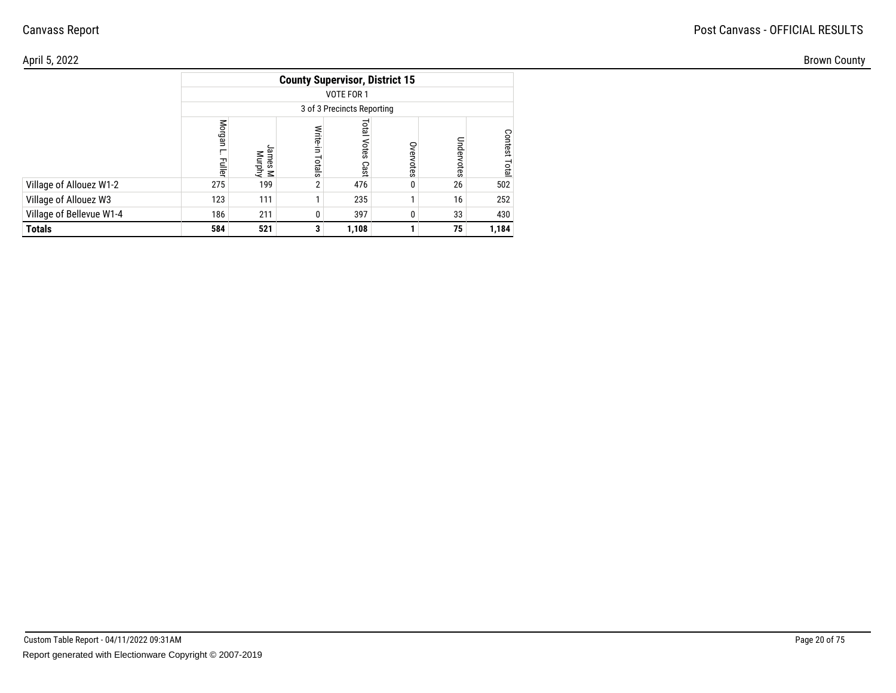#### April 5, 2022Brown County

|                          |                         |                            |                    | <b>County Supervisor, District 15</b> |           |            |                         |  |  |  |  |  |  |
|--------------------------|-------------------------|----------------------------|--------------------|---------------------------------------|-----------|------------|-------------------------|--|--|--|--|--|--|
|                          |                         | VOTE FOR 1                 |                    |                                       |           |            |                         |  |  |  |  |  |  |
|                          |                         | 3 of 3 Precincts Reporting |                    |                                       |           |            |                         |  |  |  |  |  |  |
|                          | Morgan<br><b>Fuller</b> | lames<br>ames M<br>Murphy  | Write-in<br>Totals | Total<br>Votes<br>Cast                | Overvotes | Undervotes | <b>Contest</b><br>Total |  |  |  |  |  |  |
| Village of Allouez W1-2  | 275                     | 199                        | $\overline{2}$     | 476                                   |           | 26         | 502                     |  |  |  |  |  |  |
| Village of Allouez W3    | 123                     | 111                        |                    | 235                                   |           | 16         | 252                     |  |  |  |  |  |  |
| Village of Bellevue W1-4 | 186                     | 211                        | 0                  | 397                                   |           | 33         | 430                     |  |  |  |  |  |  |
| <b>Totals</b>            | 584                     | 521                        | 3                  | 1,108                                 |           | 75         | 1,184                   |  |  |  |  |  |  |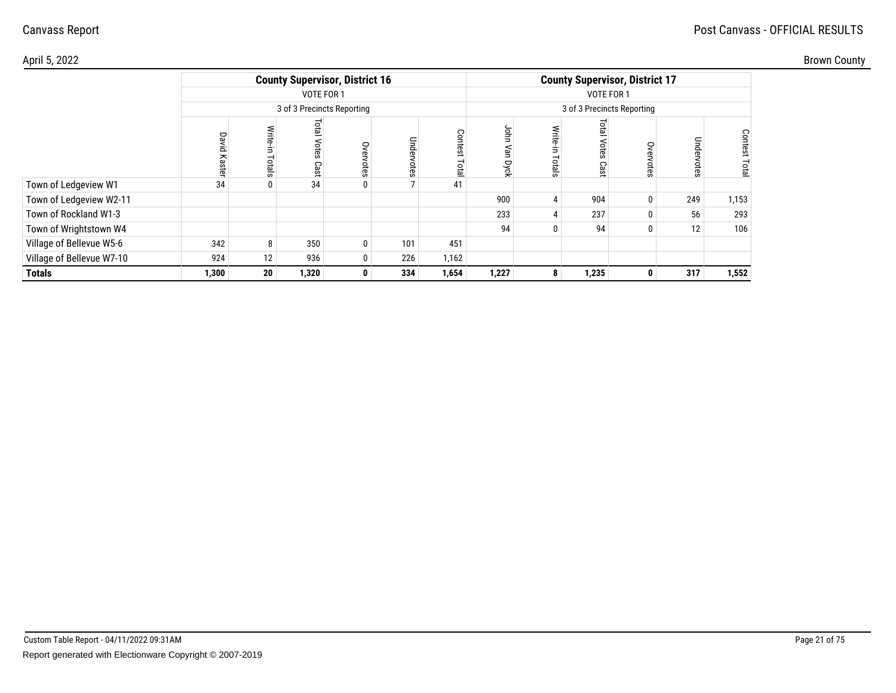| Brown County |  |
|--------------|--|
|--------------|--|

| April 5, 2022             |        |                 |                               |                                       |            |                            |                   |   |                       |                                       |            |                                 | <b>Brown County</b> |
|---------------------------|--------|-----------------|-------------------------------|---------------------------------------|------------|----------------------------|-------------------|---|-----------------------|---------------------------------------|------------|---------------------------------|---------------------|
|                           |        |                 |                               | <b>County Supervisor, District 16</b> |            |                            |                   |   |                       | <b>County Supervisor, District 17</b> |            |                                 |                     |
|                           |        |                 | VOTE FOR 1                    |                                       |            |                            |                   |   |                       | VOTE FOR 1                            |            |                                 |                     |
|                           |        |                 |                               | 3 of 3 Precincts Reporting            |            |                            |                   |   |                       | 3 of 3 Precincts Reporting            |            |                                 |                     |
|                           | ᄝ<br>အ | Write-<br>otals | <b>Total</b><br>Votes<br>Cast | Overvotes                             | Undervotes | Cont<br>$\sigma$<br>₽<br>p | g<br>∍<br>ρχ<br>≂ |   | ទ្ឋ<br>a<br>9<br>င္ၿာ | S<br>$\omega$                         | Undervotes | Contest<br>$\overline{a}$<br>்ல |                     |
| Town of Ledgeview W1      | 34     |                 | 34                            | $\mathbf{0}$                          |            | 41                         |                   |   |                       |                                       |            |                                 |                     |
| Town of Ledgeview W2-11   |        |                 |                               |                                       |            |                            | 900               |   | 904                   |                                       | 249        | 1,153                           |                     |
| Town of Rockland W1-3     |        |                 |                               |                                       |            |                            | 233               |   | 237                   |                                       | 56         | 293                             |                     |
| Town of Wrightstown W4    |        |                 |                               |                                       |            |                            | 94                |   | 94                    |                                       | 12         | 106                             |                     |
| Village of Bellevue W5-6  | 342    | 8               | 350                           | $\mathbf 0$                           | 101        | 451                        |                   |   |                       |                                       |            |                                 |                     |
| Village of Bellevue W7-10 | 924    | 12              | 936                           | 0                                     | 226        | 1,162                      |                   |   |                       |                                       |            |                                 |                     |
| <b>Totals</b>             | 1,300  | 20 <sup>1</sup> | 1,320                         | $\mathbf{0}$                          | 334        | 1,654                      | 1,227             | 8 | 1,235                 | $\mathbf{0}$                          | 317        | 1,552                           |                     |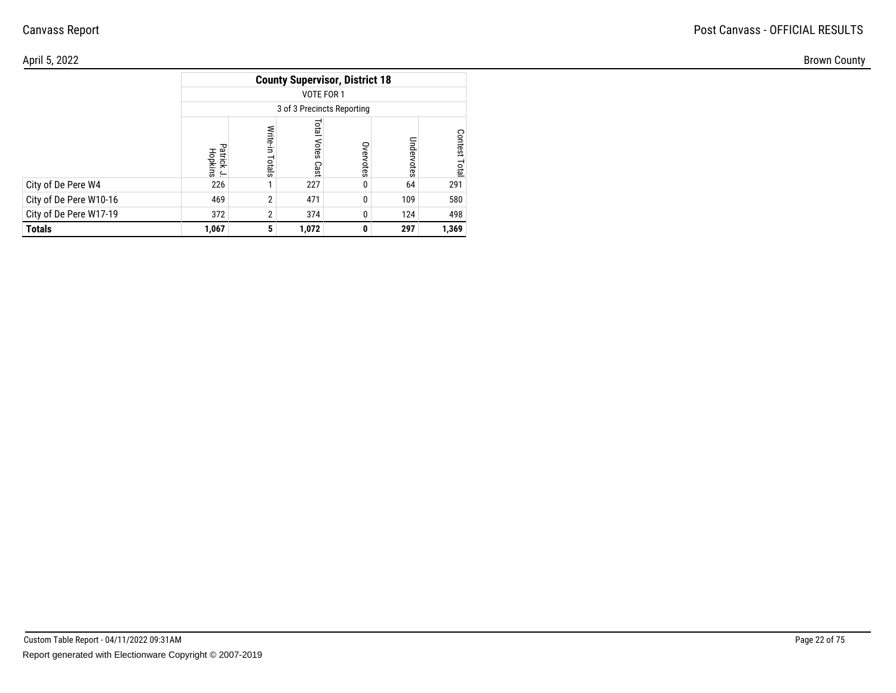| April 5, 2022          |                                   |       |                                       |              |            |                |
|------------------------|-----------------------------------|-------|---------------------------------------|--------------|------------|----------------|
|                        |                                   |       | <b>County Supervisor, District 18</b> |              |            |                |
|                        |                                   |       | VOTE FOR 1                            |              |            |                |
|                        |                                   |       | 3 of 3 Precincts Reporting            |              |            |                |
|                        | <sup>o</sup> atrick J.<br>Hopkins | otals | lial<br>Votes<br>Cast                 | S<br>otes    | Undervotes | Contest<br>ere |
| City of De Pere W4     | 226                               |       | 227                                   |              | 64         | 291            |
| City of De Pere W10-16 | 469                               |       | 471                                   |              | 109        | 580            |
| City of De Pere W17-19 | 372                               |       | 374                                   | U            | 124        | 498            |
| <b>Totals</b>          | 1,067                             |       | 1,072                                 | $\mathbf{0}$ | 297        | 1,369          |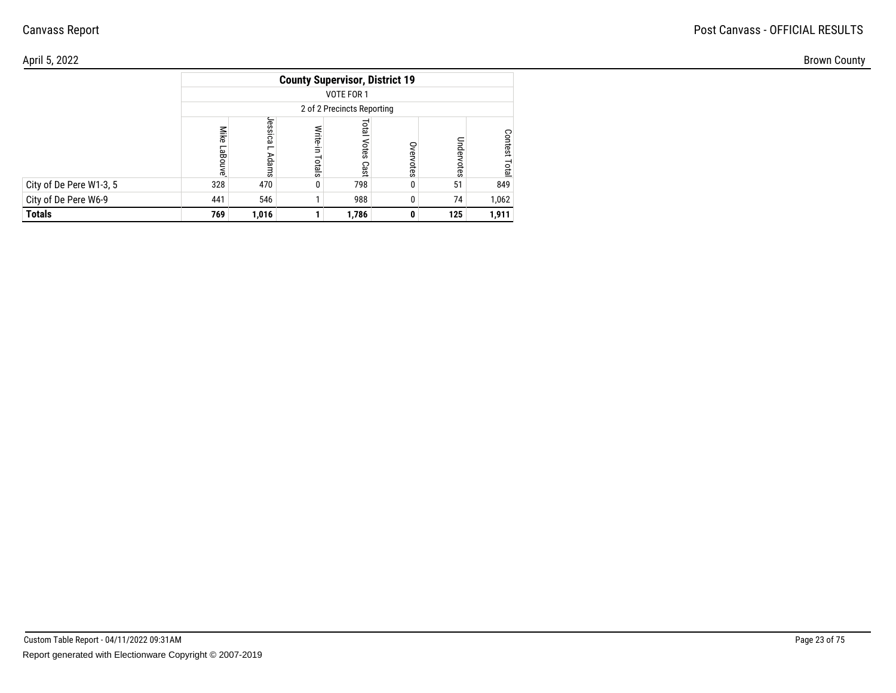| April 5, 2022           |            |                  |                |                                       |           |     |                       |
|-------------------------|------------|------------------|----------------|---------------------------------------|-----------|-----|-----------------------|
|                         |            |                  |                | <b>County Supervisor, District 19</b> |           |     |                       |
|                         |            |                  |                | VOTE FOR 1                            |           |     |                       |
|                         |            |                  |                | 2 of 2 Precincts Reporting            |           |     |                       |
|                         | Wik<br>aBi | <b>ica</b><br>5g | Write<br>otals | <b>Lotal</b><br>Votes Cast            | S<br>otes | ā   | ငွ<br>es.<br>$\alpha$ |
| City of De Pere W1-3, 5 | 328        | 470              | 0              | 798                                   |           | 51  | 849                   |
| City of De Pere W6-9    | 441        | 546              |                | 988                                   |           | 74  | 1,062                 |
| <b>Totals</b>           | 769        | 1,016            |                | 1,786                                 | 0         | 125 | 1,911                 |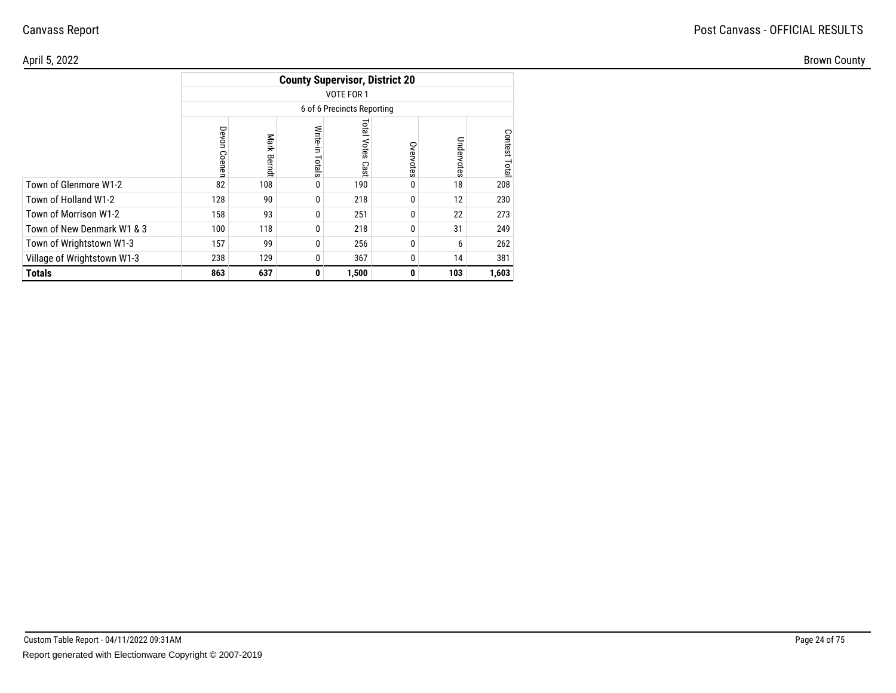| \pril 5, 2022               |     |                |                |                                       |               |                   |        |
|-----------------------------|-----|----------------|----------------|---------------------------------------|---------------|-------------------|--------|
|                             |     |                |                | <b>County Supervisor, District 20</b> |               |                   |        |
|                             |     |                |                | VOTE FOR 1                            |               |                   |        |
|                             |     |                |                | 6 of 6 Precincts Reporting            |               |                   |        |
|                             |     | Mar<br>★<br>59 | Write<br>pials | leto <sup>1</sup><br>Votes<br>Cast    | Over<br>votes | Unde<br>Note<br>Ö | ຂ<br>മ |
| Town of Glenmore W1-2       | 82  | 108            |                | 190                                   | $\mathbf{0}$  | 18                | 208    |
| Town of Holland W1-2        | 128 | 90             |                | 218                                   | 0             | 12                | 230    |
| Town of Morrison W1-2       | 158 | 93             |                | 251                                   | $\mathbf{0}$  | 22                | 273    |
| Town of New Denmark W1 & 3  | 100 | 118            |                | 218                                   | 0             | 31                | 249    |
| Town of Wrightstown W1-3    | 157 | 99             |                | 256                                   | $\mathbf{0}$  | 6                 | 262    |
| Village of Wrightstown W1-3 | 238 | 129            |                | 367                                   | 0             | 14                | 381    |
| <b>Totals</b>               | 863 | 637            | $\mathbf{0}$   | 1,500                                 | $\mathbf{0}$  | 103               | 1,603  |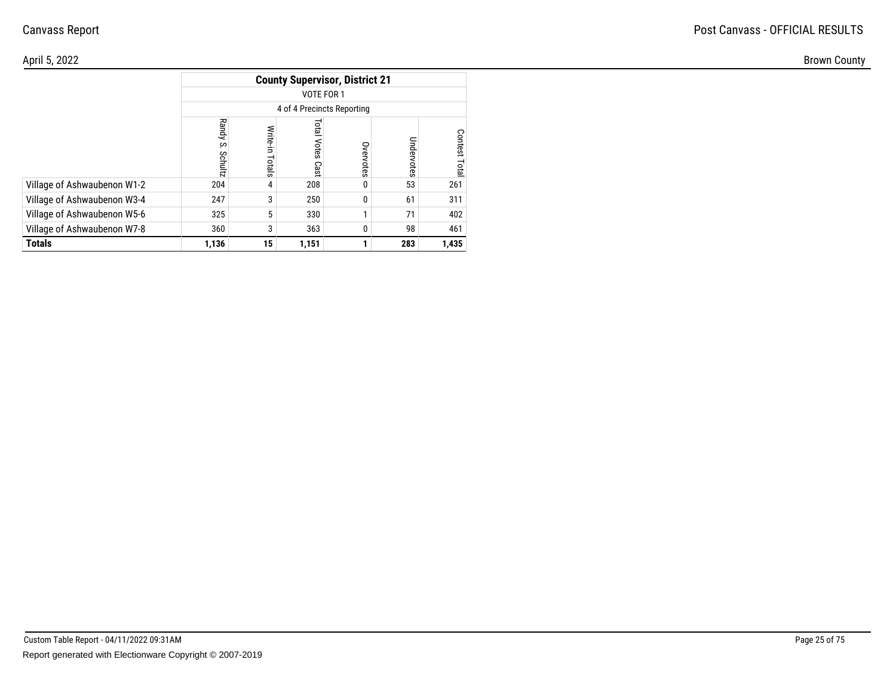| \pril 5, 2022               |                      |       |                            |                                       |               |                  |
|-----------------------------|----------------------|-------|----------------------------|---------------------------------------|---------------|------------------|
|                             |                      |       |                            | <b>County Supervisor, District 21</b> |               |                  |
|                             |                      |       | VOTE FOR 1                 |                                       |               |                  |
|                             |                      |       | 4 of 4 Precincts Reporting |                                       |               |                  |
|                             | Ran<br>ਵ<br>S<br>င္က | rtals | ដូ<br>Votes<br>Cast        | S<br>Œ<br>votes                       | Unde<br>votes | Contest<br>Total |
| Village of Ashwaubenon W1-2 | 204                  |       | 208                        |                                       | 53            | 261              |
| Village of Ashwaubenon W3-4 | 247                  |       | 250                        | 0                                     | 61            | 311              |
| Village of Ashwaubenon W5-6 | 325                  |       | 330                        |                                       | 71            | 402              |
| Village of Ashwaubenon W7-8 | 360                  |       | 363                        |                                       | 98            | 461              |
| <b>Totals</b>               | 1,136                | 15    | 1,151                      |                                       | 283           | 1,435            |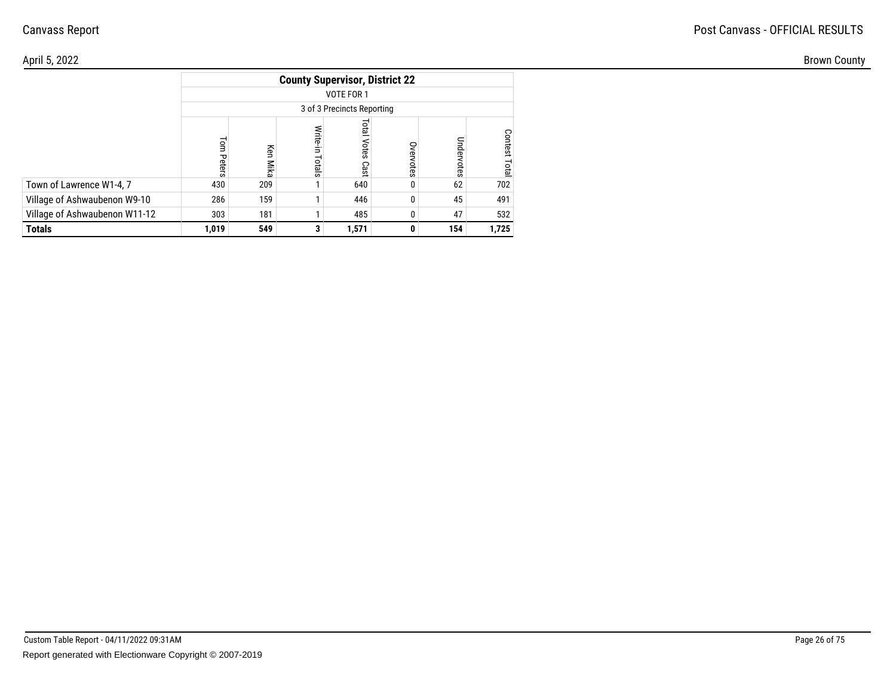| April 5, 2022                 |              |             |                                       |                               |              |          |       |
|-------------------------------|--------------|-------------|---------------------------------------|-------------------------------|--------------|----------|-------|
|                               |              |             | <b>County Supervisor, District 22</b> |                               |              |          |       |
|                               |              |             |                                       | VOTE FOR 1                    |              |          |       |
|                               |              |             |                                       | 3 of 3 Precincts Reporting    |              |          |       |
|                               | Tom<br>Peter | Ķen<br>Mika | Write-in<br>otals                     | Total<br><b>Votes</b><br>Cast | ○<br>ਫ਼<br>Ö | ō<br>ūes | ငွ    |
| Town of Lawrence W1-4, 7      | 430          | 209         |                                       | 640                           | $\mathbf{0}$ | 62       | 702   |
| Village of Ashwaubenon W9-10  | 286          | 159         |                                       | 446                           | 0            | 45       | 491   |
| Village of Ashwaubenon W11-12 | 303          | 181         |                                       | 485                           | 0            | 47       | 532   |
| <b>Totals</b>                 | 1,019        | 549         | 3 <sup>1</sup>                        | 1,571                         | $\mathbf{0}$ | 154      | 1,725 |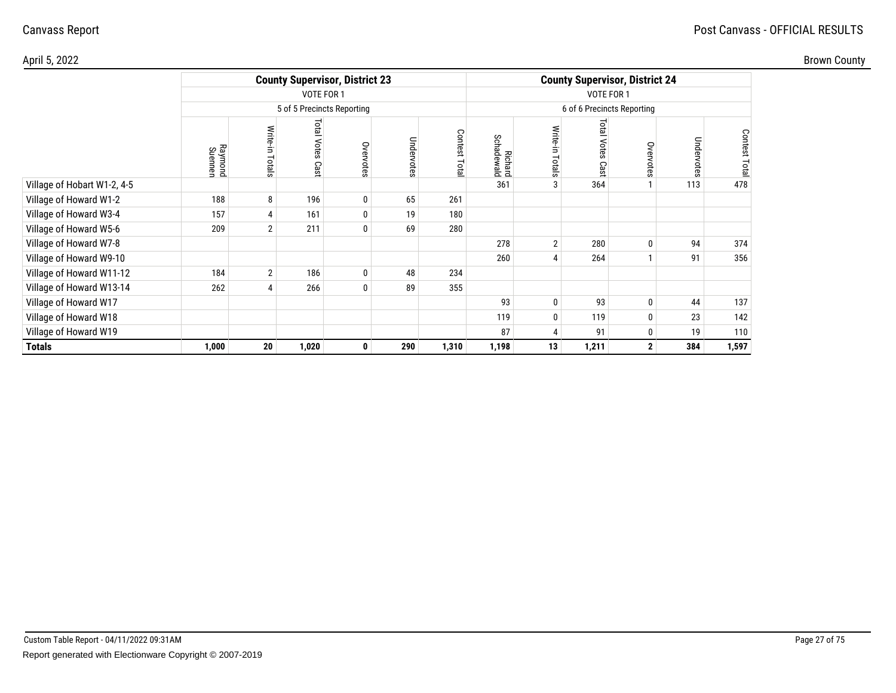| Brown County |
|--------------|
|--------------|

| April 5, 2022               |                    |                    |                            |                                       |            |                |                              |                |                       |                                       |            |               | <b>Brown County</b> |
|-----------------------------|--------------------|--------------------|----------------------------|---------------------------------------|------------|----------------|------------------------------|----------------|-----------------------|---------------------------------------|------------|---------------|---------------------|
|                             |                    |                    |                            | <b>County Supervisor, District 23</b> |            |                |                              |                |                       | <b>County Supervisor, District 24</b> |            |               |                     |
|                             |                    |                    | VOTE FOR 1                 |                                       |            |                |                              |                | VOTE FOR 1            |                                       |            |               |                     |
|                             |                    |                    | 5 of 5 Precincts Reporting |                                       |            |                |                              |                |                       | 6 of 6 Precincts Reporting            |            |               |                     |
|                             | Raymond<br>Suennen | Write-in<br>Totals | Total Votes<br>Cast        | Overvotes                             | Undervotes | Contest<br>ota | <b>Richard</b><br>Schadewald | Write<br>otals | Total<br>Votes<br>Cas | Overvotes                             | Undervotes | Contest Total |                     |
| Village of Hobart W1-2, 4-5 |                    |                    |                            |                                       |            |                | 361                          |                | 364                   |                                       | 113        | 478           |                     |
| Village of Howard W1-2      | 188                | 8                  | 196                        | $\pmb{0}$                             | 65         | 261            |                              |                |                       |                                       |            |               |                     |
| Village of Howard W3-4      | 157                | 4                  | 161                        | $\pmb{0}$                             | 19         | 180            |                              |                |                       |                                       |            |               |                     |
| Village of Howard W5-6      | 209                | $\overline{2}$     | 211                        | $\bf{0}$                              | 69         | 280            |                              |                |                       |                                       |            |               |                     |
| Village of Howard W7-8      |                    |                    |                            |                                       |            |                | 278                          | $\overline{2}$ | 280                   |                                       | 94         | 374           |                     |
| Village of Howard W9-10     |                    |                    |                            |                                       |            |                | 260                          |                | 264                   |                                       | 91         | 356           |                     |
| Village of Howard W11-12    | 184                | $\overline{2}$     | 186                        | $\pmb{0}$                             | 48         | 234            |                              |                |                       |                                       |            |               |                     |
| Village of Howard W13-14    | 262                | 4                  | 266                        | $\pmb{0}$                             | 89         | 355            |                              |                |                       |                                       |            |               |                     |
| Village of Howard W17       |                    |                    |                            |                                       |            |                | 93                           | 0              | 93                    | 0                                     | 44         | 137           |                     |
| Village of Howard W18       |                    |                    |                            |                                       |            |                | 119                          |                | 119                   |                                       | 23         | 142           |                     |
| Village of Howard W19       |                    |                    |                            |                                       |            |                | 87                           |                | 91                    | $\mathbf{0}$                          | 19         | 110           |                     |
| <b>Totals</b>               | 1,000              | 20                 | 1,020                      | $\mathbf 0$                           | 290        | 1,310          | 1,198                        | 13             | 1,211                 | $\mathbf{2}$                          | 384        | 1,597         |                     |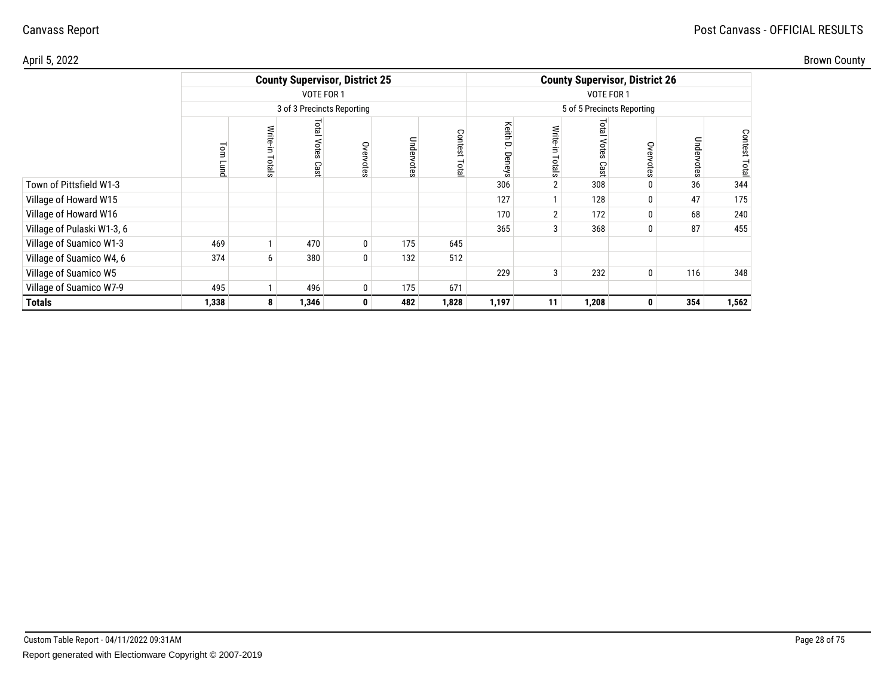| Brown County |
|--------------|
|              |

| April 5, 2022              |       |                    |                      |                                       |            |                                  |                               |    |                      |                                       |            |                         | <b>Brown County</b> |
|----------------------------|-------|--------------------|----------------------|---------------------------------------|------------|----------------------------------|-------------------------------|----|----------------------|---------------------------------------|------------|-------------------------|---------------------|
|                            |       |                    |                      | <b>County Supervisor, District 25</b> |            |                                  |                               |    |                      | <b>County Supervisor, District 26</b> |            |                         |                     |
|                            |       |                    | VOTE FOR 1           |                                       |            |                                  |                               |    | VOTE FOR 1           |                                       |            |                         |                     |
|                            |       |                    |                      | 3 of 3 Precincts Reporting            |            |                                  |                               |    |                      | 5 of 5 Precincts Reporting            |            |                         |                     |
|                            |       | Write-in<br>Totals | lsic<br>Votes<br>Cas | Overvotes                             | Undervotes | ငွ<br>$\sigma$<br>S.<br>$\omega$ | Keith<br>▭<br>υ€λ<br>$\omega$ | ⋚  | isil<br>Votes<br>Cas | Over<br>$\omega$                      | Undervotes | Conte<br>Ä<br><u>ទុ</u> |                     |
| Town of Pittsfield W1-3    |       |                    |                      |                                       |            |                                  | 306                           |    | 308                  |                                       | 36         | 344                     |                     |
| Village of Howard W15      |       |                    |                      |                                       |            |                                  | 127                           |    | 128                  | $\bf{0}$                              | 47         | 175                     |                     |
| Village of Howard W16      |       |                    |                      |                                       |            |                                  | 170                           |    | 172                  | 0                                     | 68         | 240                     |                     |
| Village of Pulaski W1-3, 6 |       |                    |                      |                                       |            |                                  | 365                           |    | 368                  | $\mathbf{0}$                          | 87         | 455                     |                     |
| Village of Suamico W1-3    | 469   |                    | 470                  | 0                                     | 175        | 645                              |                               |    |                      |                                       |            |                         |                     |
| Village of Suamico W4, 6   | 374   | 6                  | 380                  | 0                                     | 132        | 512                              |                               |    |                      |                                       |            |                         |                     |
| Village of Suamico W5      |       |                    |                      |                                       |            |                                  | 229                           | 3  | 232                  | 0                                     | 116        | 348                     |                     |
| Village of Suamico W7-9    | 495   |                    | 496                  | $\mathbf{0}$                          | 175        | 671                              |                               |    |                      |                                       |            |                         |                     |
| <b>Totals</b>              | 1,338 | 8                  | 1,346                | $\mathbf{0}$                          | 482        | 1,828                            | 1,197                         | 11 | 1,208                | $\mathbf{0}$                          | 354        | 1,562                   |                     |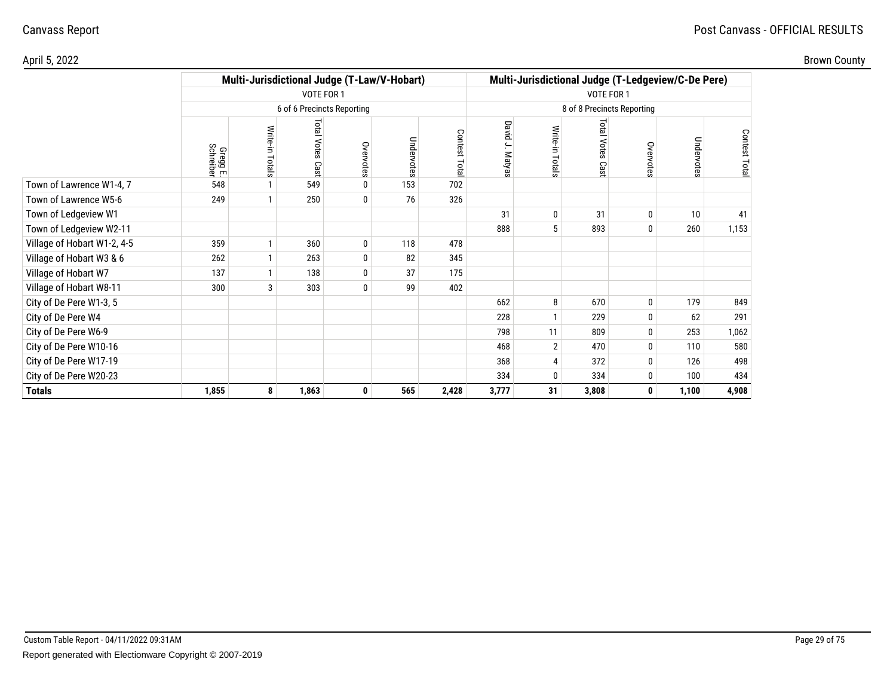| Brown County |
|--------------|
|--------------|

| \pril 5, 2022               |                       |                                             |                           |                            |            |                                                     |                            |                           |                       |              |                                                    |              |  |
|-----------------------------|-----------------------|---------------------------------------------|---------------------------|----------------------------|------------|-----------------------------------------------------|----------------------------|---------------------------|-----------------------|--------------|----------------------------------------------------|--------------|--|
|                             |                       | Multi-Jurisdictional Judge (T-Law/V-Hobart) |                           |                            |            |                                                     |                            |                           |                       |              | Multi-Jurisdictional Judge (T-Ledgeview/C-De Pere) |              |  |
|                             |                       |                                             | VOTE FOR 1                |                            |            |                                                     | VOTE FOR 1                 |                           |                       |              |                                                    |              |  |
|                             |                       |                                             |                           | 6 of 6 Precincts Reporting |            |                                                     | 8 of 8 Precincts Reporting |                           |                       |              |                                                    |              |  |
|                             | Gregg E.<br>Schreiber | Write-in<br>Totals                          | <b>Total Votes</b><br>Cas | Overvotes                  | Undervotes | <b>Contest</b><br>$\overline{\phantom{0}}$<br>le po | David<br>ے<br>Matyas       | Write-in<br><b>Totals</b> | Total<br>Votes<br>Cas | Overvotes    | Undervotes                                         | Contest Tota |  |
| Town of Lawrence W1-4, 7    | 548                   |                                             | 549                       | $\mathbf{0}$               | 153        | 702                                                 |                            |                           |                       |              |                                                    |              |  |
| Town of Lawrence W5-6       | 249                   |                                             | 250                       | $\mathbf 0$                | 76         | 326                                                 |                            |                           |                       |              |                                                    |              |  |
| Town of Ledgeview W1        |                       |                                             |                           |                            |            |                                                     | 31                         | $\Omega$                  | 31                    | $\bf{0}$     | 10                                                 | 41           |  |
| Town of Ledgeview W2-11     |                       |                                             |                           |                            |            |                                                     | 888                        |                           | 893                   | $\mathbf{0}$ | 260                                                | 1,153        |  |
| Village of Hobart W1-2, 4-5 | 359                   |                                             | 360                       | $\pmb{0}$                  | 118        | 478                                                 |                            |                           |                       |              |                                                    |              |  |
| Village of Hobart W3 & 6    | 262                   |                                             | 263                       | $\pmb{0}$                  | 82         | 345                                                 |                            |                           |                       |              |                                                    |              |  |
| Village of Hobart W7        | 137                   |                                             | 138                       | $\bf{0}$                   | 37         | 175                                                 |                            |                           |                       |              |                                                    |              |  |
| Village of Hobart W8-11     | 300                   | 3                                           | 303                       | $\mathbf 0$                | 99         | 402                                                 |                            |                           |                       |              |                                                    |              |  |
| City of De Pere W1-3, 5     |                       |                                             |                           |                            |            |                                                     | 662                        | 8                         | 670                   | $\bf{0}$     | 179                                                | 849          |  |
| City of De Pere W4          |                       |                                             |                           |                            |            |                                                     | 228                        |                           | 229                   | $\mathbf{0}$ | 62                                                 | 291          |  |
| City of De Pere W6-9        |                       |                                             |                           |                            |            |                                                     | 798                        | 11                        | 809                   | $\mathbf{0}$ | 253                                                | 1,062        |  |
| City of De Pere W10-16      |                       |                                             |                           |                            |            |                                                     | 468                        | $\overline{2}$            | 470                   | $\mathbf{0}$ | 110                                                | 580          |  |
| City of De Pere W17-19      |                       |                                             |                           |                            |            |                                                     | 368                        |                           | 372                   | 0            | 126                                                | 498          |  |
| City of De Pere W20-23      |                       |                                             |                           |                            |            |                                                     | 334                        | $\Omega$                  | 334                   | 0            | 100                                                | 434          |  |
| <b>Totals</b>               | 1,855                 | 8                                           | 1,863                     | 0                          | 565        | 2,428                                               | 3,777                      | 31                        | 3,808                 | 0            | 1,100                                              | 4,908        |  |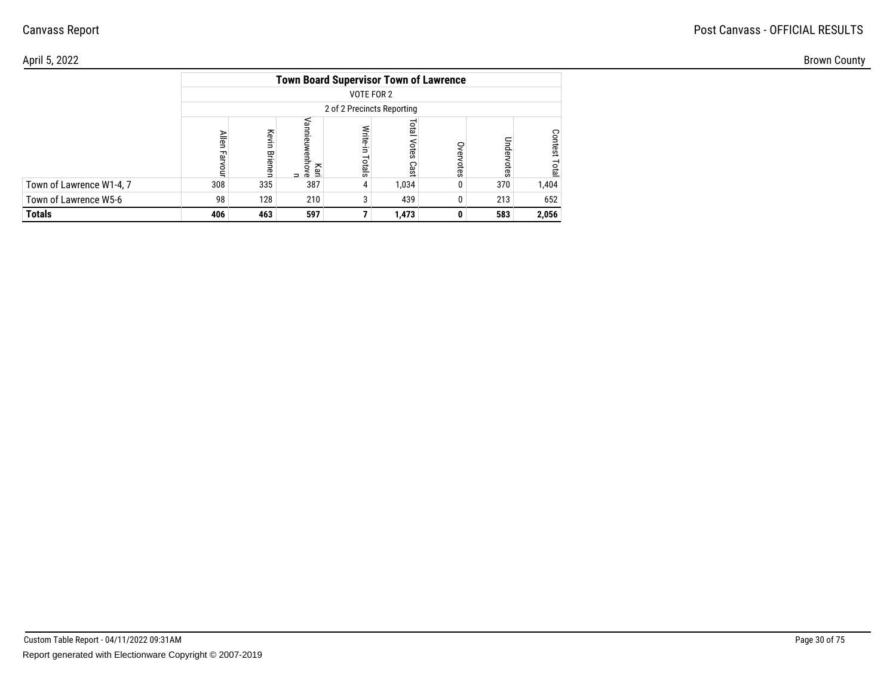| April 5, 2022            |       |                           |                  |                                               |                             |              |     |       | <b>Brown County</b> |
|--------------------------|-------|---------------------------|------------------|-----------------------------------------------|-----------------------------|--------------|-----|-------|---------------------|
|                          |       |                           |                  | <b>Town Board Supervisor Town of Lawrence</b> |                             |              |     |       |                     |
|                          |       |                           |                  | VOTE FOR 2                                    |                             |              |     |       |                     |
|                          |       |                           |                  | 2 of 2 Precincts Reporting                    |                             |              |     |       |                     |
|                          | Allen | ᆽ<br>Ô<br>∍<br>뫂.<br>enen | ី ខ្លួ<br>= ខ្លួ | <b>Write</b><br>Totals                        | <b>Paid</b><br>otes<br>Cast | 9<br>ನ<br>Ö. |     |       |                     |
| Town of Lawrence W1-4, 7 | 308   | 335                       | 387              | $\overline{4}$                                | 1,034                       |              | 370 | 1,404 |                     |
| Town of Lawrence W5-6    | 98    | 128                       | 210              | 3                                             | 439                         |              | 213 | 652   |                     |
| <b>Totals</b>            | 406   | 463                       | 597              |                                               | 1,473                       |              | 583 | 2,056 |                     |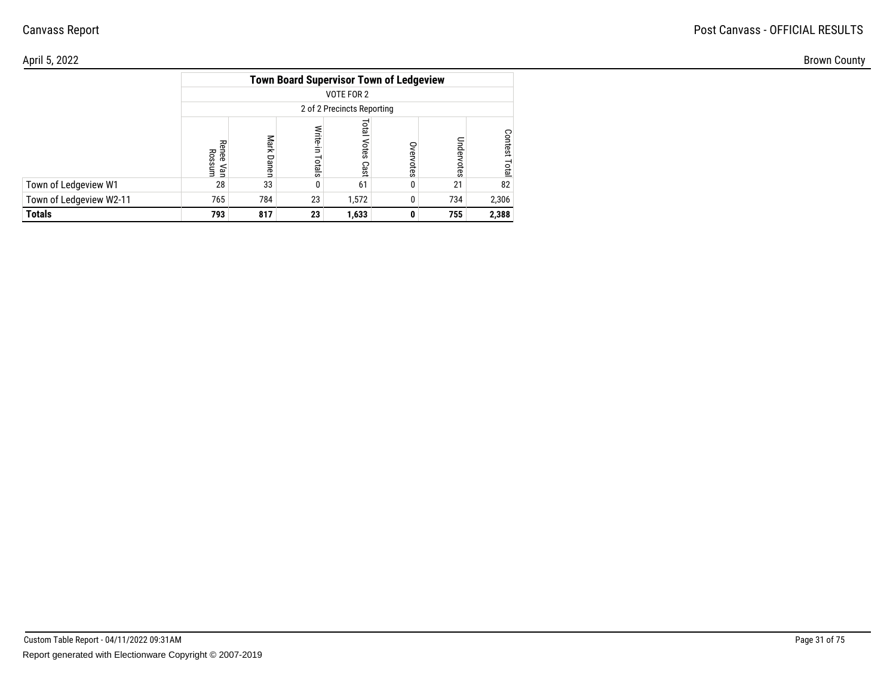| \pril 5, 2022           |            |                            |                                                |            |   |     |       |  |  |  |  |  |
|-------------------------|------------|----------------------------|------------------------------------------------|------------|---|-----|-------|--|--|--|--|--|
|                         |            |                            | <b>Town Board Supervisor Town of Ledgeview</b> |            |   |     |       |  |  |  |  |  |
|                         |            |                            |                                                | VOTE FOR 2 |   |     |       |  |  |  |  |  |
|                         |            | 2 of 2 Precincts Reporting |                                                |            |   |     |       |  |  |  |  |  |
|                         |            |                            |                                                |            |   |     | ⌒     |  |  |  |  |  |
|                         | nee<br>Ros |                            |                                                | ores       |   |     |       |  |  |  |  |  |
|                         | yan<br>≲um |                            | otals                                          | Cast       |   |     |       |  |  |  |  |  |
| Town of Ledgeview W1    | 28         | 33                         |                                                | 61         | 0 | 21  | 82    |  |  |  |  |  |
| Town of Ledgeview W2-11 | 765        | 784                        | 23                                             | 1,572      | 0 | 734 | 2,306 |  |  |  |  |  |
| Totals                  | 793        | 817                        | 23                                             | 1,633      | 0 | 755 | 2,388 |  |  |  |  |  |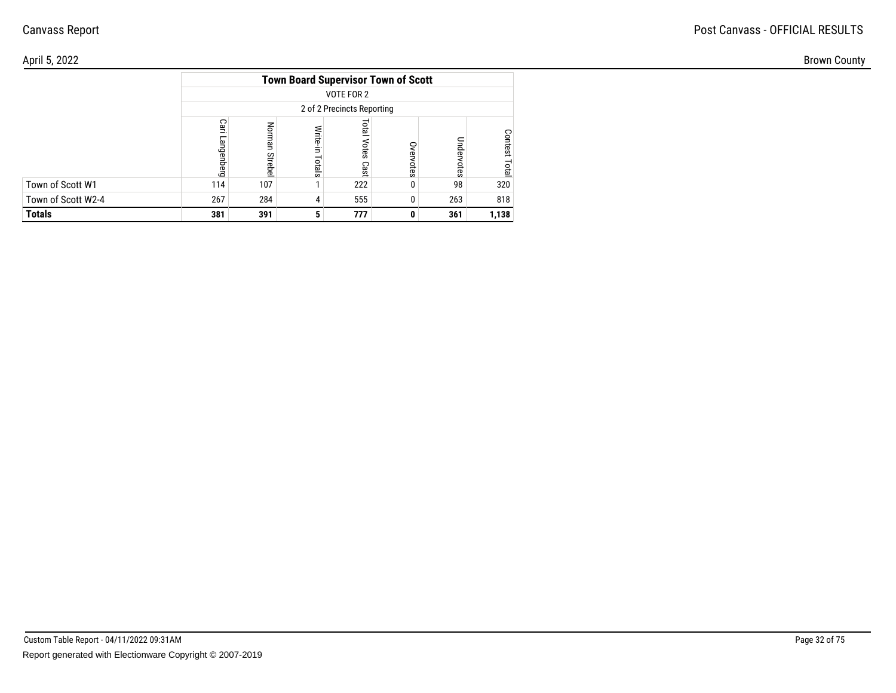| \pril 5, 2022      |     |     |              |                                            |   |     |       | <b>Brown County</b> |
|--------------------|-----|-----|--------------|--------------------------------------------|---|-----|-------|---------------------|
|                    |     |     |              | <b>Town Board Supervisor Town of Scott</b> |   |     |       |                     |
|                    |     |     |              | VOTE FOR 2                                 |   |     |       |                     |
|                    |     |     |              | 2 of 2 Precincts Reporting                 |   |     |       |                     |
|                    | ౧   | တ   | <b>Slats</b> | otes<br>Cast                               |   | pun | O.    |                     |
| Town of Scott W1   | 114 | 107 |              | 222                                        | 0 | 98  | 320   |                     |
| Town of Scott W2-4 | 267 | 284 |              | 555                                        | O | 263 | 818   |                     |
| Totals             | 381 | 391 |              | 777                                        | 0 | 361 | 1,138 |                     |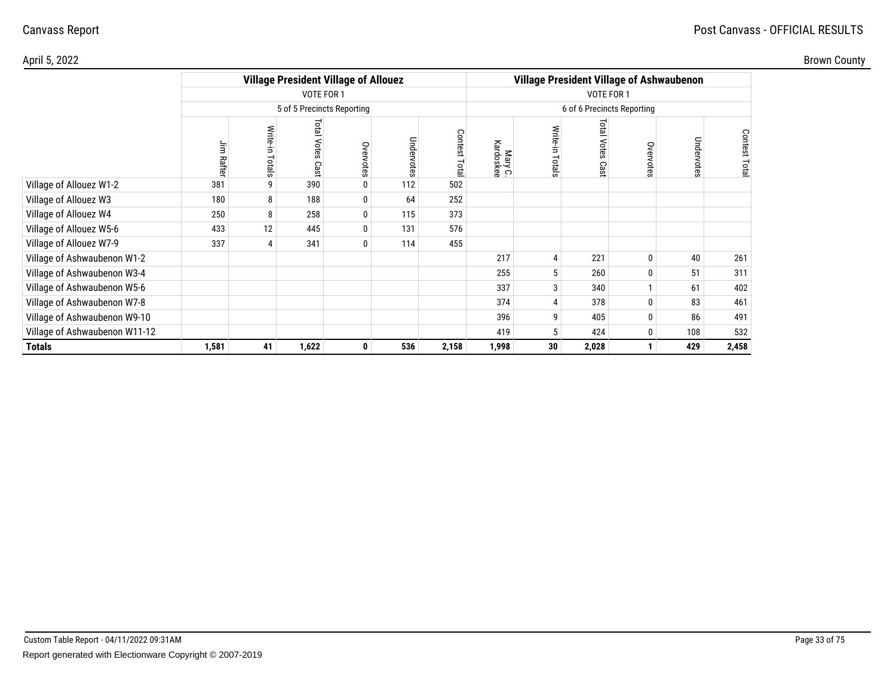| Brown County |  |  |
|--------------|--|--|
|--------------|--|--|

| April 5, 2022                 |            |                   |                            |                                             |            |                |                      |       |                               |                                                 |            |              | <b>Brown County</b> |
|-------------------------------|------------|-------------------|----------------------------|---------------------------------------------|------------|----------------|----------------------|-------|-------------------------------|-------------------------------------------------|------------|--------------|---------------------|
|                               |            |                   |                            | <b>Village President Village of Allouez</b> |            |                |                      |       |                               | <b>Village President Village of Ashwaubenon</b> |            |              |                     |
|                               |            |                   | VOTE FOR 1                 |                                             |            |                |                      |       |                               |                                                 |            |              |                     |
|                               |            |                   | 5 of 5 Precincts Reporting |                                             |            |                |                      |       |                               |                                                 |            |              |                     |
|                               | Ξ<br>Rafte | Write-in<br>otals | <b>Total Votes</b><br>Cas  | Overvotes                                   | Undervotes | Contest<br>ota | Mary C.<br>Kardoskee | otals | <b>Total</b><br>Votes<br>Cast | Overvotes                                       | Undervotes | Contest Tota |                     |
| Village of Allouez W1-2       | 381        |                   | 390                        | 0                                           | 112        | 502            |                      |       |                               |                                                 |            |              |                     |
| Village of Allouez W3         | 180        | 8                 | 188                        | 0                                           | 64         | 252            |                      |       |                               |                                                 |            |              |                     |
| Village of Allouez W4         | 250        | 8                 | 258                        | 0                                           | 115        | 373            |                      |       |                               |                                                 |            |              |                     |
| Village of Allouez W5-6       | 433        | 12                | 445                        | 0                                           | 131        | 576            |                      |       |                               |                                                 |            |              |                     |
| Village of Allouez W7-9       | 337        |                   | 341                        | 0                                           | 114        | 455            |                      |       |                               |                                                 |            |              |                     |
| Village of Ashwaubenon W1-2   |            |                   |                            |                                             |            |                | 217                  |       | 221                           |                                                 | 40         | 261          |                     |
| Village of Ashwaubenon W3-4   |            |                   |                            |                                             |            |                | 255                  |       | 260                           |                                                 | 51         | 311          |                     |
| Village of Ashwaubenon W5-6   |            |                   |                            |                                             |            |                | 337                  |       | 340                           |                                                 | 61         | 402          |                     |
| Village of Ashwaubenon W7-8   |            |                   |                            |                                             |            |                | 374                  |       | 378                           |                                                 | 83         | 461          |                     |
| Village of Ashwaubenon W9-10  |            |                   |                            |                                             |            |                | 396                  |       | 405                           |                                                 | 86         | 491          |                     |
| Village of Ashwaubenon W11-12 |            |                   |                            |                                             |            |                | 419                  |       | 424                           |                                                 | 108        | 532          |                     |
| <b>Totals</b>                 | 1,581      | 41                | 1,622                      | $\mathbf 0$                                 | 536        | 2,158          | 1,998                | 30    | 2,028                         |                                                 | 429        | 2,458        |                     |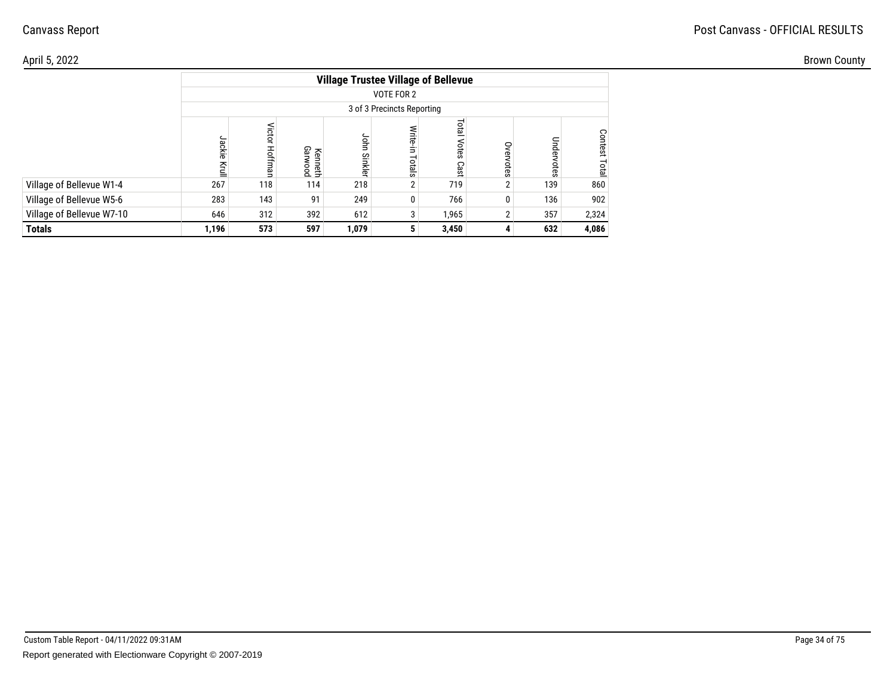## Post Canvass - OFFICIAL RESULTS

| \pril 5, 2022             |       |     |                                            |               |                            |                       |   |     |       | <b>Brown County</b> |  |
|---------------------------|-------|-----|--------------------------------------------|---------------|----------------------------|-----------------------|---|-----|-------|---------------------|--|
|                           |       |     | <b>Village Trustee Village of Bellevue</b> |               |                            |                       |   |     |       |                     |  |
|                           |       |     |                                            |               | VOTE FOR 2                 |                       |   |     |       |                     |  |
|                           |       |     |                                            |               | 3 of 3 Precincts Reporting |                       |   |     |       |                     |  |
|                           |       |     | Gar<br>nesth<br>vood                       | ghm<br>Sinkle | otals                      | Total<br>otes<br>Cast | っ |     |       |                     |  |
| Village of Bellevue W1-4  | 267   | 118 | 114                                        | 218           |                            | 719                   |   | 139 | 860   |                     |  |
| Village of Bellevue W5-6  | 283   | 143 | 91                                         | 249           | 0                          | 766                   |   | 136 | 902   |                     |  |
| Village of Bellevue W7-10 | 646   | 312 | 392                                        | 612           |                            | 1,965                 |   | 357 | 2,324 |                     |  |
| Totals                    | 1,196 | 573 | 597                                        | 1,079         |                            | 3,450                 |   | 632 | 4,086 |                     |  |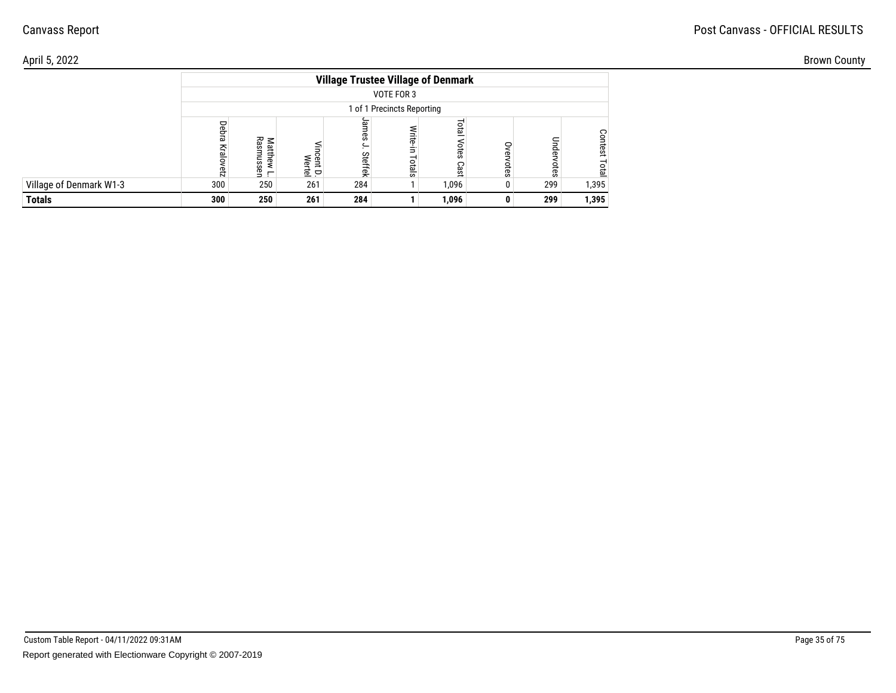## Post Canvass - OFFICIAL RESULTS

| April 5, 2022           |     |                             |           |                                           |                            |                           |         |     |       | <b>Brown County</b> |  |
|-------------------------|-----|-----------------------------|-----------|-------------------------------------------|----------------------------|---------------------------|---------|-----|-------|---------------------|--|
|                         |     |                             |           | <b>Village Trustee Village of Denmark</b> | VOTE FOR 3                 |                           |         |     |       |                     |  |
|                         |     |                             |           | 1 of 1 Precincts Reporting                |                            |                           |         |     |       |                     |  |
|                         | 56  | $\overline{D}$<br>ഹ<br>டி உ | § ≩<br>호모 | Steffek                                   | <b>Write</b><br>≒<br>otals | <b>DTB</b><br>are<br>Cast | ⊂<br>ō, |     |       |                     |  |
| Village of Denmark W1-3 | 300 | 250                         | 261       | 284                                       |                            | 1,096                     | Ö.      | 299 | 1,395 |                     |  |
| <b>Totals</b>           | 300 | 250                         | 261       | 284                                       |                            | 1,096                     |         | 299 | 1,395 |                     |  |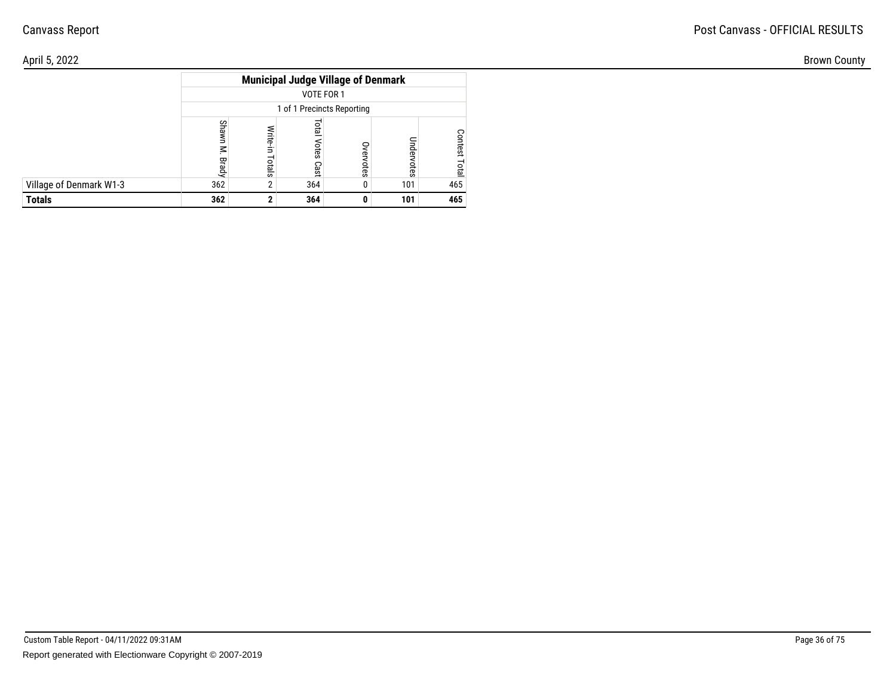| \pril 5, 2022           |                         |                                           |     |                   | <b>Brown County</b> |  |
|-------------------------|-------------------------|-------------------------------------------|-----|-------------------|---------------------|--|
|                         |                         | <b>Municipal Judge Village of Denmark</b> |     |                   |                     |  |
|                         |                         | VOTE FOR 1                                |     |                   |                     |  |
|                         |                         | 1 of 1 Precincts Reporting                |     |                   |                     |  |
|                         | $\overline{\mathbf{c}}$ | 요<br>ິ                                    |     | ငွ<br>rest<br>οta |                     |  |
|                         |                         | ës,                                       | ā   |                   |                     |  |
| Village of Denmark W1-3 | 362                     | 364                                       | 101 | 465               |                     |  |
| Totals                  | 362                     | 364                                       | 101 | 465               |                     |  |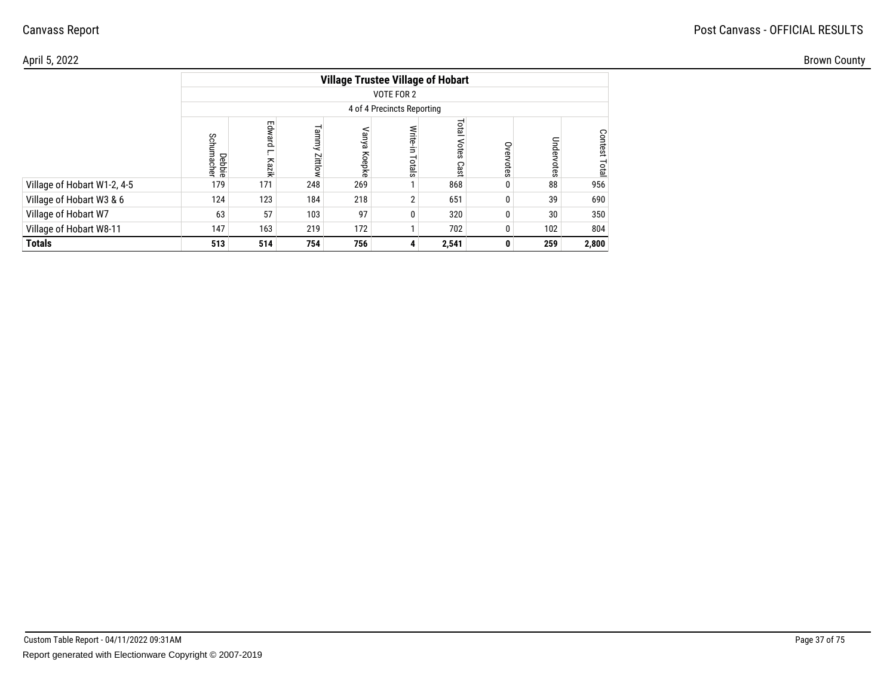## Post Canvass - OFFICIAL RESULTS

| April 5, 2022               |        |     |                 |                                          |                               |                           |           |     |       | <b>Brown County</b> |  |
|-----------------------------|--------|-----|-----------------|------------------------------------------|-------------------------------|---------------------------|-----------|-----|-------|---------------------|--|
|                             |        |     |                 | <b>Village Trustee Village of Hobart</b> |                               |                           |           |     |       |                     |  |
|                             |        |     |                 | VOTE FOR 2                               |                               |                           |           |     |       |                     |  |
|                             |        |     |                 | 4 of 4 Precincts Reporting               |                               |                           |           |     |       |                     |  |
|                             | Debbie | Ęq  | Tammy<br>Zittlo | Jany<br>Koepke                           | <b>Write-</b><br>Ė.<br>Totals | <u>ទី</u><br>otes<br>Cast | S<br>otes |     | Conte |                     |  |
| Village of Hobart W1-2, 4-5 | 179    | 171 | 248             | 269                                      |                               | 868                       |           | 88  | 956   |                     |  |
| Village of Hobart W3 & 6    | 124    | 123 | 184             | 218                                      | $\overline{2}$                | 651                       |           | 39  | 690   |                     |  |
| Village of Hobart W7        | 63     | 57  | 103             | 97                                       | 0                             | 320                       |           | 30  | 350   |                     |  |
| Village of Hobart W8-11     | 147    | 163 | 219             | 172                                      |                               | 702                       |           | 102 | 804   |                     |  |
| <b>Totals</b>               | 513    | 514 | 754             | 756                                      | 4                             | 2,541                     |           | 259 | 2,800 |                     |  |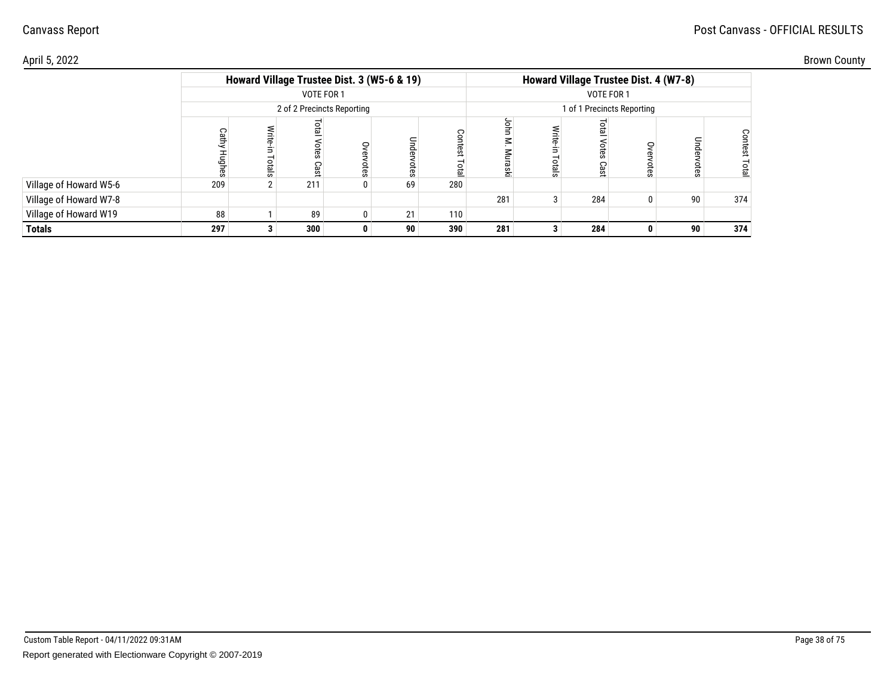#### Post Canvass - OFFICIAL RESULTS

## Canvass Report

| \pril 5, 2022          |     |                                            |                            |   |    |              |         |                                       |     |           |             | <b>Brown County</b> |
|------------------------|-----|--------------------------------------------|----------------------------|---|----|--------------|---------|---------------------------------------|-----|-----------|-------------|---------------------|
|                        |     | Howard Village Trustee Dist. 3 (W5-6 & 19) |                            |   |    |              |         | Howard Village Trustee Dist. 4 (W7-8) |     |           |             |                     |
|                        |     |                                            | VOTE FOR 1                 |   |    |              |         |                                       |     |           |             |                     |
|                        |     |                                            | 2 of 2 Precincts Reporting |   |    |              |         |                                       |     |           |             |                     |
|                        |     |                                            | នា                         | ⊂ | Ö  | Conte<br>ota | $\circ$ |                                       |     | Unde<br>Ö | Cont<br>ota |                     |
| Village of Howard W5-6 | 209 |                                            | 211                        |   | 69 | 280          |         |                                       |     |           |             |                     |
| Village of Howard W7-8 |     |                                            |                            |   |    |              | 281     |                                       | 284 | 90        | 374         |                     |
| Village of Howard W19  | 88  |                                            | 89                         |   | 21 | 110          |         |                                       |     |           |             |                     |
| Totals                 | 297 |                                            | 300                        |   | 90 | 390          | 281     |                                       | 284 | 90        | 374         |                     |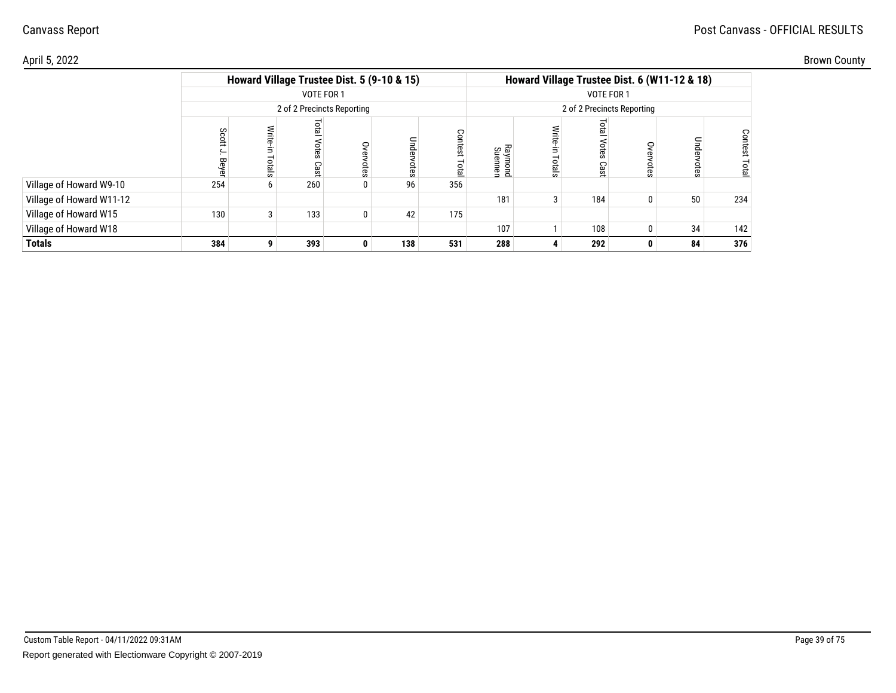#### Post Canvass - OFFICIAL RESULTS

## Canvass Report

| Brown County |  |
|--------------|--|
|--------------|--|

| \pril 5, 2022            |     |            |                            |                                            |                  |                           |                                              |     |            |                | <b>Brown County</b> |
|--------------------------|-----|------------|----------------------------|--------------------------------------------|------------------|---------------------------|----------------------------------------------|-----|------------|----------------|---------------------|
|                          |     |            |                            | Howard Village Trustee Dist. 5 (9-10 & 15) |                  |                           | Howard Village Trustee Dist. 6 (W11-12 & 18) |     |            |                |                     |
|                          |     | VOTE FOR 1 |                            |                                            |                  |                           |                                              |     |            |                |                     |
|                          |     |            | 2 of 2 Precincts Reporting |                                            |                  |                           | 2 of 2 Precincts Reporting                   |     |            |                |                     |
|                          | ర్ల | င္စာ       | ð<br>řĀ                    | $\tilde{c}$                                | Contest<br>Total | <b>Raymond</b><br>Suennen |                                              |     | Unde<br>£S | Contest<br>ota |                     |
| Village of Howard W9-10  | 254 | 260        |                            | 96                                         | 356              |                           |                                              |     |            |                |                     |
| Village of Howard W11-12 |     |            |                            |                                            |                  | 181                       |                                              | 184 | 50         | 234            |                     |
| Village of Howard W15    | 130 | 133        |                            | 42                                         | 175              |                           |                                              |     |            |                |                     |
| Village of Howard W18    |     |            |                            |                                            |                  | 107                       |                                              | 108 | 34         | 142            |                     |
| Totals                   | 384 | 393        |                            | 138                                        | 531              | 288                       |                                              | 292 | 84         | 376            |                     |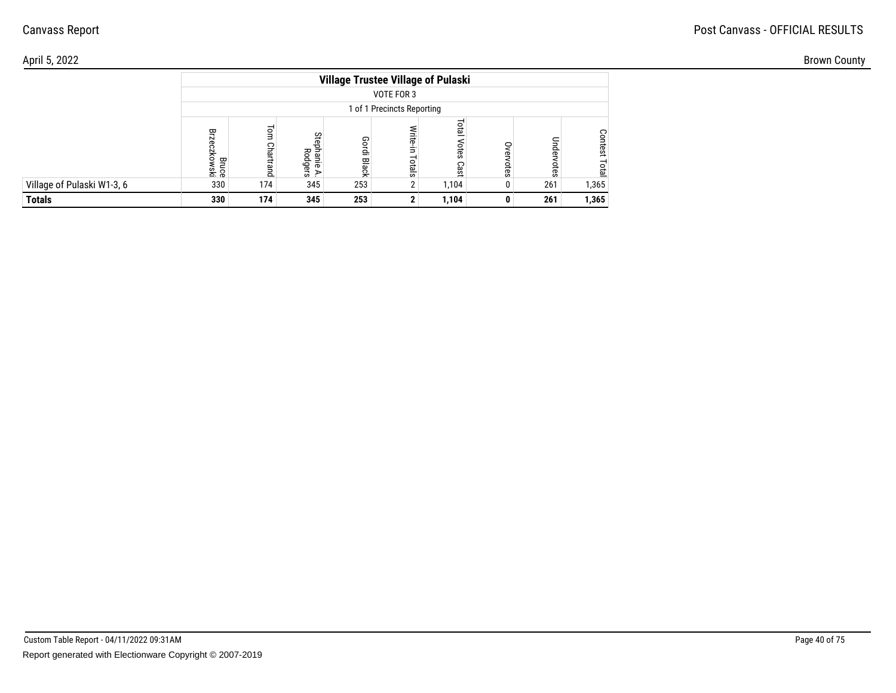## Post Canvass - OFFICIAL RESULTS

| April 5, 2022              |                                                                                                                                           |     |     |                                           |        |       |   |     |       | <b>Brown County</b> |
|----------------------------|-------------------------------------------------------------------------------------------------------------------------------------------|-----|-----|-------------------------------------------|--------|-------|---|-----|-------|---------------------|
|                            |                                                                                                                                           |     |     | <b>Village Trustee Village of Pulaski</b> |        |       |   |     |       |                     |
|                            |                                                                                                                                           |     |     | VOTE FOR 3                                |        |       |   |     |       |                     |
|                            |                                                                                                                                           |     |     |                                           |        |       |   |     |       |                     |
|                            | 1 of 1 Precincts Reporting<br>$\circ$<br>한<br>몇<br>౪<br>긂<br>N<br>Gordi Black<br>요<br>ິ<br>씃<br>മ<br>o<br>otals<br>Gel<br>홌.e<br>⋗<br>້ ຜ |     |     |                                           |        |       |   |     |       |                     |
| Village of Pulaski W1-3, 6 | 330                                                                                                                                       | 174 | 345 | 253                                       | $\sim$ | 1,104 |   | 261 | 1,365 |                     |
| <b>Totals</b>              | 330                                                                                                                                       | 174 | 345 | 253                                       |        | 1,104 | 0 | 261 | 1,365 |                     |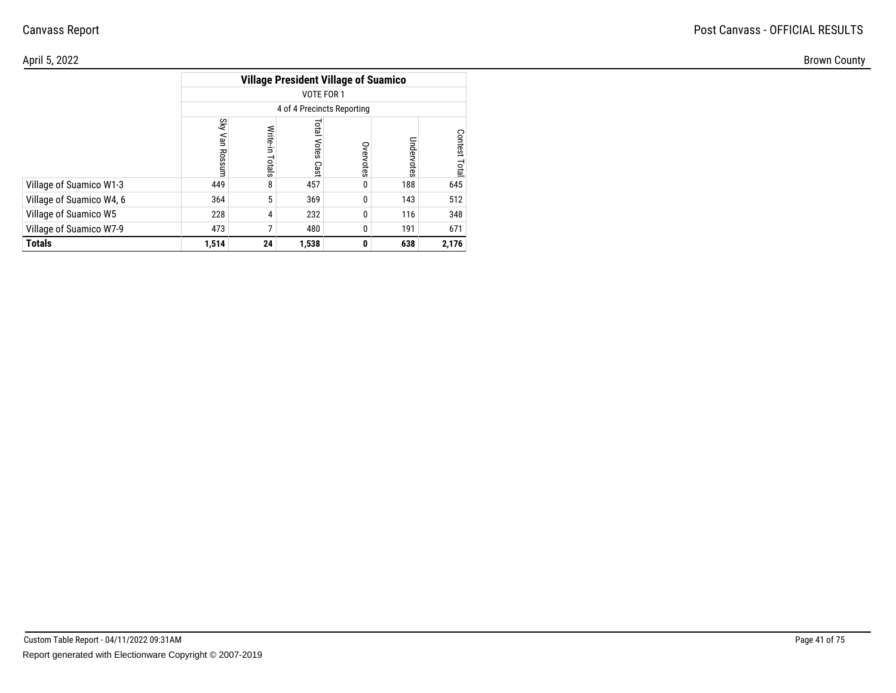| April 5, 2022            |                                             |                  |                            |               |                |                   |  |  |  |  |  |
|--------------------------|---------------------------------------------|------------------|----------------------------|---------------|----------------|-------------------|--|--|--|--|--|
|                          | <b>Village President Village of Suamico</b> |                  |                            |               |                |                   |  |  |  |  |  |
|                          | VOTE FOR 1                                  |                  |                            |               |                |                   |  |  |  |  |  |
|                          | 4 of 4 Precincts Reporting                  |                  |                            |               |                |                   |  |  |  |  |  |
|                          | Sky                                         | Write-i<br>otals | <b>PED</b><br>otes<br>Cast | Over<br>votes | Under<br>votes | Contest<br>₽<br>உ |  |  |  |  |  |
| Village of Suamico W1-3  | 449                                         |                  | 457                        | $\mathbf{0}$  | 188            | 645               |  |  |  |  |  |
| Village of Suamico W4, 6 | 364                                         |                  | 369                        | 0             | 143            | 512               |  |  |  |  |  |
| Village of Suamico W5    | 228                                         |                  | 232                        | 0             | 116            | 348               |  |  |  |  |  |
| Village of Suamico W7-9  | 473                                         |                  | 480                        | 0             | 191            | 671               |  |  |  |  |  |
| <b>Totals</b>            | 1,514                                       | 24               | 1,538                      | $\mathbf{0}$  | 638            | 2,176             |  |  |  |  |  |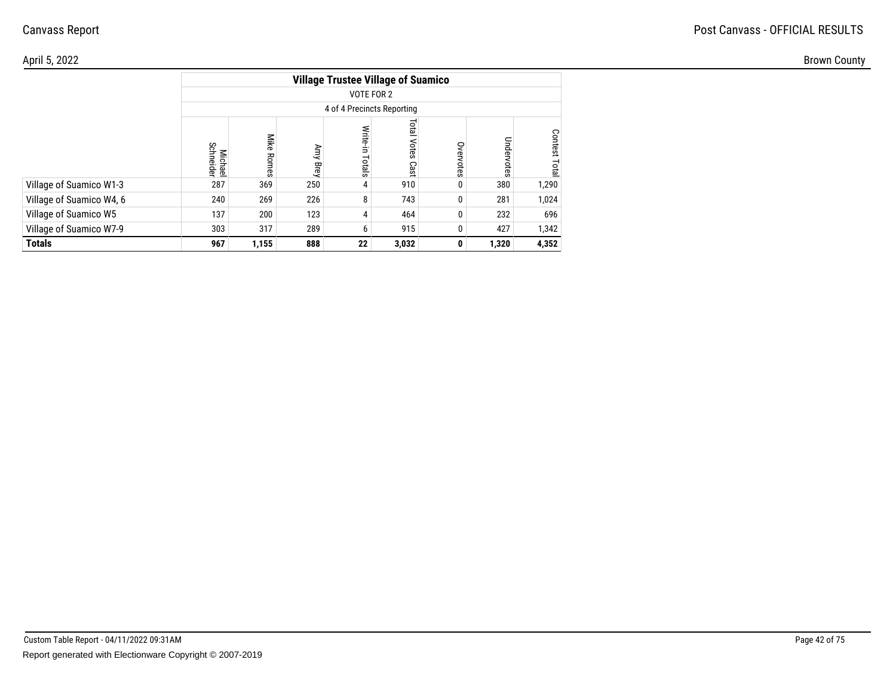## Post Canvass - OFFICIAL RESULTS

| April 5, 2022            |                      |                  |             |                            |                                           |                     |              |         | <b>Brown County</b> |
|--------------------------|----------------------|------------------|-------------|----------------------------|-------------------------------------------|---------------------|--------------|---------|---------------------|
|                          |                      |                  |             |                            | <b>Village Trustee Village of Suamico</b> |                     |              |         |                     |
|                          |                      |                  |             | VOTE FOR 2                 |                                           |                     |              |         |                     |
|                          |                      |                  |             | 4 of 4 Precincts Reporting |                                           |                     |              |         |                     |
|                          | Michael<br>Schneider | Mike<br>Rom<br>ஜ | Λmy<br>Brey | otals                      | Total <sup>1</sup><br>Votes<br>Cast       | S<br>鸟<br>sier<br>Ö | Unde<br>otes | Contest |                     |
| Village of Suamico W1-3  | 287                  | 369              | 250         |                            | 910                                       |                     | 380          | 1,290   |                     |
| Village of Suamico W4, 6 | 240                  | 269              | 226         | 8                          | 743                                       |                     | 281          | 1,024   |                     |
| Village of Suamico W5    | 137                  | 200              | 123         |                            | 464                                       |                     | 232          | 696     |                     |
| Village of Suamico W7-9  | 303                  | 317              | 289         |                            | 915                                       |                     | 427          | 1,342   |                     |
| <b>Totals</b>            | 967                  | 1,155            | 888         | 22                         | 3,032                                     | $\mathbf{0}$        | 1,320        | 4,352   |                     |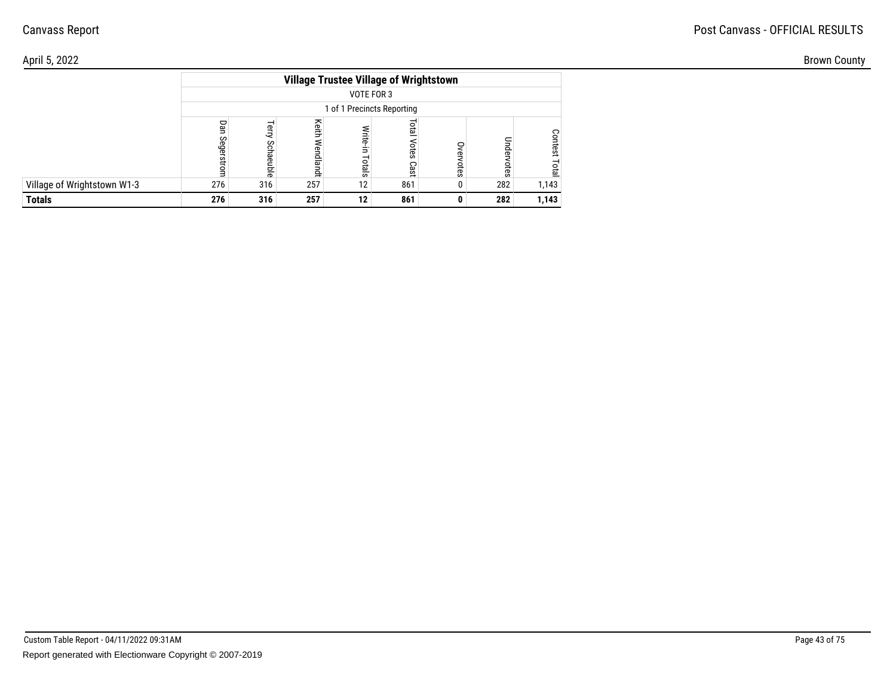## Post Canvass - OFFICIAL RESULTS

| April 5, 2022               |     |     |                    |                                                             |              |        |               |       | <b>Brown County</b> |
|-----------------------------|-----|-----|--------------------|-------------------------------------------------------------|--------------|--------|---------------|-------|---------------------|
|                             |     |     |                    | <b>Village Trustee Village of Wrightstown</b><br>VOTE FOR 3 |              |        |               |       |                     |
|                             |     |     |                    | 1 of 1 Precincts Reporting                                  |              |        |               |       |                     |
|                             | с   |     | keith<br>≘<br>glan |                                                             | lial<br>otes |        |               |       |                     |
|                             |     |     | 유                  | <b>tals</b>                                                 | Cast         | ನ<br>Ö | ನ<br>$\omega$ |       |                     |
| Village of Wrightstown W1-3 | 276 | 316 | 257                | 12 <sub>1</sub>                                             | 861          |        | 282           | 1,143 |                     |
| <b>Totals</b>               | 276 | 316 | 257                | 12                                                          | 861          |        | 282           | 1,143 |                     |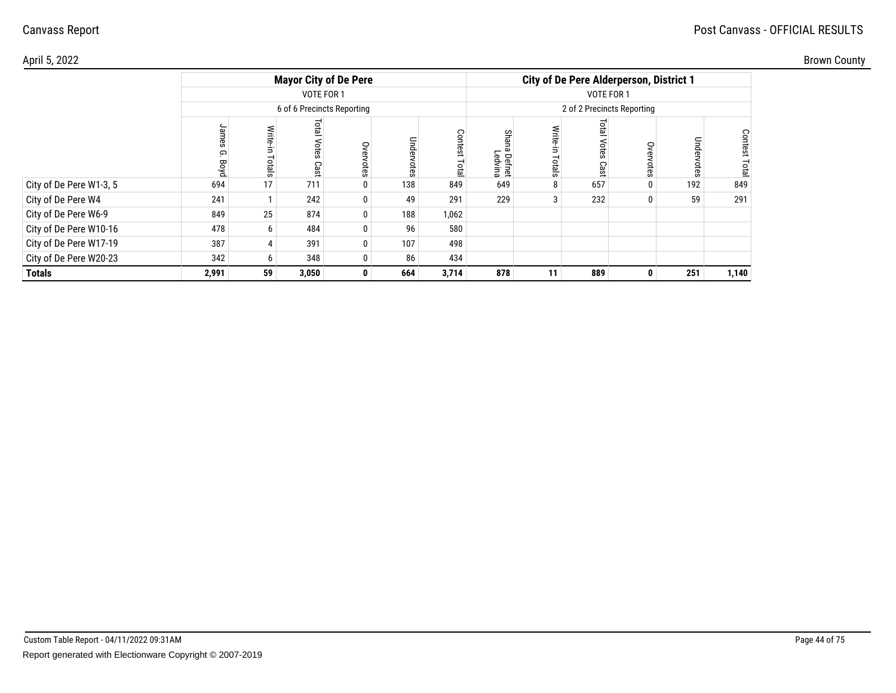| April 5, 2022           |       |                |                      |                              |                   |                                          |                               |                                                |           |               |              |                                           | <b>Brown County</b> |
|-------------------------|-------|----------------|----------------------|------------------------------|-------------------|------------------------------------------|-------------------------------|------------------------------------------------|-----------|---------------|--------------|-------------------------------------------|---------------------|
|                         |       |                |                      | <b>Mayor City of De Pere</b> |                   |                                          |                               | <b>City of De Pere Alderperson, District 1</b> |           |               |              |                                           |                     |
|                         |       |                | VOTE FOR 1           |                              |                   |                                          |                               |                                                |           |               |              |                                           |                     |
|                         |       |                |                      | 6 of 6 Precincts Reporting   |                   |                                          |                               | 2 of 2 Precincts Reporting                     |           |               |              |                                           |                     |
|                         | െ     | rtals          | lsid<br>OTES<br>Cast | S<br>otes                    | Unde<br>Note<br>Ö | ငွ<br>$\sigma$<br>$\mathbf{S}$<br>₽<br>p | cr.<br>ഹ<br>Defnet<br>.edvina |                                                | ទី<br>င္ၿ | 9<br>$\omega$ | Unde<br>otes | Conte<br>$\tilde{\mathbf{z}}$<br>$\omega$ |                     |
| City of De Pere W1-3, 5 | 694   | 17             | 711                  | $\mathbf 0$                  | 138               | 849                                      | 649                           |                                                | 657       |               | 192          | 849                                       |                     |
| City of De Pere W4      | 241   |                | 242                  | 0                            | 49                | 291                                      | 229                           |                                                | 232       |               | 59           | 291                                       |                     |
| City of De Pere W6-9    | 849   | 25             | 874                  | 0                            | 188               | 1,062                                    |                               |                                                |           |               |              |                                           |                     |
| City of De Pere W10-16  | 478   | 6              | 484                  | 0                            | 96                | 580                                      |                               |                                                |           |               |              |                                           |                     |
| City of De Pere W17-19  | 387   |                | 391                  | 0                            | 107               | 498                                      |                               |                                                |           |               |              |                                           |                     |
| City of De Pere W20-23  | 342   | 6 <sup>1</sup> | 348                  | 0                            | 86                | 434                                      |                               |                                                |           |               |              |                                           |                     |
| <b>Totals</b>           | 2,991 | 59             | 3,050                | $\mathbf{0}$                 | 664               | 3,714                                    | 878                           | 11                                             | 889       | 0             | 251          | 1,140                                     |                     |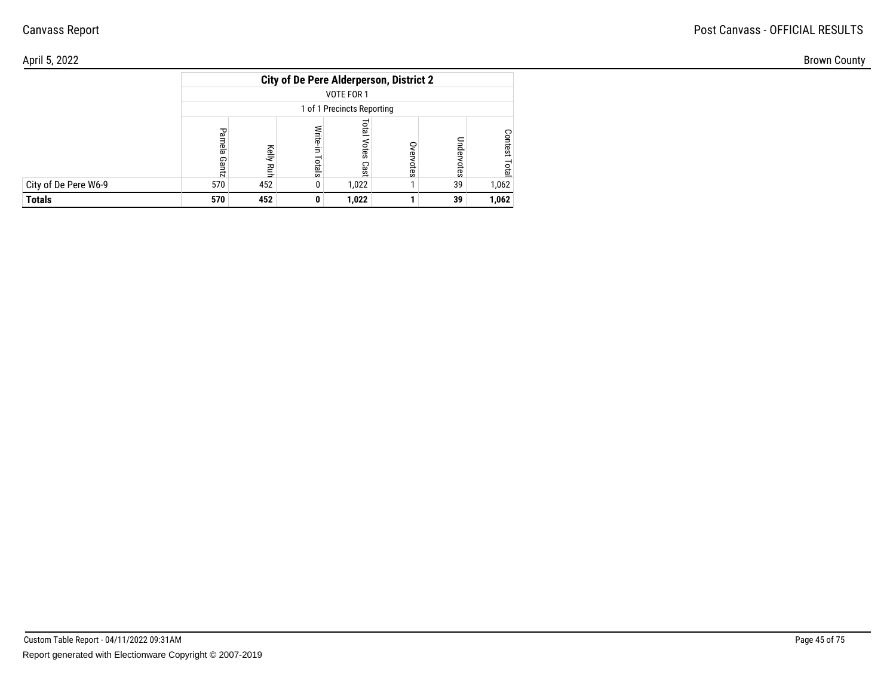| April 5, 2022        |     |     |                                                | <b>Brown County</b>        |         |                   |           |  |
|----------------------|-----|-----|------------------------------------------------|----------------------------|---------|-------------------|-----------|--|
|                      |     |     | <b>City of De Pere Alderperson, District 2</b> |                            |         |                   |           |  |
|                      |     |     |                                                | VOTE FOR 1                 |         |                   |           |  |
|                      |     |     |                                                | 1 of 1 Precincts Reporting |         |                   |           |  |
|                      |     |     | otals                                          | πes<br>Cast                | ⊂<br>ĒS | Unde<br><b>GS</b> | ິ<br>test |  |
| City of De Pere W6-9 | 570 | 452 |                                                | 1,022                      |         | 39                | 1,062     |  |
| <b>Totals</b>        | 570 | 452 |                                                | 1,022                      |         | 39                | 1,062     |  |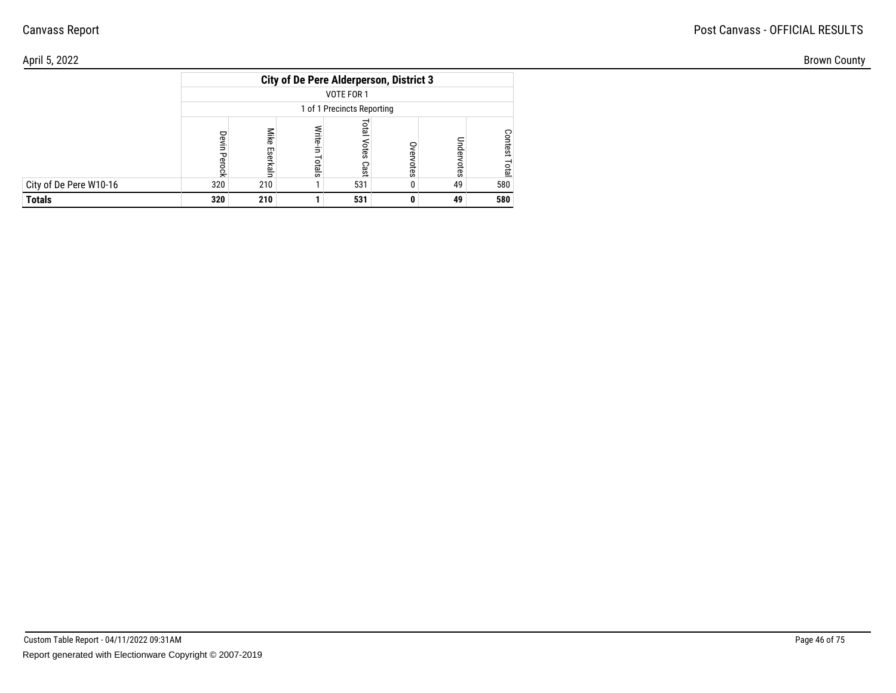|                        | <b>City of De Pere Alderperson, District 3</b> |                  |                    |                       |           |            |                        |  |  |  |  |  |  |
|------------------------|------------------------------------------------|------------------|--------------------|-----------------------|-----------|------------|------------------------|--|--|--|--|--|--|
|                        | VOTE FOR 1                                     |                  |                    |                       |           |            |                        |  |  |  |  |  |  |
|                        | 1 of 1 Precincts Reporting                     |                  |                    |                       |           |            |                        |  |  |  |  |  |  |
|                        | Devin<br><b>Perock</b>                         | Mike<br>Eserkaln | Write-in<br>Totals | leto<br>Votes<br>Cast | Overvotes | Undervotes | <b>Contest</b><br>Tota |  |  |  |  |  |  |
| City of De Pere W10-16 | 320                                            | 210              |                    | 531                   |           | 49         | 580                    |  |  |  |  |  |  |
| <b>Totals</b>          | 320                                            | 210              |                    | 531                   |           | 49         | 580                    |  |  |  |  |  |  |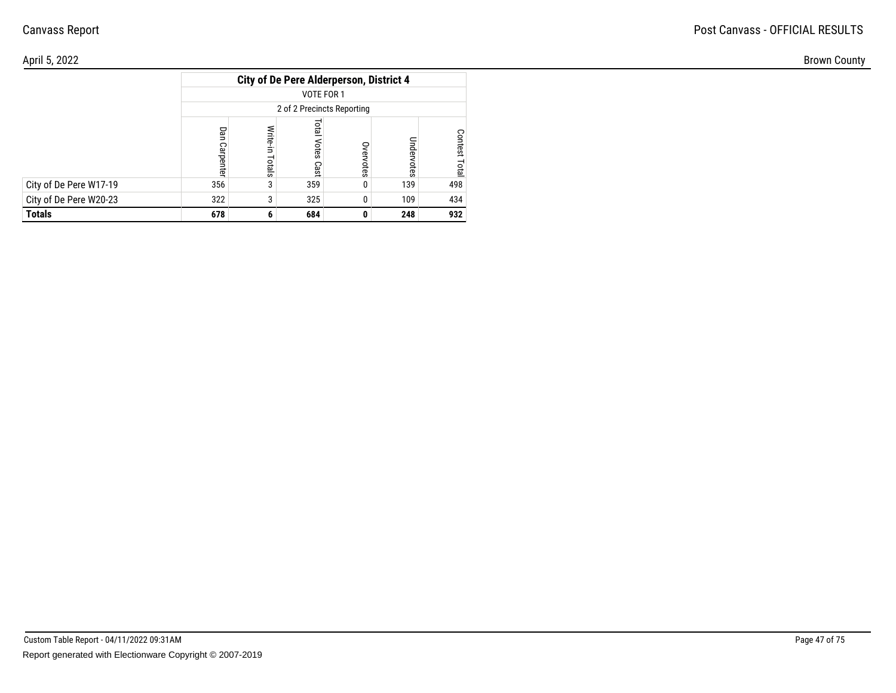| April 5, 2022          |     |                                                |                   |              |              |                    |  |  |  |  |  |
|------------------------|-----|------------------------------------------------|-------------------|--------------|--------------|--------------------|--|--|--|--|--|
|                        |     | <b>City of De Pere Alderperson, District 4</b> |                   |              |              |                    |  |  |  |  |  |
|                        |     | VOTE FOR 1                                     |                   |              |              |                    |  |  |  |  |  |
|                        |     | 2 of 2 Precincts Reporting                     |                   |              |              |                    |  |  |  |  |  |
|                        |     | ∕rite-in<br>otals                              | ă<br>otes<br>Cast | ş<br>otes    | Unde<br>otes | ⌒<br>ö<br>$\alpha$ |  |  |  |  |  |
| City of De Pere W17-19 | 356 |                                                | 359               | $\mathbf{0}$ | 139          | 498                |  |  |  |  |  |
| City of De Pere W20-23 | 322 |                                                | 325               | 0            | 109          | 434                |  |  |  |  |  |
| <b>Totals</b>          | 678 | 6                                              | 684               | 0            | 248          | 932                |  |  |  |  |  |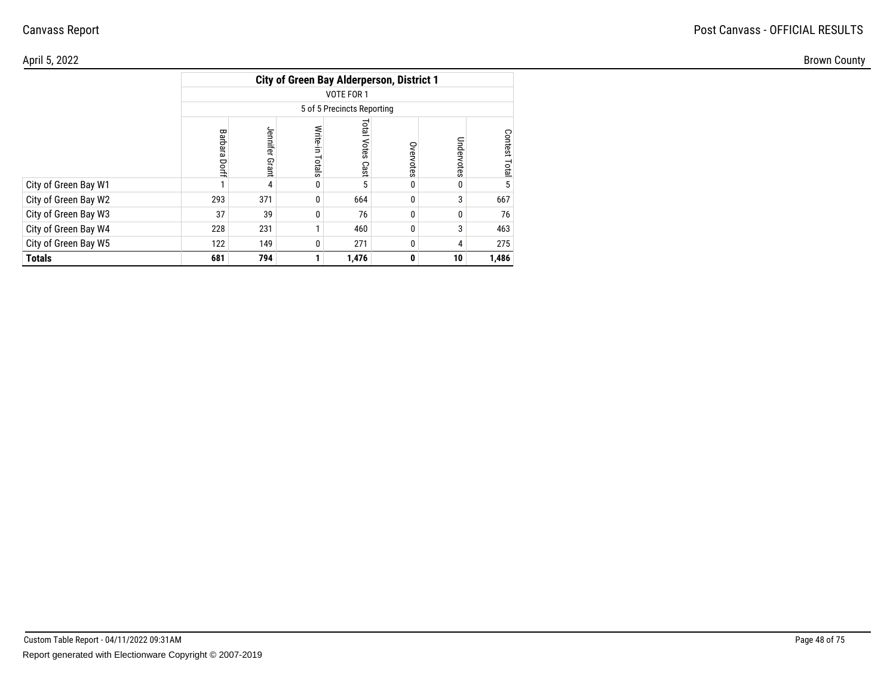#### April 5, 2022Brown County

|                      |                                  |                   | <b>City of Green Bay Alderperson, District 1</b> |                            |           |            |               |  |  |  |  |  |
|----------------------|----------------------------------|-------------------|--------------------------------------------------|----------------------------|-----------|------------|---------------|--|--|--|--|--|
|                      | VOTE FOR 1                       |                   |                                                  |                            |           |            |               |  |  |  |  |  |
|                      | 5 of 5 Precincts Reporting       |                   |                                                  |                            |           |            |               |  |  |  |  |  |
|                      | Barbara<br>Dorff                 | Jennifer<br>Grant | Write-in Totals                                  | <b>Fotal Votes</b><br>Cast | Overvotes | Undervotes | Contest Total |  |  |  |  |  |
| City of Green Bay W1 |                                  | 4                 | 0                                                | 5                          |           | 0          | 5             |  |  |  |  |  |
| City of Green Bay W2 | 293                              | 371               | 0                                                | 664                        |           | 3          | 667           |  |  |  |  |  |
| City of Green Bay W3 | 37                               | 39                | 0                                                | 76                         | 0         | 0          | 76            |  |  |  |  |  |
| City of Green Bay W4 | 228                              | 231               | 1                                                | 460                        | $\Omega$  | 3          | 463           |  |  |  |  |  |
| City of Green Bay W5 | 271<br>122<br>149<br>0<br>0<br>4 |                   |                                                  |                            |           |            |               |  |  |  |  |  |
| Totals               | 681                              | 794               |                                                  | 1,476                      | 0         | 10         | 1,486         |  |  |  |  |  |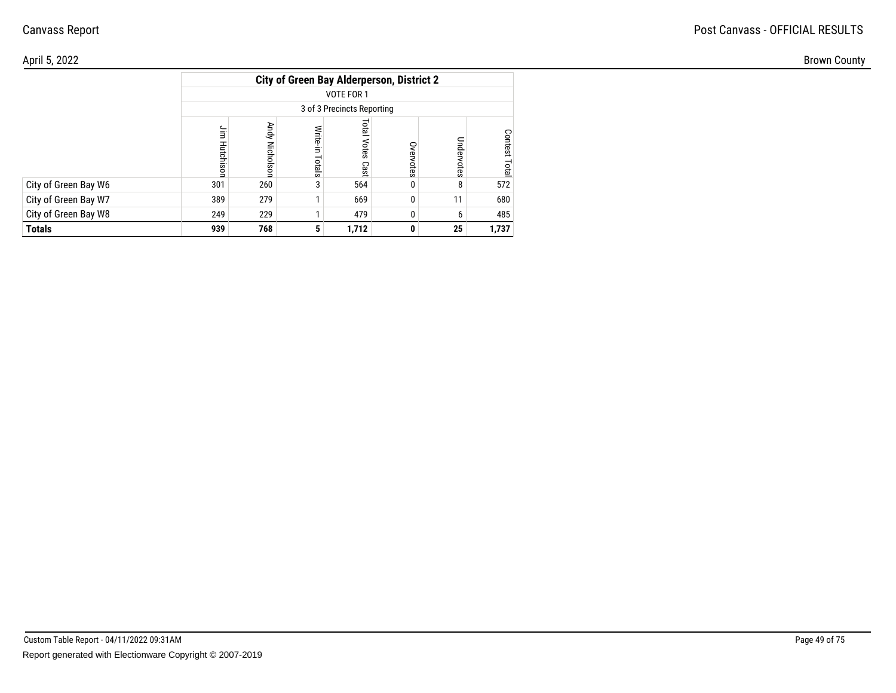| April 5, 2022        |                                                  |                          |                                   |                            |              |        |          |  |  |  |  |
|----------------------|--------------------------------------------------|--------------------------|-----------------------------------|----------------------------|--------------|--------|----------|--|--|--|--|
|                      | <b>City of Green Bay Alderperson, District 2</b> |                          |                                   |                            |              |        |          |  |  |  |  |
|                      |                                                  |                          |                                   | VOTE FOR 1                 |              |        |          |  |  |  |  |
|                      |                                                  |                          |                                   | 3 of 3 Precincts Reporting |              |        |          |  |  |  |  |
|                      |                                                  | Andy<br><b>Nicholsor</b> | $\overline{\phantom{0}}$<br>otals | Total<br>Votes Cast        | S<br>otes    | 용<br>Ö | ငွ<br>نە |  |  |  |  |
| City of Green Bay W6 | 301                                              | 260                      |                                   | 564                        |              |        | 572      |  |  |  |  |
| City of Green Bay W7 | 389                                              | 279                      |                                   | 669                        | $\mathbf{0}$ | 11     | 680      |  |  |  |  |
| City of Green Bay W8 | 249                                              | 229                      |                                   | 479                        |              |        | 485      |  |  |  |  |
| <b>Totals</b>        | 939                                              | 768                      |                                   | 1,712                      | 0            | 25     | 1,737    |  |  |  |  |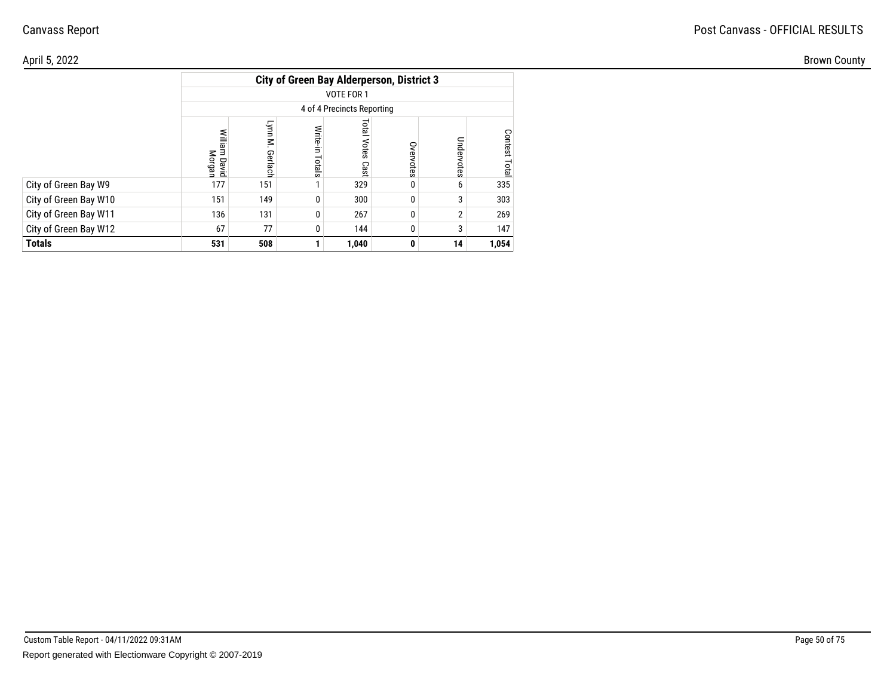#### April 5, 2022Brown County

|                       | <b>City of Green Bay Alderperson, District 3</b> |                    |                    |                            |              |            |                  |  |  |  |  |  |
|-----------------------|--------------------------------------------------|--------------------|--------------------|----------------------------|--------------|------------|------------------|--|--|--|--|--|
|                       | VOTE FOR 1                                       |                    |                    |                            |              |            |                  |  |  |  |  |  |
|                       | 4 of 4 Precincts Reporting                       |                    |                    |                            |              |            |                  |  |  |  |  |  |
|                       | William David<br>Morgan                          | Lynn M.<br>Gerlach | Write-in<br>Totals | <b>Total Votes</b><br>Cast | Overvotes    | Undervotes | Contest<br>Total |  |  |  |  |  |
| City of Green Bay W9  | 177                                              | 151                |                    | 329                        | 0            | 6          | 335              |  |  |  |  |  |
| City of Green Bay W10 | 151                                              | 149                | 0                  | 300                        | $\mathbf{0}$ | 3          | 303              |  |  |  |  |  |
| City of Green Bay W11 | 136                                              | 131                | 0                  | 267                        | $\Omega$     | 2          | 269              |  |  |  |  |  |
| City of Green Bay W12 | 67<br>77<br>3<br>0<br>144<br>$\mathbf{0}$        |                    |                    |                            |              |            |                  |  |  |  |  |  |
| <b>Totals</b>         | 531                                              | 508                |                    | 1,040                      | 0            | 14         | 1,054            |  |  |  |  |  |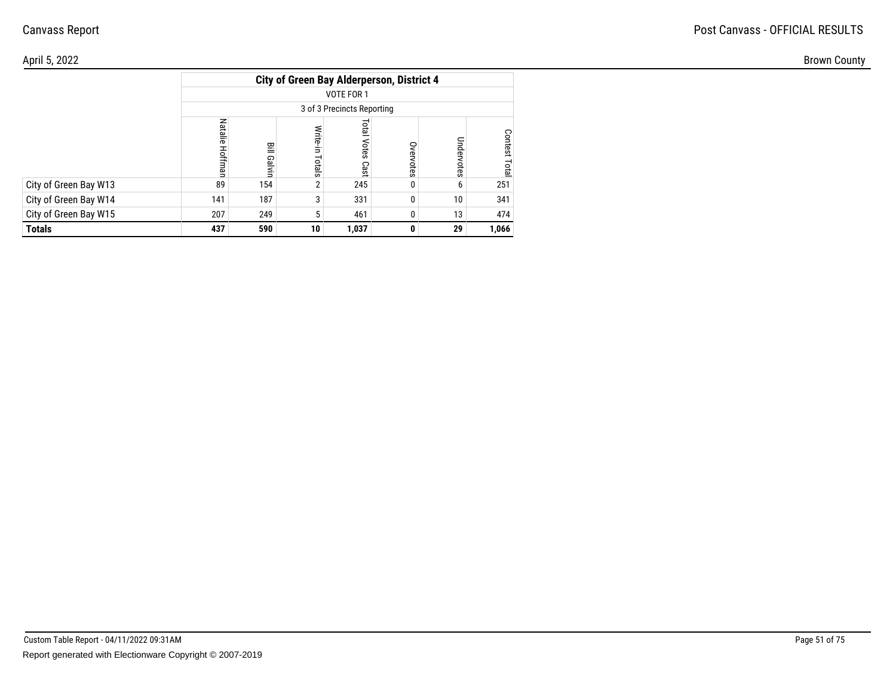| April 5, 2022         |                                                  |                |                 |                         |                     |          |         |  |  |  |  |  |
|-----------------------|--------------------------------------------------|----------------|-----------------|-------------------------|---------------------|----------|---------|--|--|--|--|--|
|                       | <b>City of Green Bay Alderperson, District 4</b> |                |                 |                         |                     |          |         |  |  |  |  |  |
|                       | VOTE FOR 1                                       |                |                 |                         |                     |          |         |  |  |  |  |  |
|                       | 3 of 3 Precincts Reporting                       |                |                 |                         |                     |          |         |  |  |  |  |  |
|                       | <b>Natalie</b>                                   | Bill Galv<br>≒ | otals           | <b>Total Votes Cast</b> | S<br><b>ervotes</b> | $\omega$ | ငွ<br>Ö |  |  |  |  |  |
| City of Green Bay W13 | 89                                               | 154            |                 | 245                     | $\mathbf{0}$        |          | 251     |  |  |  |  |  |
| City of Green Bay W14 | 141                                              | 187            |                 | 331                     | $\mathbf{0}$        | 10       | 341     |  |  |  |  |  |
| City of Green Bay W15 | 207                                              | 249            |                 | 461                     | $\Omega$            | 13       | 474     |  |  |  |  |  |
| <b>Totals</b>         | 437                                              | 590            | 10 <sup>1</sup> | 1,037                   | $\mathbf{0}$        | 29       | 1,066   |  |  |  |  |  |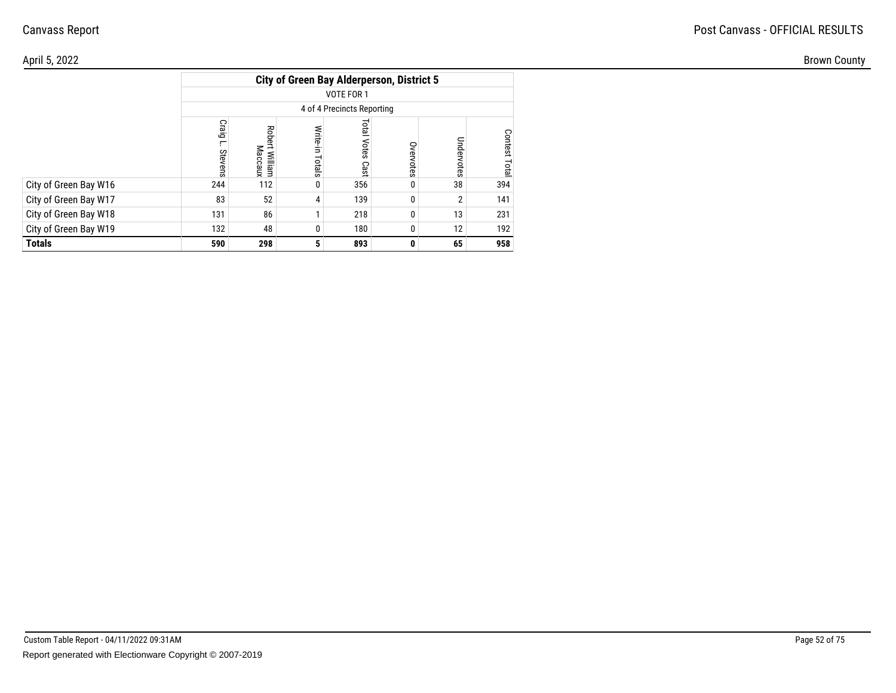#### April 5, 2022Brown County

|                       | <b>City of Green Bay Alderperson, District 5</b> |                              |                 |                            |           |            |                         |  |  |  |  |  |
|-----------------------|--------------------------------------------------|------------------------------|-----------------|----------------------------|-----------|------------|-------------------------|--|--|--|--|--|
|                       | VOTE FOR 1                                       |                              |                 |                            |           |            |                         |  |  |  |  |  |
|                       | 4 of 4 Precincts Reporting                       |                              |                 |                            |           |            |                         |  |  |  |  |  |
|                       | Craig<br>г,<br>Stevens                           | Robert<br>Maccaux<br>William | Write-in Totals | <b>Total Votes</b><br>Cast | Overvotes | Undervotes | <b>Contest</b><br>Total |  |  |  |  |  |
| City of Green Bay W16 | 244                                              | 112                          | 0               | 356                        |           | 38         | 394                     |  |  |  |  |  |
| City of Green Bay W17 | 83                                               | 52                           | 4               | 139                        | 0         | 2          | 141                     |  |  |  |  |  |
| City of Green Bay W18 | 131                                              | 86                           | 1               | 218                        | $\theta$  | 13         | 231                     |  |  |  |  |  |
| City of Green Bay W19 | 132<br>180<br>12<br>48<br>0                      |                              |                 |                            |           |            |                         |  |  |  |  |  |
| <b>Totals</b>         | 590                                              | 298                          | 5               | 893                        | 0         | 65         | 958                     |  |  |  |  |  |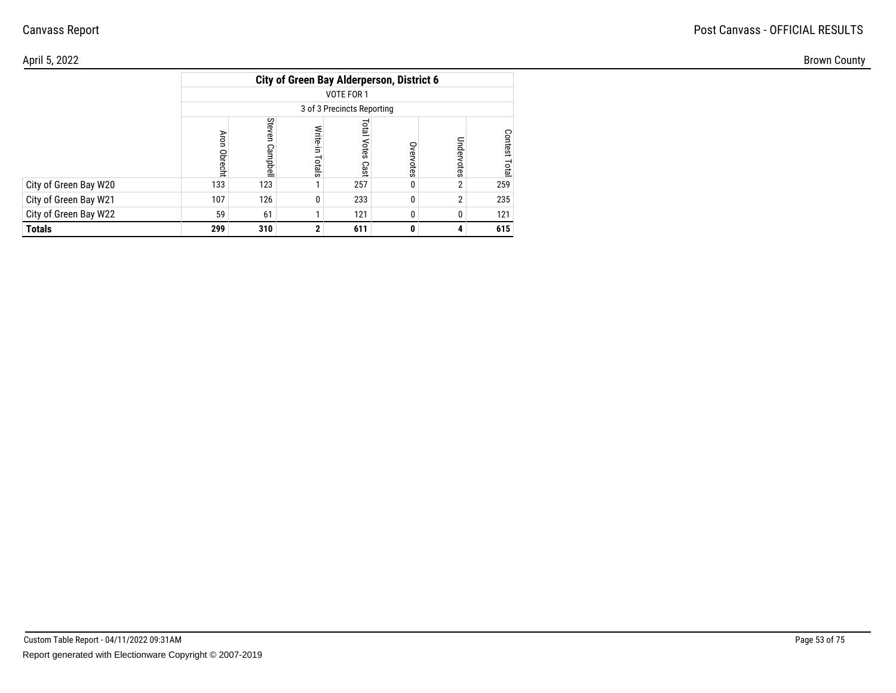| April 5, 2022         |                                                  |                           |                |                         |                |        |          |  |  |  |  |  |
|-----------------------|--------------------------------------------------|---------------------------|----------------|-------------------------|----------------|--------|----------|--|--|--|--|--|
|                       | <b>City of Green Bay Alderperson, District 6</b> |                           |                |                         |                |        |          |  |  |  |  |  |
|                       | VOTE FOR 1                                       |                           |                |                         |                |        |          |  |  |  |  |  |
|                       | 3 of 3 Precincts Reporting                       |                           |                |                         |                |        |          |  |  |  |  |  |
|                       | <b>Obrecht</b>                                   | Ste<br>S<br><b>Indone</b> | Write<br>otals | <b>Total Votes Cast</b> | S<br>ቧ<br>otes | Ō<br>Ö | ငွ<br>نە |  |  |  |  |  |
| City of Green Bay W20 | 133                                              | 123                       |                | 257                     |                |        | 259      |  |  |  |  |  |
| City of Green Bay W21 | 107                                              | 126                       | 0              | 233                     |                |        | 235      |  |  |  |  |  |
| City of Green Bay W22 | 59                                               | 61                        |                | 121                     |                |        | 121      |  |  |  |  |  |
| <b>Totals</b>         | 299                                              | 310                       | 2 <sup>1</sup> | 611                     | 0              |        | 615      |  |  |  |  |  |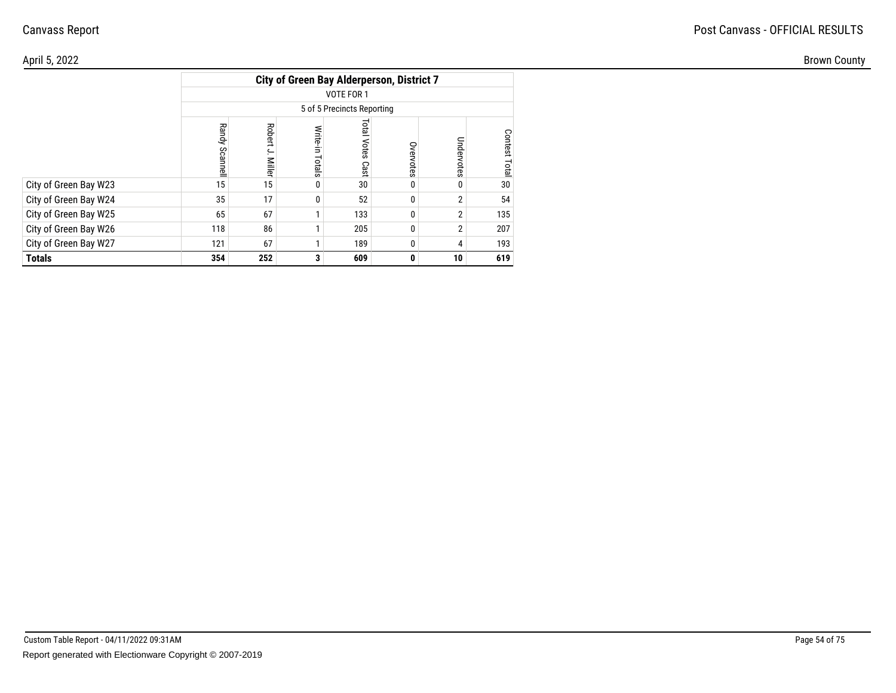#### April 5, 2022Brown County

|                       |                            |                        |                 | <b>City of Green Bay Alderperson, District 7</b> |           |                |               |  |  |  |  |  |
|-----------------------|----------------------------|------------------------|-----------------|--------------------------------------------------|-----------|----------------|---------------|--|--|--|--|--|
|                       | VOTE FOR 1                 |                        |                 |                                                  |           |                |               |  |  |  |  |  |
|                       | 5 of 5 Precincts Reporting |                        |                 |                                                  |           |                |               |  |  |  |  |  |
|                       | <b>Randy</b><br>Scannell   | Robert<br>ج.<br>Miller | Write-in Totals | <b>Total Votes</b><br>Cast                       | Overvotes | Undervotes     | Contest Total |  |  |  |  |  |
| City of Green Bay W23 | 15                         | 15                     | 0               | 30                                               | 0         | 0              | 30            |  |  |  |  |  |
| City of Green Bay W24 | 35                         | 17                     | 0               | 52                                               | 0         | $\overline{2}$ | 54            |  |  |  |  |  |
| City of Green Bay W25 | 65                         | 67                     |                 | 133                                              | 0         | $\overline{2}$ | 135           |  |  |  |  |  |
| City of Green Bay W26 | 118                        | 86                     |                 | 205                                              | $\Omega$  | $\overline{2}$ | 207           |  |  |  |  |  |
| City of Green Bay W27 | 121<br>67<br>189<br>0<br>4 |                        |                 |                                                  |           |                |               |  |  |  |  |  |
| <b>Totals</b>         | 354                        | 252                    | 3               | 609                                              | 0         | 10             | 619           |  |  |  |  |  |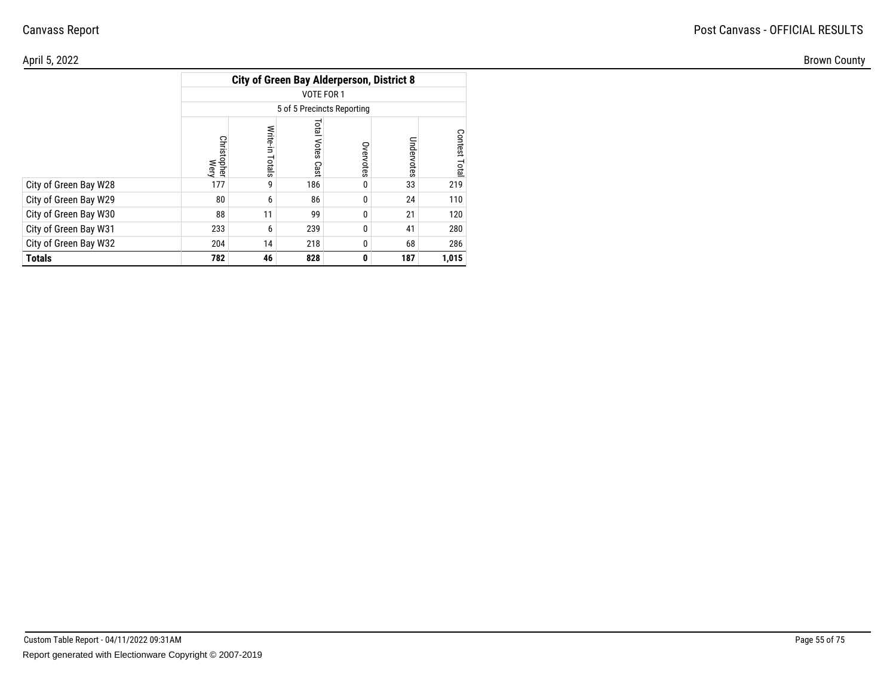| \pril 5, 2022         |                       |                                                  |                                  |                |            |                  |  |  |  |  |  |
|-----------------------|-----------------------|--------------------------------------------------|----------------------------------|----------------|------------|------------------|--|--|--|--|--|
|                       |                       | <b>City of Green Bay Alderperson, District 8</b> |                                  |                |            |                  |  |  |  |  |  |
|                       |                       | VOTE FOR 1                                       |                                  |                |            |                  |  |  |  |  |  |
|                       |                       | 5 of 5 Precincts Reporting                       |                                  |                |            |                  |  |  |  |  |  |
|                       | き<br>istopher<br>Wery | otals                                            | ist<br>E<br><b>Votes</b><br>Cast | S<br>votes     | Undervotes | Contest<br>Total |  |  |  |  |  |
| City of Green Bay W28 | 177                   |                                                  | 186                              | $\mathbf{0}$   | 33         | 219              |  |  |  |  |  |
| City of Green Bay W29 | 80                    |                                                  | 86                               | 0 <sup>1</sup> | 24         | 110              |  |  |  |  |  |
| City of Green Bay W30 | 88                    | 11                                               | 99                               | 0              | 21         | 120              |  |  |  |  |  |
| City of Green Bay W31 | 233                   |                                                  | 239                              | $\mathbf 0$    | 41         | 280              |  |  |  |  |  |
| City of Green Bay W32 | 204                   | 14                                               | 218                              | 0 <sup>1</sup> | 68         | 286              |  |  |  |  |  |
| <b>Totals</b>         | 782                   | 46                                               | 828                              | $\mathbf{0}$   | 187        | 1,015            |  |  |  |  |  |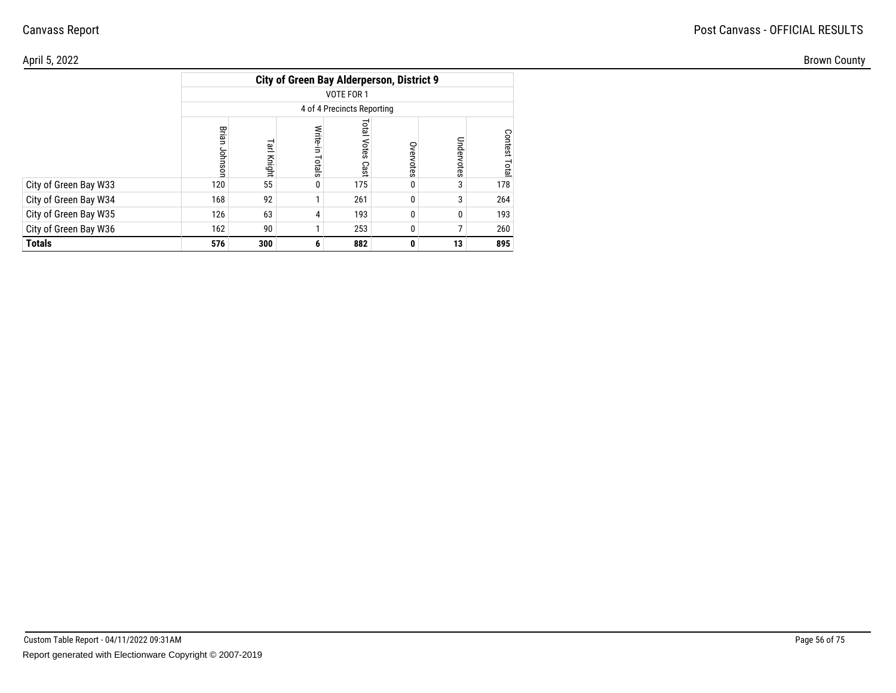#### April 5, 2022Brown County

|                       |                                          |             |                    |                               | <b>City of Green Bay Alderperson, District 9</b> |            |                  |  |  |  |  |  |
|-----------------------|------------------------------------------|-------------|--------------------|-------------------------------|--------------------------------------------------|------------|------------------|--|--|--|--|--|
|                       | VOTE FOR 1<br>4 of 4 Precincts Reporting |             |                    |                               |                                                  |            |                  |  |  |  |  |  |
|                       |                                          |             |                    |                               |                                                  |            |                  |  |  |  |  |  |
|                       | Brian<br>Johnsor                         | Tarl Knight | Write-in<br>Totals | <b>Total</b><br>Votes<br>Cast | Overvotes                                        | Undervotes | Contest<br>Total |  |  |  |  |  |
| City of Green Bay W33 | 120                                      | 55          | 0                  | 175                           | 0                                                | 3          | 178              |  |  |  |  |  |
| City of Green Bay W34 | 168                                      | 92          | 1                  | 261                           | 0                                                | 3          | 264              |  |  |  |  |  |
| City of Green Bay W35 | 126                                      | 63          | 4                  | 193                           | 0                                                | 0          | 193              |  |  |  |  |  |
| City of Green Bay W36 | 162                                      | 90          |                    | 253                           | 0                                                | 7          | 260              |  |  |  |  |  |
| Totals                | 576                                      | 300         | 6                  | 882                           | 0                                                | 13         | 895              |  |  |  |  |  |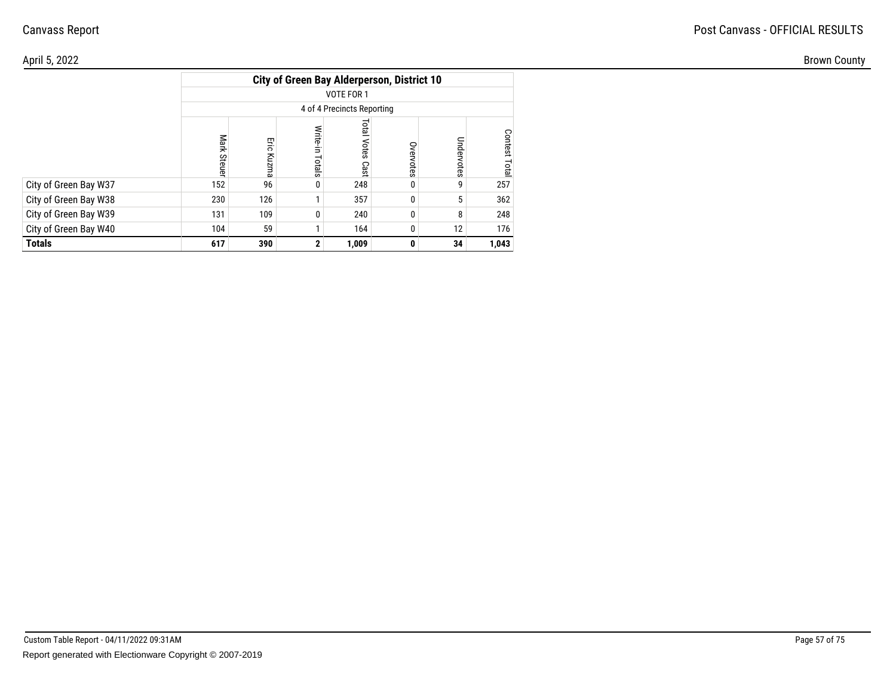| April 5, 2022         |             |                                            |                 |                     |            |                         |                        |  |  |  |  |  |  |
|-----------------------|-------------|--------------------------------------------|-----------------|---------------------|------------|-------------------------|------------------------|--|--|--|--|--|--|
|                       |             | City of Green Bay Alderperson, District 10 |                 |                     |            |                         |                        |  |  |  |  |  |  |
|                       |             |                                            |                 | VOTE FOR 1          |            |                         |                        |  |  |  |  |  |  |
|                       |             | 4 of 4 Precincts Reporting                 |                 |                     |            |                         |                        |  |  |  |  |  |  |
|                       | ark<br>Stet | Eie<br>Kuzm<br>മ                           | ਛ<br>≒<br>otals | Total<br>Votes Cast | ð<br>votes | $\Omega$<br>$\tilde{a}$ | Conte<br>ğ<br>្ក<br>نە |  |  |  |  |  |  |
| City of Green Bay W37 | 152         | 96                                         | $\mathbf 0$     | 248                 |            |                         | 257                    |  |  |  |  |  |  |
| City of Green Bay W38 | 230         | 126                                        |                 | 357                 | 0          |                         | 362                    |  |  |  |  |  |  |
| City of Green Bay W39 | 131         | 109                                        | 0               | 240                 |            |                         | 248                    |  |  |  |  |  |  |
| City of Green Bay W40 | 104         | 59                                         |                 | 164                 |            | 12                      | 176                    |  |  |  |  |  |  |
| <b>Totals</b>         | 617         | 390                                        | 2               | 1,009               | 0          | 34                      | 1,043                  |  |  |  |  |  |  |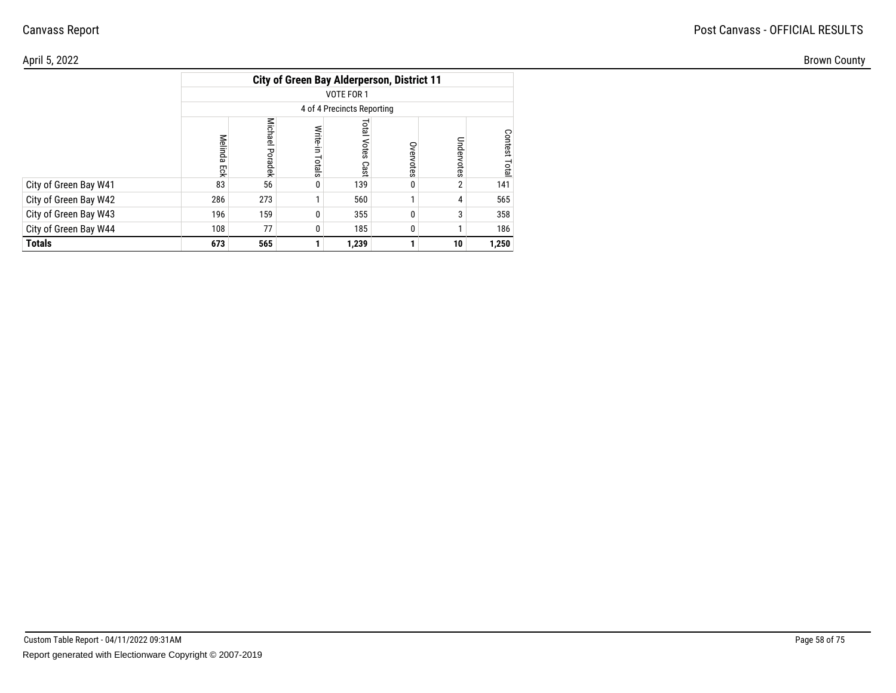#### April 5, 2022Brown County

|                       | <b>City of Green Bay Alderperson, District 11</b> |                 |                    |                               |           |            |                         |  |  |  |  |  |
|-----------------------|---------------------------------------------------|-----------------|--------------------|-------------------------------|-----------|------------|-------------------------|--|--|--|--|--|
|                       | VOTE FOR 1                                        |                 |                    |                               |           |            |                         |  |  |  |  |  |
|                       | 4 of 4 Precincts Reporting                        |                 |                    |                               |           |            |                         |  |  |  |  |  |
|                       | Melinda<br>Ęq                                     | Michael Poradek | Write-in<br>Totals | <b>Total</b><br>Votes<br>Cast | Overvotes | Undervotes | <b>Contest</b><br>Total |  |  |  |  |  |
| City of Green Bay W41 | 83                                                | 56              | 0                  | 139                           | 0         | 2          | 141                     |  |  |  |  |  |
| City of Green Bay W42 | 286                                               | 273             |                    | 560                           |           | 4          | 565                     |  |  |  |  |  |
| City of Green Bay W43 | 196                                               | 159             | 0                  | 355                           | 0         | 3          | 358                     |  |  |  |  |  |
| City of Green Bay W44 | 108<br>77<br>185<br>0<br>0                        |                 |                    |                               |           |            |                         |  |  |  |  |  |
| <b>Totals</b>         | 673                                               | 565             |                    | 1,239                         |           | 10         | 1,250                   |  |  |  |  |  |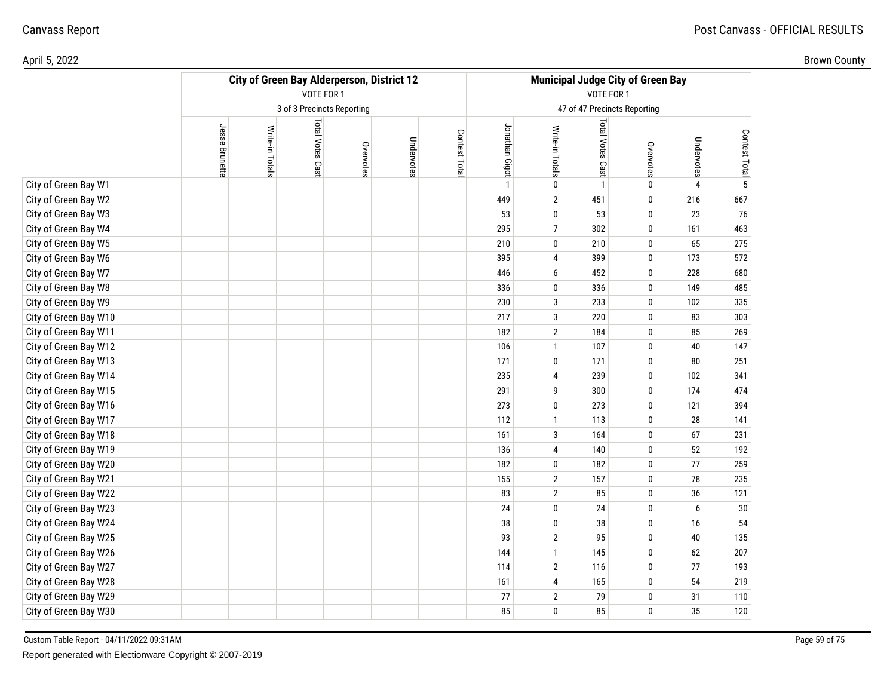|                       | <b>City of Green Bay Alderperson, District 12</b><br>VOTE FOR 1 |                 |                            |           |            |               |                | <b>Municipal Judge City of Green Bay</b><br>VOTE FOR 1 |                              |              |            |                |  |
|-----------------------|-----------------------------------------------------------------|-----------------|----------------------------|-----------|------------|---------------|----------------|--------------------------------------------------------|------------------------------|--------------|------------|----------------|--|
|                       |                                                                 |                 |                            |           |            |               |                |                                                        |                              |              |            |                |  |
|                       |                                                                 |                 | 3 of 3 Precincts Reporting |           |            |               |                |                                                        | 47 of 47 Precincts Reporting |              |            |                |  |
|                       | Jesse Brunette                                                  | Write-in Totals | <b>Total Votes Cast</b>    | Overvotes | Undervotes | Contest Total | Jonathan Gigot | Write-in Totals                                        | Total Votes Cast             | Overvotes    | Undervotes | Contest Total  |  |
| City of Green Bay W1  |                                                                 |                 |                            |           |            |               | $\mathbf{1}$   | 0                                                      | $\mathbf{1}$                 | 0            | 4          | $\overline{5}$ |  |
| City of Green Bay W2  |                                                                 |                 |                            |           |            |               | 449            | $\mathbf{2}$                                           | 451                          | 0            | 216        | 667            |  |
| City of Green Bay W3  |                                                                 |                 |                            |           |            |               | 53             | 0                                                      | 53                           | $\mathbf{0}$ | 23         | 76             |  |
| City of Green Bay W4  |                                                                 |                 |                            |           |            |               | 295            | 7                                                      | 302                          | 0            | 161        | 463            |  |
| City of Green Bay W5  |                                                                 |                 |                            |           |            |               | 210            | 0                                                      | 210                          | 0            | 65         | 275            |  |
| City of Green Bay W6  |                                                                 |                 |                            |           |            |               | 395            | 4                                                      | 399                          | $\mathbf{0}$ | 173        | 572            |  |
| City of Green Bay W7  |                                                                 |                 |                            |           |            |               | 446            | 6                                                      | 452                          | $\bf{0}$     | 228        | 680            |  |
| City of Green Bay W8  |                                                                 |                 |                            |           |            |               | 336            | 0                                                      | 336                          | 0            | 149        | 485            |  |
| City of Green Bay W9  |                                                                 |                 |                            |           |            |               | 230            | 3                                                      | 233                          | $\mathbf{0}$ | 102        | 335            |  |
| City of Green Bay W10 |                                                                 |                 |                            |           |            |               | 217            | 3                                                      | 220                          | 0            | 83         | 303            |  |
| City of Green Bay W11 |                                                                 |                 |                            |           |            |               | 182            | 2                                                      | 184                          | 0            | 85         | 269            |  |
| City of Green Bay W12 |                                                                 |                 |                            |           |            |               | 106            | $\mathbf{1}$                                           | 107                          | $\mathbf{0}$ | 40         | 147            |  |
| City of Green Bay W13 |                                                                 |                 |                            |           |            |               | 171            | 0                                                      | 171                          | 0            | 80         | 251            |  |
| City of Green Bay W14 |                                                                 |                 |                            |           |            |               | 235            | 4                                                      | 239                          | 0            | 102        | 341            |  |
| City of Green Bay W15 |                                                                 |                 |                            |           |            |               | 291            | 9                                                      | 300                          | $\mathbf{0}$ | 174        | 474            |  |
| City of Green Bay W16 |                                                                 |                 |                            |           |            |               | 273            | 0                                                      | 273                          | $\mathbf{0}$ | 121        | 394            |  |
| City of Green Bay W17 |                                                                 |                 |                            |           |            |               | 112            | $\mathbf{1}$                                           | 113                          | 0            | 28         | 141            |  |
| City of Green Bay W18 |                                                                 |                 |                            |           |            |               | 161            | 3                                                      | 164                          | $\mathbf{0}$ | 67         | 231            |  |
| City of Green Bay W19 |                                                                 |                 |                            |           |            |               | 136            | 4                                                      | 140                          | $\bf{0}$     | 52         | 192            |  |
| City of Green Bay W20 |                                                                 |                 |                            |           |            |               | 182            | 0                                                      | 182                          | 0            | 77         | 259            |  |
| City of Green Bay W21 |                                                                 |                 |                            |           |            |               | 155            | $\overline{2}$                                         | 157                          | $\mathbf{0}$ | 78         | 235            |  |
| City of Green Bay W22 |                                                                 |                 |                            |           |            |               | 83             | $\sqrt{2}$                                             | 85                           | $\bf{0}$     | 36         | 121            |  |
| City of Green Bay W23 |                                                                 |                 |                            |           |            |               | 24             | 0                                                      | 24                           | 0            | 6          | 30             |  |
| City of Green Bay W24 |                                                                 |                 |                            |           |            |               | 38             | 0                                                      | 38                           | $\mathbf{0}$ | 16         | 54             |  |
| City of Green Bay W25 |                                                                 |                 |                            |           |            |               | 93             | $\overline{2}$                                         | 95                           | 0            | $40\,$     | 135            |  |
| City of Green Bay W26 |                                                                 |                 |                            |           |            |               | 144            | $\mathbf{1}$                                           | 145                          | 0            | 62         | 207            |  |
| City of Green Bay W27 |                                                                 |                 |                            |           |            |               | 114            | $\overline{2}$                                         | 116                          | $\mathbf{0}$ | 77         | 193            |  |
| City of Green Bay W28 |                                                                 |                 |                            |           |            |               | 161            | 4                                                      | 165                          | 0            | 54         | 219            |  |
| City of Green Bay W29 |                                                                 |                 |                            |           |            |               | 77             | $\mathbf 2$                                            | 79                           | 0            | 31         | 110            |  |
| City of Green Bay W30 |                                                                 |                 |                            |           |            |               | 85             | 0                                                      | 85                           | $\mathbf{0}$ | 35         | 120            |  |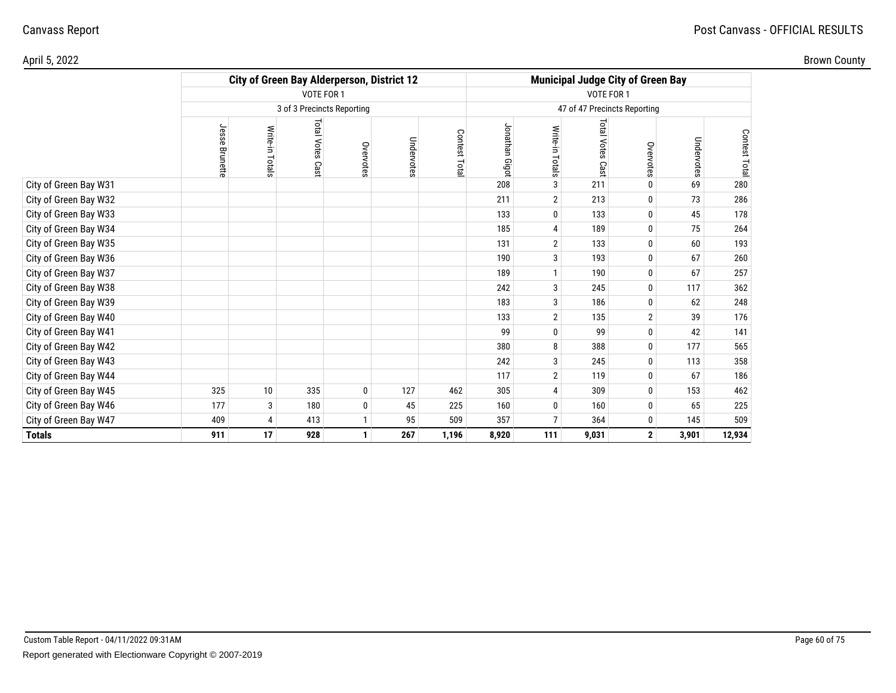|                       |                | <b>City of Green Bay Alderperson, District 12</b> |                            |           |            | <b>Municipal Judge City of Green Bay</b> |                |                 |                            |                |            |               |
|-----------------------|----------------|---------------------------------------------------|----------------------------|-----------|------------|------------------------------------------|----------------|-----------------|----------------------------|----------------|------------|---------------|
|                       |                |                                                   | VOTE FOR 1                 |           |            | VOTE FOR 1                               |                |                 |                            |                |            |               |
|                       |                |                                                   | 3 of 3 Precincts Reporting |           |            | 47 of 47 Precincts Reporting             |                |                 |                            |                |            |               |
|                       | Jesse Brunette | Write-in Totals                                   | Total Votes Cast           | Overvotes | Undervotes | Contest Total                            | Jonathan Gigot | Write-in Totals | <b>Total Votes</b><br>Cast | Overvotes      | Undervotes | Contest Total |
| City of Green Bay W31 |                |                                                   |                            |           |            |                                          | 208            | 3               | 211                        | 0              | 69         | 280           |
| City of Green Bay W32 |                |                                                   |                            |           |            |                                          | 211            | $\overline{2}$  | 213                        | 0              | 73         | 286           |
| City of Green Bay W33 |                |                                                   |                            |           |            |                                          | 133            | 0               | 133                        | 0              | 45         | 178           |
| City of Green Bay W34 |                |                                                   |                            |           |            |                                          | 185            | 4               | 189                        | 0              | 75         | 264           |
| City of Green Bay W35 |                |                                                   |                            |           |            |                                          | 131            | $\mathbf 2$     | 133                        | 0              | 60         | 193           |
| City of Green Bay W36 |                |                                                   |                            |           |            |                                          | 190            | 3               | 193                        | 0              | 67         | 260           |
| City of Green Bay W37 |                |                                                   |                            |           |            |                                          | 189            | $\mathbf{1}$    | 190                        | 0              | 67         | 257           |
| City of Green Bay W38 |                |                                                   |                            |           |            |                                          | 242            | 3               | 245                        | 0              | 117        | 362           |
| City of Green Bay W39 |                |                                                   |                            |           |            |                                          | 183            | 3               | 186                        | $\bf{0}$       | 62         | 248           |
| City of Green Bay W40 |                |                                                   |                            |           |            |                                          | 133            | $\mathbf 2$     | 135                        | $\overline{2}$ | 39         | 176           |
| City of Green Bay W41 |                |                                                   |                            |           |            |                                          | 99             | 0               | 99                         | 0              | 42         | 141           |
| City of Green Bay W42 |                |                                                   |                            |           |            |                                          | 380            | 8               | 388                        | 0              | 177        | 565           |
| City of Green Bay W43 |                |                                                   |                            |           |            |                                          | 242            | 3               | 245                        | 0              | 113        | 358           |
| City of Green Bay W44 |                |                                                   |                            |           |            |                                          | 117            | $\mathbf 2$     | 119                        | 0              | 67         | 186           |
| City of Green Bay W45 | 325            | 10                                                | 335                        | 0         | 127        | 462                                      | 305            | 4               | 309                        | 0              | 153        | 462           |
| City of Green Bay W46 | 177            | 3                                                 | 180                        | 0         | 45         | 225                                      | 160            | $\bf{0}$        | 160                        | 0              | 65         | 225           |
| City of Green Bay W47 | 409            | 4                                                 | 413                        | 1         | 95         | 509                                      | 357            | 7               | 364                        | 0              | 145        | 509           |
| <b>Totals</b>         | 911            | 17                                                | 928                        | 1         | 267        | 1,196                                    | 8,920          | 111             | 9,031                      | $\mathbf{2}$   | 3,901      | 12,934        |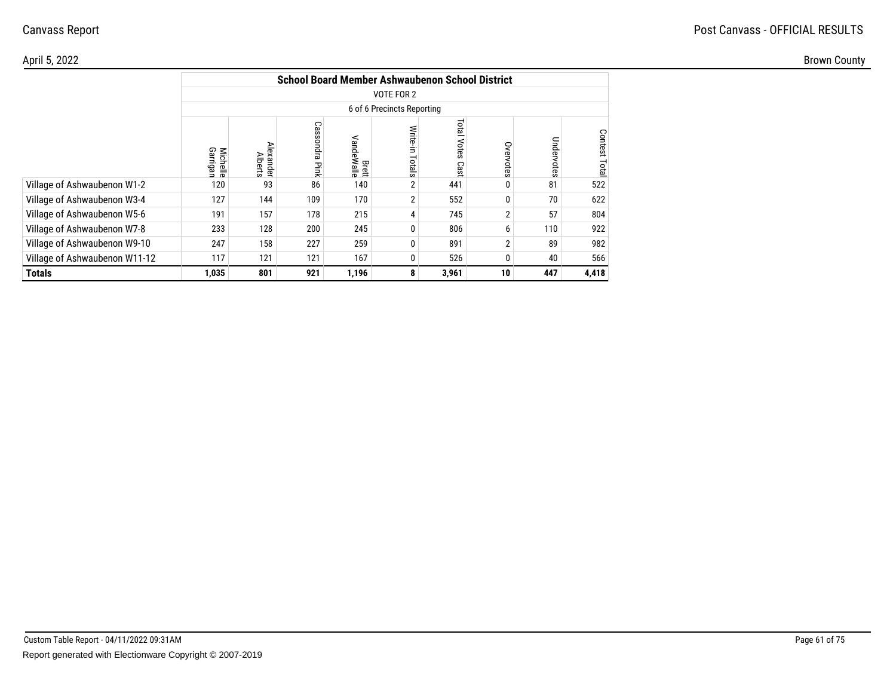|                               | <b>School Board Member Ashwaubenon School District</b> |                             |                |                     |                    |                               |                |            |               |  |  |  |
|-------------------------------|--------------------------------------------------------|-----------------------------|----------------|---------------------|--------------------|-------------------------------|----------------|------------|---------------|--|--|--|
|                               | VOTE FOR 2                                             |                             |                |                     |                    |                               |                |            |               |  |  |  |
|                               | 6 of 6 Precincts Reporting                             |                             |                |                     |                    |                               |                |            |               |  |  |  |
|                               | Garrigan<br><b>Michelle</b>                            | Alexander<br><b>Alberts</b> | Cassondra Pink | Brett<br>VandeWalle | Write-in<br>Totals | <b>Total</b><br>Votes<br>Cast | Overvotes      | Undervotes | Contest Total |  |  |  |
| Village of Ashwaubenon W1-2   | 120                                                    | 93                          | 86             | 140                 | 2                  | 441                           | 0              | 81         | 522           |  |  |  |
| Village of Ashwaubenon W3-4   | 127                                                    | 144                         | 109            | 170                 | $\overline{2}$     | 552                           | 0              | 70         | 622           |  |  |  |
| Village of Ashwaubenon W5-6   | 191                                                    | 157                         | 178            | 215                 | 4                  | 745                           | $\overline{2}$ | 57         | 804           |  |  |  |
| Village of Ashwaubenon W7-8   | 233                                                    | 128                         | 200            | 245                 | 0                  | 806                           | 6              | 110        | 922           |  |  |  |
| Village of Ashwaubenon W9-10  | 247                                                    | 158                         | 227            | 259                 | 0                  | 891                           | $\overline{2}$ | 89         | 982           |  |  |  |
| Village of Ashwaubenon W11-12 | 117                                                    | 121                         | 121            | 167                 | 0                  | 526                           | 0              | 40         | 566           |  |  |  |
| <b>Totals</b>                 | 1,035                                                  | 801                         | 921            | 1,196               | 8                  | 3,961                         | 10             | 447        | 4,418         |  |  |  |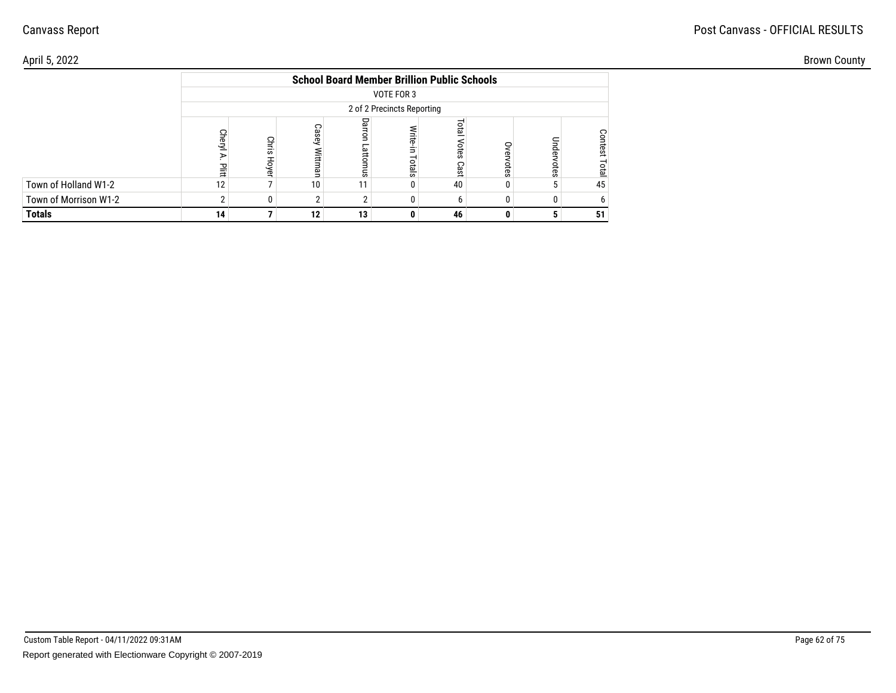## Post Canvass - OFFICIAL RESULTS

| April 5, 2022         |    |                |                 |                                                    |            |           |   |    | <b>Brown County</b> |
|-----------------------|----|----------------|-----------------|----------------------------------------------------|------------|-----------|---|----|---------------------|
|                       |    |                |                 | <b>School Board Member Brillion Public Schools</b> |            |           |   |    |                     |
|                       |    |                |                 | VOTE FOR 3                                         |            |           |   |    |                     |
|                       |    |                |                 | 2 of 2 Precincts Reporting                         |            |           |   |    |                     |
|                       |    | Chris<br>Hoyel | Casey           | Dar<br>۹Ë                                          | 큹<br>otals | చి.<br>ທຸ |   |    |                     |
| Town of Holland W1-2  | 12 |                | 10 <sup>°</sup> | 11 <sup>1</sup>                                    |            | 40        |   | 45 |                     |
| Town of Morrison W1-2 |    |                |                 |                                                    |            |           |   |    |                     |
| <b>Totals</b>         | 14 |                | 12              | 13                                                 | 0          | 46        | 0 | 51 |                     |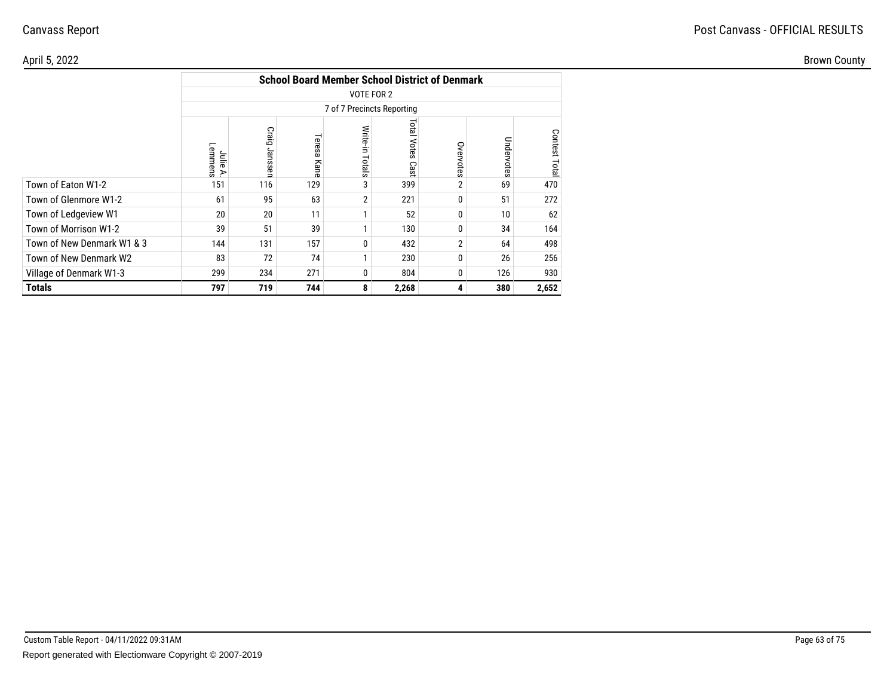#### April 5, 2022Brown County

|                            |                            | <b>School Board Member School District of Denmark</b> |                |                    |                            |                |            |               |  |  |  |  |  |
|----------------------------|----------------------------|-------------------------------------------------------|----------------|--------------------|----------------------------|----------------|------------|---------------|--|--|--|--|--|
|                            |                            | VOTE FOR 2                                            |                |                    |                            |                |            |               |  |  |  |  |  |
|                            |                            | 7 of 7 Precincts Reporting                            |                |                    |                            |                |            |               |  |  |  |  |  |
|                            | Lemmens<br>Julie<br>$\geq$ | Craig Janssen                                         | Teresa<br>Kane | Write-in<br>Totals | <b>Total Votes</b><br>Cast | Overvotes      | Undervotes | Contest Total |  |  |  |  |  |
| Town of Eaton W1-2         | 151                        | 116                                                   | 129            | 3                  | 399                        | 2              | 69         | 470           |  |  |  |  |  |
| Town of Glenmore W1-2      | 61                         | 95                                                    | 63             | 2                  | 221                        | 0              | 51         | 272           |  |  |  |  |  |
| Town of Ledgeview W1       | 20                         | 20                                                    | 11             |                    | 52                         | 0              | 10         | 62            |  |  |  |  |  |
| Town of Morrison W1-2      | 39                         | 51                                                    | 39             |                    | 130                        | 0              | 34         | 164           |  |  |  |  |  |
| Town of New Denmark W1 & 3 | 144                        | 131                                                   | 157            | $\Omega$           | 432                        | $\overline{2}$ | 64         | 498           |  |  |  |  |  |
| Town of New Denmark W2     | 83                         | 72                                                    | 74             |                    | 230                        | 0              | 26         | 256           |  |  |  |  |  |
| Village of Denmark W1-3    | 299                        | 234                                                   | 271            | $\Omega$           | 804                        | 0              | 126        | 930           |  |  |  |  |  |
| Totals                     | 797                        | 719                                                   | 744            | 8                  | 2,268                      | 4              | 380        | 2,652         |  |  |  |  |  |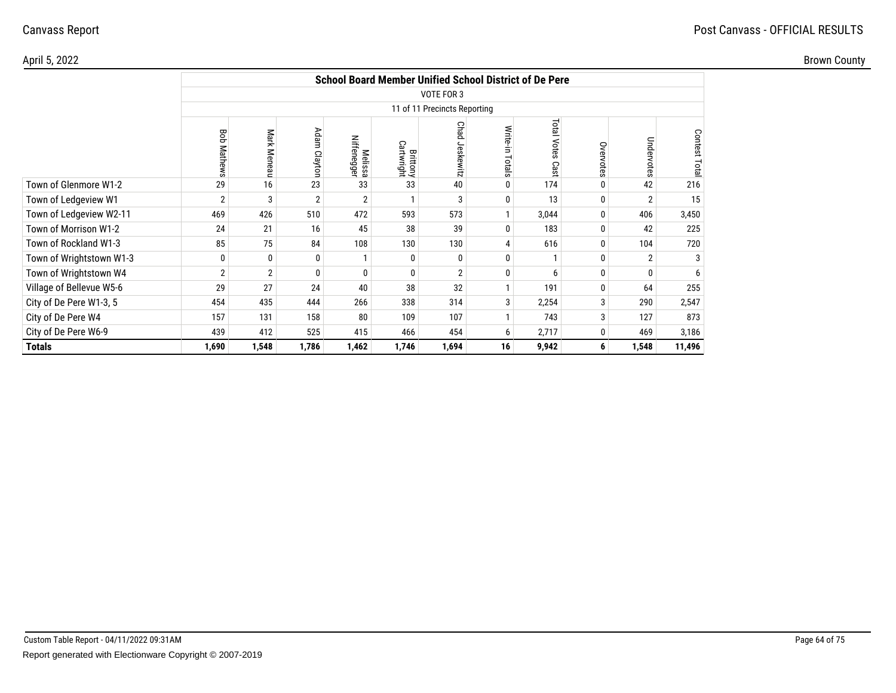#### April 5, 2022

Brown County

|                          |                    | <b>School Board Member Unified School District of De Pere</b> |                |                               |                               |                |                    |                     |              |                |              |  |  |
|--------------------------|--------------------|---------------------------------------------------------------|----------------|-------------------------------|-------------------------------|----------------|--------------------|---------------------|--------------|----------------|--------------|--|--|
|                          |                    | <b>VOTE FOR 3</b>                                             |                |                               |                               |                |                    |                     |              |                |              |  |  |
|                          |                    | 11 of 11 Precincts Reporting                                  |                |                               |                               |                |                    |                     |              |                |              |  |  |
|                          | <b>Bob Mathews</b> | Mark Meneau                                                   | Adam Clayton   | Niffenegger<br><b>Melissa</b> | <b>Brittony</b><br>Cartwright | Chad Jeskewitz | Write-in<br>Totals | Total Votes<br>Cast | Overvotes    | Undervotes     | Contest Tota |  |  |
| Town of Glenmore W1-2    | 29                 | 16                                                            | 23             | 33                            | 33                            | 40             | $\mathbf{0}$       | 174                 | 0            | 42             | 216          |  |  |
| Town of Ledgeview W1     | $\overline{2}$     | 3                                                             | $\overline{2}$ | $\overline{2}$                | 1                             | 3              | 0                  | 13                  | $\mathbf{0}$ | $\overline{2}$ | 15           |  |  |
| Town of Ledgeview W2-11  | 469                | 426                                                           | 510            | 472                           | 593                           | 573            | $\mathbf{1}$       | 3,044               | $\mathbf 0$  | 406            | 3,450        |  |  |
| Town of Morrison W1-2    | 24                 | 21                                                            | 16             | 45                            | 38                            | 39             | $\mathbf{0}$       | 183                 | 0            | 42             | 225          |  |  |
| Town of Rockland W1-3    | 85                 | 75                                                            | 84             | 108                           | 130                           | 130            | 4                  | 616                 | $\mathbf{0}$ | 104            | 720          |  |  |
| Town of Wrightstown W1-3 | 0                  | $\mathbf{0}$                                                  | 0              |                               | 0                             | 0              | $\mathbf{0}$       |                     | 0            | $\overline{2}$ | 3            |  |  |
| Town of Wrightstown W4   | $\overline{2}$     | $\overline{2}$                                                | 0              | 0                             | $\mathbf{0}$                  | 2              | $\mathbf{0}$       | 6                   | $\Omega$     | 0              | 6            |  |  |
| Village of Bellevue W5-6 | 29                 | 27                                                            | 24             | 40                            | 38                            | 32             | $\mathbf{1}$       | 191                 | $\Omega$     | 64             | 255          |  |  |
| City of De Pere W1-3, 5  | 454                | 435                                                           | 444            | 266                           | 338                           | 314            | 3                  | 2,254               | 3            | 290            | 2,547        |  |  |
| City of De Pere W4       | 157                | 131                                                           | 158            | 80                            | 109                           | 107            | $\mathbf{1}$       | 743                 | 3            | 127            | 873          |  |  |
| City of De Pere W6-9     | 439                | 412                                                           | 525            | 415                           | 466                           | 454            | 6                  | 2,717               | 0            | 469            | 3,186        |  |  |
| <b>Totals</b>            | 1,690              | 1,548                                                         | 1,786          | 1,462                         | 1,746                         | 1,694          | 16                 | 9,942               | 6            | 1,548          | 11,496       |  |  |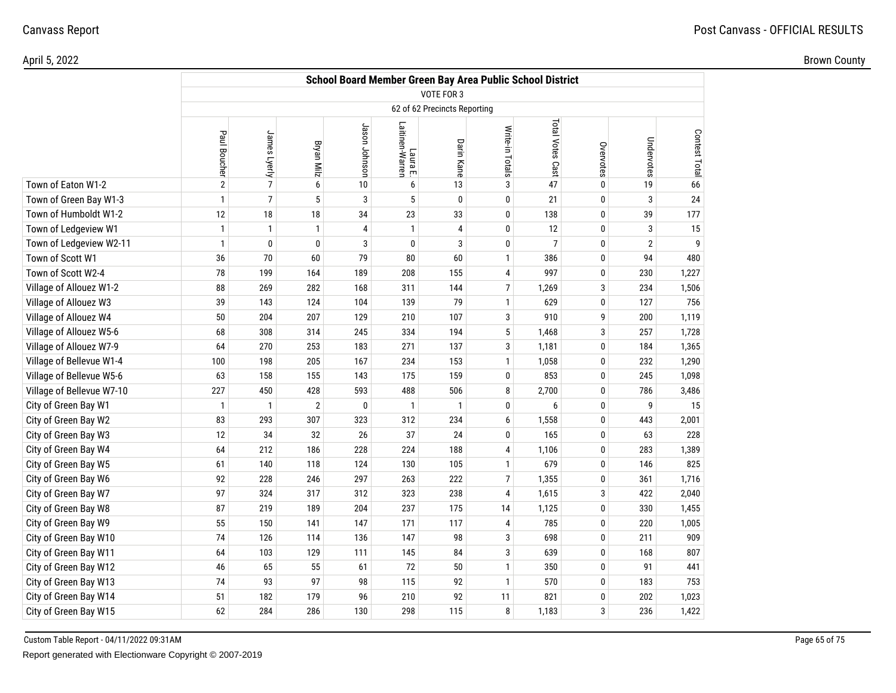|  | <b>Brown</b><br>untv<br>the contract of the contract of the |
|--|-------------------------------------------------------------|
|  |                                                             |

|                           |                | School Board Member Green Bay Area Public School District |                |                |                             |                              |                  |                  |           |                |               |  |
|---------------------------|----------------|-----------------------------------------------------------|----------------|----------------|-----------------------------|------------------------------|------------------|------------------|-----------|----------------|---------------|--|
|                           |                |                                                           |                |                |                             | VOTE FOR 3                   |                  |                  |           |                |               |  |
|                           |                |                                                           |                |                |                             | 62 of 62 Precincts Reporting |                  |                  |           |                |               |  |
|                           | Paul Boucher   | James Lyerly                                              | Bryan Milz     | Jason Johnson  | Laura E.<br>Laitinen-Warren | Darin Kane                   | Write-in Totals  | Total Votes Cast | Overvotes | Undervotes     | Contest Total |  |
| Town of Eaton W1-2        | $\overline{2}$ | $\overline{7}$                                            | 6              | 10             | 6                           | 13                           | 3                | 47               | $\pmb{0}$ | 19             | 66            |  |
| Town of Green Bay W1-3    | $\mathbf{1}$   | $\overline{7}$                                            | 5              | 3              | 5                           | $\mathbf 0$                  | $\mathbf 0$      | 21               | 0         | 3              | 24            |  |
| Town of Humboldt W1-2     | 12             | 18                                                        | 18             | 34             | 23                          | 33                           | 0                | 138              | 0         | 39             | 177           |  |
| Town of Ledgeview W1      | $\mathbf{1}$   | $\mathbf{1}$                                              | $\mathbf{1}$   | $\overline{4}$ | $\mathbf{1}$                | 4                            | 0                | 12               | 0         | 3              | 15            |  |
| Town of Ledgeview W2-11   | $\mathbf{1}$   | $\mathbf 0$                                               | 0              | 3              | $\mathbf 0$                 | 3                            | 0                | $\overline{7}$   | 0         | $\overline{2}$ | 9             |  |
| Town of Scott W1          | 36             | 70                                                        | 60             | 79             | 80                          | 60                           | $\mathbf{1}$     | 386              | 0         | 94             | 480           |  |
| Town of Scott W2-4        | 78             | 199                                                       | 164            | 189            | 208                         | 155                          | $\pmb{4}$        | 997              | 0         | 230            | 1,227         |  |
| Village of Allouez W1-2   | 88             | 269                                                       | 282            | 168            | 311                         | 144                          | $\overline{7}$   | 1,269            | 3         | 234            | 1,506         |  |
| Village of Allouez W3     | 39             | 143                                                       | 124            | 104            | 139                         | 79                           | $\mathbf{1}$     | 629              | $\pmb{0}$ | 127            | 756           |  |
| Village of Allouez W4     | 50             | 204                                                       | 207            | 129            | 210                         | 107                          | 3                | 910              | 9         | 200            | 1,119         |  |
| Village of Allouez W5-6   | 68             | 308                                                       | 314            | 245            | 334                         | 194                          | $5\,$            | 1,468            | 3         | 257            | 1,728         |  |
| Village of Allouez W7-9   | 64             | 270                                                       | 253            | 183            | 271                         | 137                          | 3                | 1,181            | 0         | 184            | 1,365         |  |
| Village of Bellevue W1-4  | 100            | 198                                                       | 205            | 167            | 234                         | 153                          | $\mathbf{1}$     | 1,058            | 0         | 232            | 1,290         |  |
| Village of Bellevue W5-6  | 63             | 158                                                       | 155            | 143            | 175                         | 159                          | 0                | 853              | 0         | 245            | 1,098         |  |
| Village of Bellevue W7-10 | 227            | 450                                                       | 428            | 593            | 488                         | 506                          | 8                | 2,700            | 0         | 786            | 3,486         |  |
| City of Green Bay W1      | $\overline{1}$ | $\mathbf{1}$                                              | $\overline{2}$ | 0              | $\mathbf{1}$                | $\mathbf{1}$                 | 0                | 6                | 0         | 9              | 15            |  |
| City of Green Bay W2      | 83             | 293                                                       | 307            | 323            | 312                         | 234                          | $\boldsymbol{6}$ | 1,558            | 0         | 443            | 2,001         |  |
| City of Green Bay W3      | 12             | 34                                                        | 32             | 26             | 37                          | 24                           | 0                | 165              | 0         | 63             | 228           |  |
| City of Green Bay W4      | 64             | 212                                                       | 186            | 228            | 224                         | 188                          | 4                | 1,106            | 0         | 283            | 1,389         |  |
| City of Green Bay W5      | 61             | 140                                                       | 118            | 124            | 130                         | 105                          | $\mathbf{1}$     | 679              | 0         | 146            | 825           |  |
| City of Green Bay W6      | 92             | 228                                                       | 246            | 297            | 263                         | 222                          | $\overline{7}$   | 1,355            | 0         | 361            | 1,716         |  |
| City of Green Bay W7      | 97             | 324                                                       | 317            | 312            | 323                         | 238                          | $\overline{4}$   | 1,615            | 3         | 422            | 2,040         |  |
| City of Green Bay W8      | 87             | 219                                                       | 189            | 204            | 237                         | 175                          | 14               | 1,125            | 0         | 330            | 1,455         |  |
| City of Green Bay W9      | 55             | 150                                                       | 141            | 147            | 171                         | 117                          | 4                | 785              | 0         | 220            | 1,005         |  |
| City of Green Bay W10     | 74             | 126                                                       | 114            | 136            | 147                         | 98                           | 3                | 698              | 0         | 211            | 909           |  |
| City of Green Bay W11     | 64             | 103                                                       | 129            | 111            | 145                         | 84                           | $\mathbf{3}$     | 639              | 0         | 168            | 807           |  |
| City of Green Bay W12     | 46             | 65                                                        | 55             | 61             | 72                          | 50                           | $\mathbf{1}$     | 350              | 0         | 91             | 441           |  |
| City of Green Bay W13     | 74             | 93                                                        | 97             | 98             | 115                         | 92                           | $\mathbf{1}$     | 570              | 0         | 183            | 753           |  |
| City of Green Bay W14     | 51             | 182                                                       | 179            | 96             | 210                         | 92                           | 11               | 821              | 0         | 202            | 1,023         |  |
| City of Green Bay W15     | 62             | 284                                                       | 286            | 130            | 298                         | 115                          | 8                | 1,183            | 3         | 236            | 1,422         |  |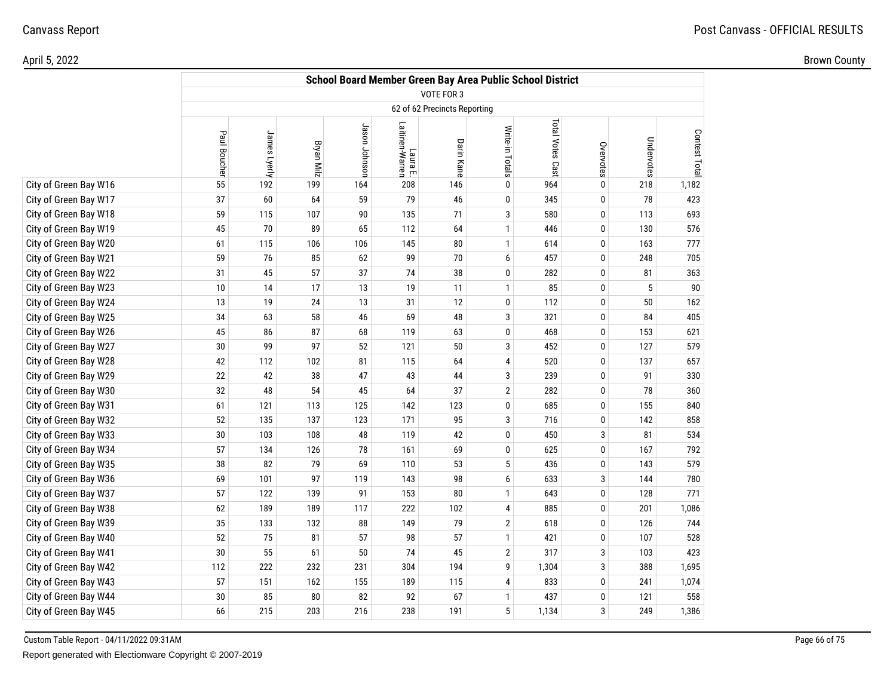|  | ำwn .<br>кrс |
|--|--------------|
|  |              |

|                       |              |              |                   |               |                             |                              | School Board Member Green Bay Area Public School District |                  |           |            |               |
|-----------------------|--------------|--------------|-------------------|---------------|-----------------------------|------------------------------|-----------------------------------------------------------|------------------|-----------|------------|---------------|
|                       |              |              |                   |               |                             | <b>VOTE FOR 3</b>            |                                                           |                  |           |            |               |
|                       |              |              |                   |               |                             | 62 of 62 Precincts Reporting |                                                           |                  |           |            |               |
|                       | Paul Boucher | James Lyerly | <b>Bryan Milz</b> | Jason Johnson | Laura E.<br>Laitinen-Warren | Darin Kane                   | Write-in Totals                                           | Total Votes Cast | Overvotes | Undervotes | Contest Total |
| City of Green Bay W16 | 55           | 192          | 199               | 164           | 208                         | 146                          | 0                                                         | 964              | $\pmb{0}$ | 218        | 1,182         |
| City of Green Bay W17 | 37           | 60           | 64                | 59            | 79                          | 46                           | 0                                                         | 345              | 0         | 78         | 423           |
| City of Green Bay W18 | 59           | 115          | 107               | 90            | 135                         | 71                           | 3                                                         | 580              | $\pmb{0}$ | 113        | 693           |
| City of Green Bay W19 | 45           | 70           | 89                | 65            | 112                         | 64                           | $\mathbf{1}$                                              | 446              | 0         | 130        | 576           |
| City of Green Bay W20 | 61           | 115          | 106               | 106           | 145                         | 80                           | $\mathbf{1}$                                              | 614              | 0         | 163        | 777           |
| City of Green Bay W21 | 59           | 76           | 85                | 62            | 99                          | $70$                         | 6                                                         | 457              | $\pmb{0}$ | 248        | 705           |
| City of Green Bay W22 | 31           | 45           | 57                | 37            | 74                          | 38                           | 0                                                         | 282              | 0         | 81         | 363           |
| City of Green Bay W23 | 10           | 14           | 17                | 13            | 19                          | 11                           | $\mathbf{1}$                                              | 85               | $\pmb{0}$ | 5          | 90            |
| City of Green Bay W24 | 13           | 19           | 24                | 13            | 31                          | 12                           | 0                                                         | 112              | 0         | 50         | 162           |
| City of Green Bay W25 | 34           | 63           | 58                | 46            | 69                          | 48                           | 3                                                         | 321              | $\pmb{0}$ | 84         | 405           |
| City of Green Bay W26 | 45           | 86           | 87                | 68            | 119                         | 63                           | 0                                                         | 468              | 0         | 153        | 621           |
| City of Green Bay W27 | 30           | 99           | 97                | 52            | 121                         | 50                           | 3                                                         | 452              | 0         | 127        | 579           |
| City of Green Bay W28 | 42           | 112          | 102               | 81            | 115                         | 64                           | 4                                                         | 520              | 0         | 137        | 657           |
| City of Green Bay W29 | 22           | 42           | 38                | 47            | 43                          | 44                           | 3                                                         | 239              | 0         | 91         | 330           |
| City of Green Bay W30 | 32           | 48           | 54                | 45            | 64                          | 37                           | $\mathbf{2}$                                              | 282              | 0         | 78         | 360           |
| City of Green Bay W31 | 61           | 121          | 113               | 125           | 142                         | 123                          | 0                                                         | 685              | 0         | 155        | 840           |
| City of Green Bay W32 | 52           | 135          | 137               | 123           | 171                         | 95                           | 3                                                         | 716              | 0         | 142        | 858           |
| City of Green Bay W33 | 30           | 103          | 108               | 48            | 119                         | 42                           | 0                                                         | 450              | 3         | 81         | 534           |
| City of Green Bay W34 | 57           | 134          | 126               | 78            | 161                         | 69                           | 0                                                         | 625              | 0         | 167        | 792           |
| City of Green Bay W35 | 38           | 82           | 79                | 69            | 110                         | 53                           | 5                                                         | 436              | 0         | 143        | 579           |
| City of Green Bay W36 | 69           | 101          | 97                | 119           | 143                         | 98                           | 6                                                         | 633              | 3         | 144        | 780           |
| City of Green Bay W37 | 57           | 122          | 139               | 91            | 153                         | 80                           | 1                                                         | 643              | 0         | 128        | 771           |
| City of Green Bay W38 | 62           | 189          | 189               | 117           | 222                         | 102                          | 4                                                         | 885              | 0         | 201        | 1,086         |
| City of Green Bay W39 | 35           | 133          | 132               | 88            | 149                         | 79                           | $\mathbf{2}$                                              | 618              | $\pmb{0}$ | 126        | 744           |
| City of Green Bay W40 | 52           | 75           | 81                | 57            | 98                          | 57                           | $\mathbf{1}$                                              | 421              | 0         | 107        | 528           |
| City of Green Bay W41 | 30           | 55           | 61                | 50            | 74                          | 45                           | $\overline{2}$                                            | 317              | 3         | 103        | 423           |
| City of Green Bay W42 | 112          | 222          | 232               | 231           | 304                         | 194                          | 9                                                         | 1,304            | 3         | 388        | 1,695         |
| City of Green Bay W43 | 57           | 151          | 162               | 155           | 189                         | 115                          | 4                                                         | 833              | $\pmb{0}$ | 241        | 1,074         |
| City of Green Bay W44 | 30           | 85           | 80                | 82            | 92                          | 67                           | 1                                                         | 437              | 0         | 121        | 558           |
| City of Green Bay W45 | 66           | 215          | 203               | 216           | 238                         | 191                          | 5                                                         | 1,134            | 3         | 249        | 1,386         |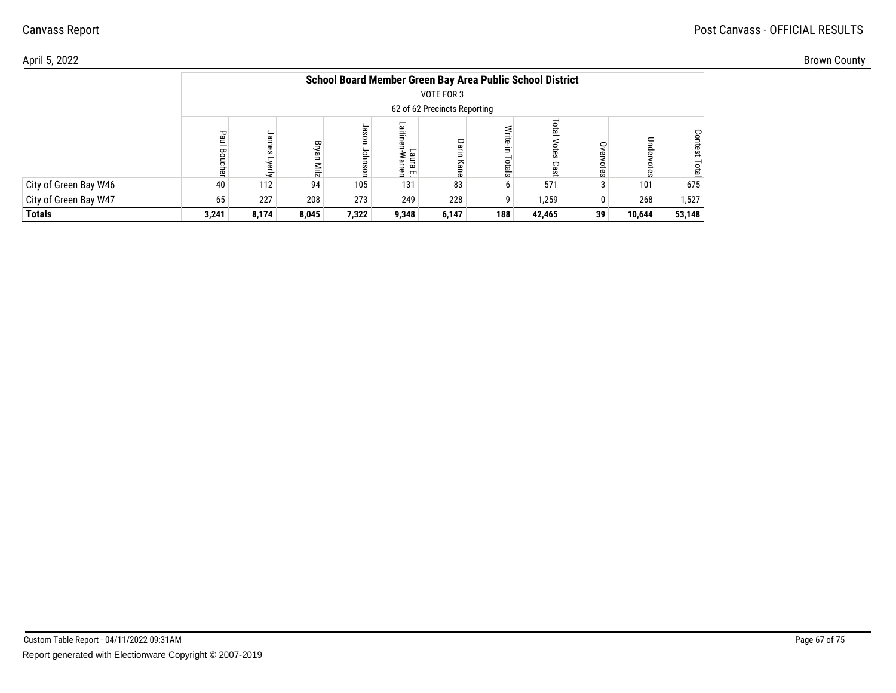## Post Canvass - OFFICIAL RESULTS

|                       |                        |                 |               |                 |                               |                              | School Board Member Green Bay Area Public School District |                        |            |                |                                |
|-----------------------|------------------------|-----------------|---------------|-----------------|-------------------------------|------------------------------|-----------------------------------------------------------|------------------------|------------|----------------|--------------------------------|
|                       |                        |                 |               |                 |                               | VOTE FOR 3                   |                                                           |                        |            |                |                                |
|                       |                        |                 |               |                 |                               | 62 of 62 Precincts Reporting |                                                           |                        |            |                |                                |
|                       | Paul<br><b>Boucher</b> | James<br>Lyerly | Bryan<br>ziiM | Jas<br>g<br>gou | 쁲<br>aura<br>Warr<br>≌<br>교 트 | Darin<br>Kan                 | Write-in<br>Totals                                        | Total<br>Votes<br>Cast | ş<br>otes  | Under<br>votes | <b>Contest</b><br><b>Total</b> |
| City of Green Bay W46 | 40                     | 112             | 94            | 105             | 131                           | 83                           |                                                           | 571                    | $\sqrt{2}$ | 101            | 675                            |
| City of Green Bay W47 | 65                     | 227             | 208           | 273             | 249                           | 228                          | a                                                         | 1,259                  | 0          | 268            | 1,527                          |
| <b>Totals</b>         | 3,241                  | 8,174           | 8,045         | 7,322           | 9,348                         | 6,147                        | 188                                                       | 42,465                 | 39         | 10,644         | 53,148                         |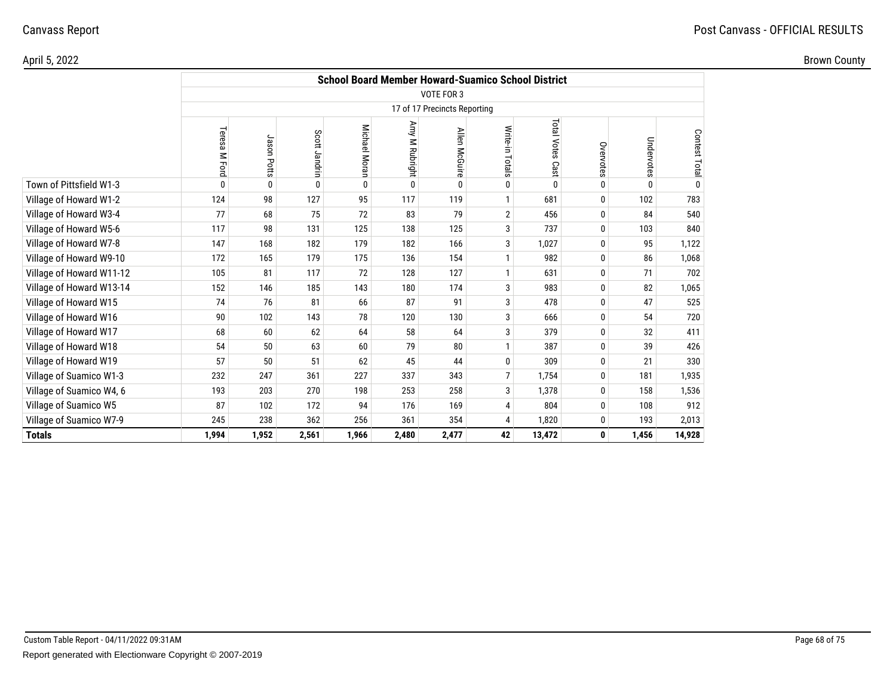|                          |                  |             |               |               |                |                              | <b>School Board Member Howard-Suamico School District</b> |                  |           |              |               |
|--------------------------|------------------|-------------|---------------|---------------|----------------|------------------------------|-----------------------------------------------------------|------------------|-----------|--------------|---------------|
|                          |                  |             |               |               |                | VOTE FOR 3                   |                                                           |                  |           |              |               |
|                          |                  |             |               |               |                | 17 of 17 Precincts Reporting |                                                           |                  |           |              |               |
|                          | Teresa<br>M Ford | Jason Potts | Scott Jandrin | Michael Moran | Amy M Rubright | Allen McGuire                | Write-in Totals                                           | Total Votes Cast | Overvotes | Undervotes   | Contest Total |
| Town of Pittsfield W1-3  | $\mathbf{0}$     | 0           | 0             | 0             | $\mathbf{0}$   | $\Omega$                     | $\mathbf{0}$                                              | $\mathbf{0}$     | 0         | $\mathbf{0}$ | 0             |
| Village of Howard W1-2   | 124              | 98          | 127           | 95            | 117            | 119                          |                                                           | 681              | 0         | 102          | 783           |
| Village of Howard W3-4   | 77               | 68          | 75            | 72            | 83             | 79                           | $\overline{2}$                                            | 456              | 0         | 84           | 540           |
| Village of Howard W5-6   | 117              | 98          | 131           | 125           | 138            | 125                          | 3                                                         | 737              | 0         | 103          | 840           |
| Village of Howard W7-8   | 147              | 168         | 182           | 179           | 182            | 166                          | 3                                                         | 1,027            | 0         | 95           | 1,122         |
| Village of Howard W9-10  | 172              | 165         | 179           | 175           | 136            | 154                          |                                                           | 982              | 0         | 86           | 1,068         |
| Village of Howard W11-12 | 105              | 81          | 117           | 72            | 128            | 127                          | $\mathbf{1}$                                              | 631              | 0         | 71           | 702           |
| Village of Howard W13-14 | 152              | 146         | 185           | 143           | 180            | 174                          | 3                                                         | 983              | 0         | 82           | 1,065         |
| Village of Howard W15    | 74               | 76          | 81            | 66            | 87             | 91                           | 3                                                         | 478              | 0         | 47           | 525           |
| Village of Howard W16    | 90               | 102         | 143           | 78            | 120            | 130                          | 3                                                         | 666              | 0         | 54           | 720           |
| Village of Howard W17    | 68               | 60          | 62            | 64            | 58             | 64                           | 3                                                         | 379              | 0         | 32           | 411           |
| Village of Howard W18    | 54               | 50          | 63            | 60            | 79             | 80                           | $\mathbf{1}$                                              | 387              | 0         | 39           | 426           |
| Village of Howard W19    | 57               | 50          | 51            | 62            | 45             | 44                           | $\mathbf{0}$                                              | 309              | 0         | 21           | 330           |
| Village of Suamico W1-3  | 232              | 247         | 361           | 227           | 337            | 343                          | $\overline{7}$                                            | 1,754            | 0         | 181          | 1,935         |
| Village of Suamico W4, 6 | 193              | 203         | 270           | 198           | 253            | 258                          | 3                                                         | 1,378            | 0         | 158          | 1,536         |
| Village of Suamico W5    | 87               | 102         | 172           | 94            | 176            | 169                          | $\overline{4}$                                            | 804              | 0         | 108          | 912           |
| Village of Suamico W7-9  | 245              | 238         | 362           | 256           | 361            | 354                          | $\overline{4}$                                            | 1,820            | 0         | 193          | 2,013         |
| <b>Totals</b>            | 1,994            | 1,952       | 2,561         | 1,966         | 2,480          | 2,477                        | 42                                                        | 13,472           | 0         | 1,456        | 14,928        |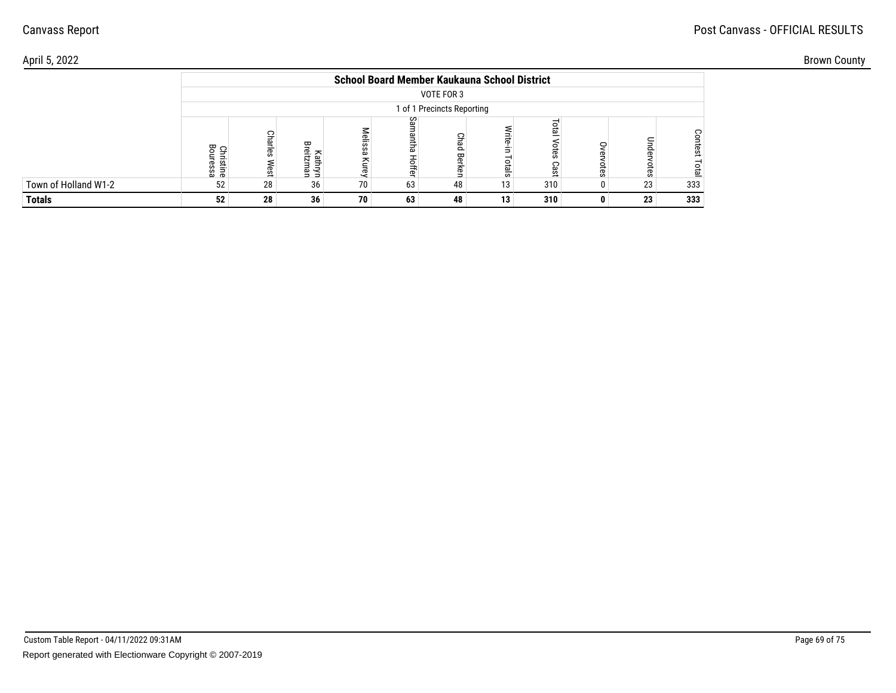## Post Canvass - OFFICIAL RESULTS

|                      |                            |               |                          |                     | <b>School Board Member Kaukauna School District</b> |                            |                      |                            |              |               |                 |
|----------------------|----------------------------|---------------|--------------------------|---------------------|-----------------------------------------------------|----------------------------|----------------------|----------------------------|--------------|---------------|-----------------|
|                      |                            |               |                          |                     |                                                     | VOTE FOR 3                 |                      |                            |              |               |                 |
|                      |                            |               |                          |                     |                                                     | 1 of 1 Precincts Reporting |                      |                            |              |               |                 |
|                      | 몽<br>Christine<br>Bouressa | C<br>æ<br>est | ᡂ<br>읔.<br>N<br>Ξ<br>로 줄 | lelissa<br>준<br>ΙLΘ | Samantha<br>Hoffer                                  | Chad<br>Berken             | ∕rite<br>Ė.<br>otals | <b>PED</b><br>otes<br>Cast | ĒS           | Under<br>otes | Contest<br>otal |
| Town of Holland W1-2 | 52                         | 28            | 36                       | 70                  | 63                                                  | 48                         | 13                   | 310                        | <sup>0</sup> | 23            | 333             |
| <b>Totals</b>        | 52                         | 28            | 36                       | 70                  | 63                                                  | 48                         | 13                   | 310                        | n            | 23            | 333             |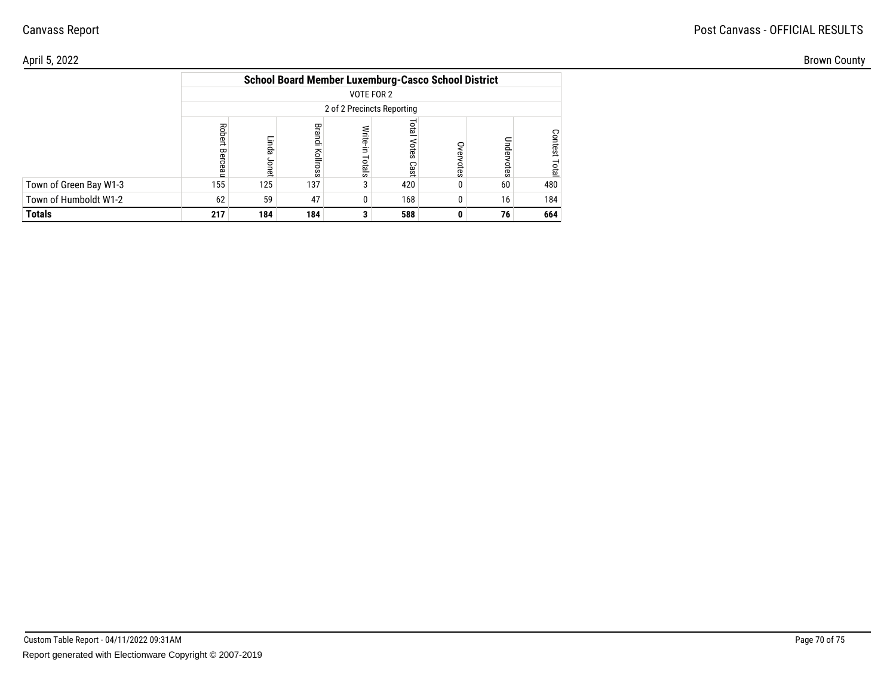#### April 5, 2022

| April 5, 2022          |     |              |     |                                                            |                   |    |     | <b>Brown County</b> |  |
|------------------------|-----|--------------|-----|------------------------------------------------------------|-------------------|----|-----|---------------------|--|
|                        |     |              |     | <b>School Board Member Luxemburg-Casco School District</b> |                   |    |     |                     |  |
|                        |     |              |     | VOTE FOR 2                                                 |                   |    |     |                     |  |
|                        |     |              |     | 2 of 2 Precincts Reporting                                 |                   |    |     |                     |  |
|                        |     | ä<br>co<br>应 | 즐   | 큹<br>otals                                                 | ă<br>otes<br>Cast |    |     |                     |  |
| Town of Green Bay W1-3 | 155 | 125          | 137 | 3                                                          | 420               | 60 | 480 |                     |  |
| Town of Humboldt W1-2  | 62  | 59           | 47  | 0                                                          | 168               | 16 | 184 |                     |  |
| <b>Totals</b>          | 217 | 184          | 184 |                                                            | 588               | 76 | 664 |                     |  |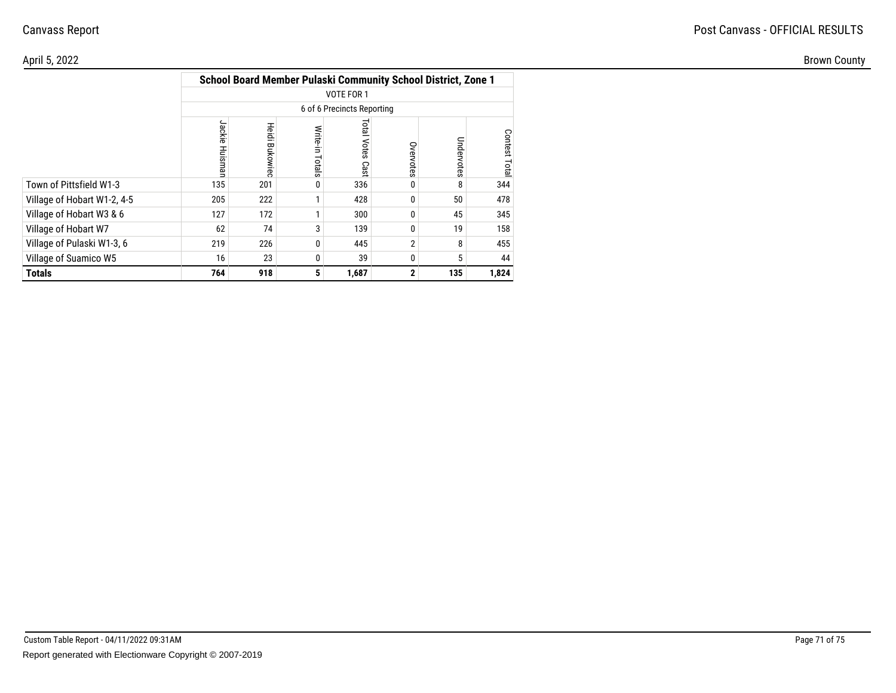#### April 5, 2022Brown County

|                             |                   |                |                    |                            |              | School Board Member Pulaski Community School District, Zone 1 |              |
|-----------------------------|-------------------|----------------|--------------------|----------------------------|--------------|---------------------------------------------------------------|--------------|
|                             |                   |                |                    | <b>VOTE FOR 1</b>          |              |                                                               |              |
|                             |                   |                |                    | 6 of 6 Precincts Reporting |              |                                                               |              |
|                             | Jackie<br>Huismar | Heidi Bukowiec | Write-in<br>Totals | <b>Fotal Votes</b><br>Cast | Overvotes    | Undervotes                                                    | Contest Tota |
| Town of Pittsfield W1-3     | 135               | 201            | 0                  | 336                        | 0            | 8                                                             | 344          |
| Village of Hobart W1-2, 4-5 | 205               | 222            |                    | 428                        | 0            | 50                                                            | 478          |
| Village of Hobart W3 & 6    | 127               | 172            | 1                  | 300                        | 0            | 45                                                            | 345          |
| Village of Hobart W7        | 62                | 74             | 3                  | 139                        | 0            | 19                                                            | 158          |
| Village of Pulaski W1-3, 6  | 219               | 226            | 0                  | 445                        | 2            | 8                                                             | 455          |
| Village of Suamico W5       | 16                | 23             | 0                  | 39                         | 0            | 5                                                             | 44           |
| <b>Totals</b>               | 764               | 918            | 5                  | 1,687                      | $\mathbf{2}$ | 135                                                           | 1,824        |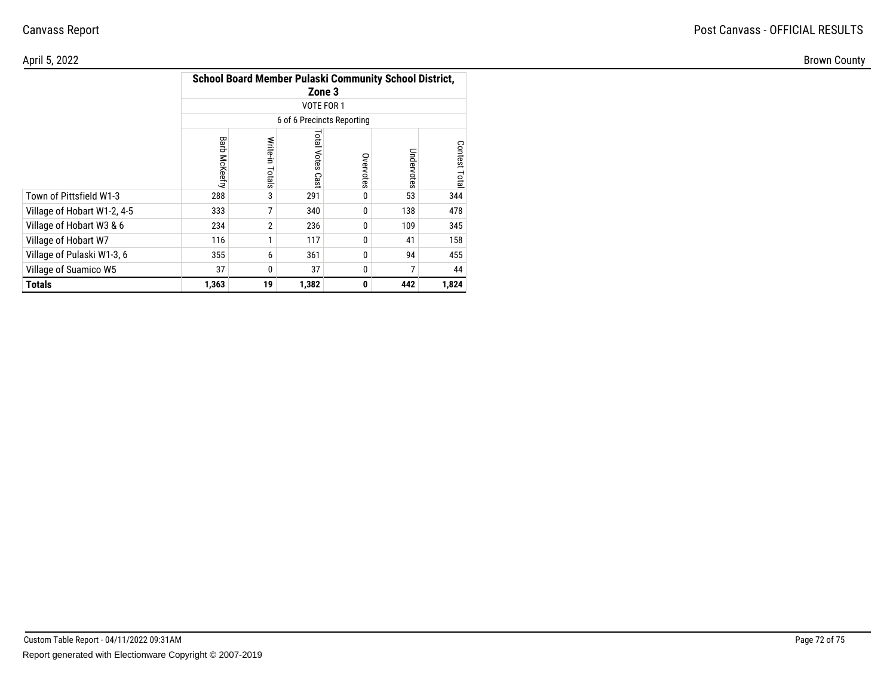| April 5, 2022               |              |       |                                                    |                  |                                                        |                |
|-----------------------------|--------------|-------|----------------------------------------------------|------------------|--------------------------------------------------------|----------------|
|                             |              |       | Zone 3<br>VOTE FOR 1<br>6 of 6 Precincts Reporting |                  | School Board Member Pulaski Community School District, |                |
|                             | Barb<br>Keef | otals | <b>Total</b><br>Votes<br>Cast                      | Ove<br>Note<br>Ö | Undervotes                                             | Contest<br>ota |
| Town of Pittsfield W1-3     | 288          |       | 291                                                |                  | 53                                                     | 344            |
| Village of Hobart W1-2, 4-5 | 333          |       | 340                                                |                  | 138                                                    | 478            |
| Village of Hobart W3 & 6    | 234          |       | 236                                                |                  | 109                                                    | 345            |
| Village of Hobart W7        | 116          |       | 117                                                |                  | 41                                                     | 158            |
| Village of Pulaski W1-3, 6  | 355          |       | 361                                                |                  | 94                                                     | 455            |
| Village of Suamico W5       | 37           |       | 37                                                 |                  | $\overline{ }$                                         | 44             |
| <b>Totals</b>               | 1,363        | 19    | 1,382                                              | $\mathbf{0}$     | 442                                                    | 1,824          |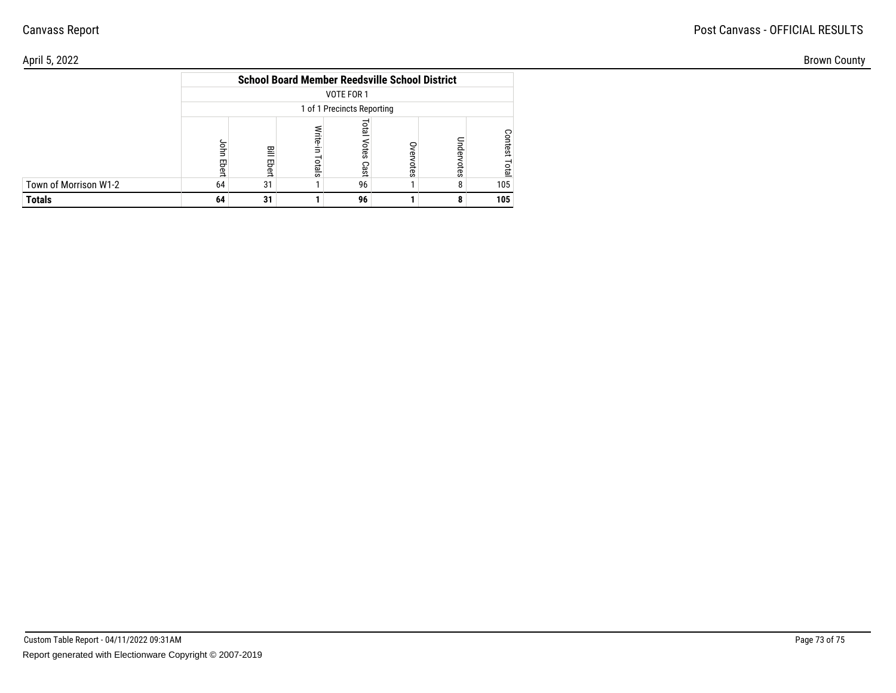### Canvass Report

#### April 5, 2022

|                       | <b>School Board Member Reedsville School District</b> |            |                   |                       |               |            |                 |  |  |
|-----------------------|-------------------------------------------------------|------------|-------------------|-----------------------|---------------|------------|-----------------|--|--|
|                       | VOTE FOR 1                                            |            |                   |                       |               |            |                 |  |  |
|                       | 1 of 1 Precincts Reporting                            |            |                   |                       |               |            |                 |  |  |
|                       | John<br>Ebert                                         | 믈<br>Ebert | Write-in<br>otals | leto<br>Votes<br>Cast | Over<br>votes | Undervotes | Contest<br>Tota |  |  |
| Town of Morrison W1-2 | 64                                                    | 31         |                   | 96                    |               | 8          | 105             |  |  |
| <b>Totals</b>         | 64                                                    | 31         |                   | 96                    |               |            | 105             |  |  |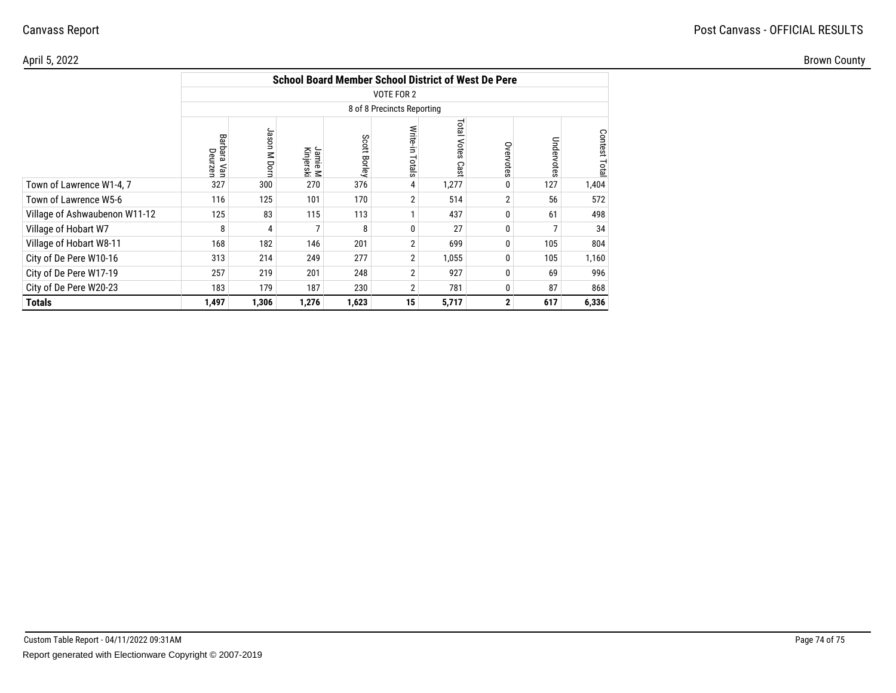# Canvass Report

### April 5, 2022

Brown County

|                               | <b>School Board Member School District of West De Pere</b> |              |                      |              |                    |                     |              |            |               |
|-------------------------------|------------------------------------------------------------|--------------|----------------------|--------------|--------------------|---------------------|--------------|------------|---------------|
|                               | VOTE FOR 2<br>8 of 8 Precincts Reporting                   |              |                      |              |                    |                     |              |            |               |
|                               |                                                            |              |                      |              |                    |                     |              |            |               |
|                               | Barbara Van<br>Deurzen                                     | Jason M Dorn | Jamie M<br>Kinjerski | Scott Borley | Write-in<br>Totals | Total Votes<br>Cast | Overvotes    | Undervotes | Contest Total |
| Town of Lawrence W1-4, 7      | 327                                                        | 300          | 270                  | 376          | 4                  | 1,277               | 0            | 127        | 1,404         |
| Town of Lawrence W5-6         | 116                                                        | 125          | 101                  | 170          | 2                  | 514                 | 2            | 56         | 572           |
| Village of Ashwaubenon W11-12 | 125                                                        | 83           | 115                  | 113          |                    | 437                 | 0            | 61         | 498           |
| Village of Hobart W7          | 8                                                          | 4            | ⇁                    | 8            | $\Omega$           | 27                  | $\Omega$     |            | 34            |
| Village of Hobart W8-11       | 168                                                        | 182          | 146                  | 201          | 2                  | 699                 | 0            | 105        | 804           |
| City of De Pere W10-16        | 313                                                        | 214          | 249                  | 277          | $\overline{2}$     | 1,055               | 0            | 105        | 1,160         |
| City of De Pere W17-19        | 257                                                        | 219          | 201                  | 248          | $\overline{2}$     | 927                 | 0            | 69         | 996           |
| City of De Pere W20-23        | 183                                                        | 179          | 187                  | 230          | $\overline{2}$     | 781                 | 0            | 87         | 868           |
| <b>Totals</b>                 | 1,497                                                      | 1,306        | 1,276                | 1,623        | 15                 | 5,717               | $\mathbf{2}$ | 617        | 6,336         |